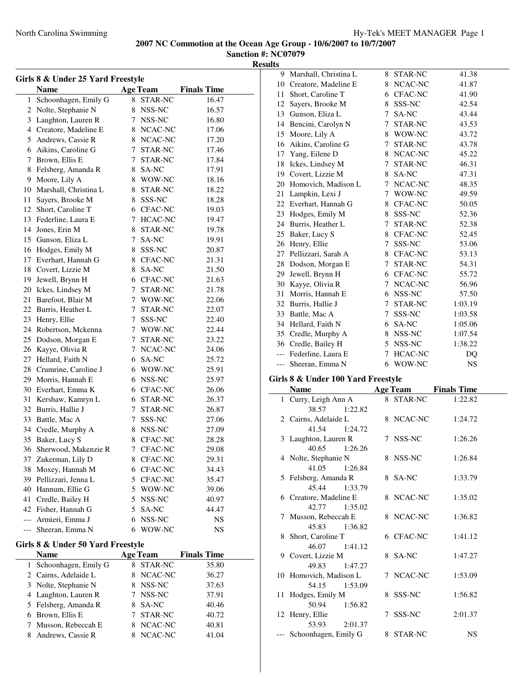$\overline{\phantom{a}}$ 

**Sanction #: NC07079 Results**

| Girls 8 & Under 25 Yard Freestyle |                                       |    |                 |                    |  |
|-----------------------------------|---------------------------------------|----|-----------------|--------------------|--|
|                                   | <b>Name</b>                           |    | <b>Age Team</b> | <b>Finals Time</b> |  |
| 1                                 | Schoonhagen, Emily G                  | 8  | STAR-NC         | 16.47              |  |
| 2                                 | Nolte, Stephanie N                    |    | 8 NSS-NC        | 16.57              |  |
| 3                                 | Laughton, Lauren R                    |    | 7 NSS-NC        | 16.80              |  |
| $\overline{4}$                    | Creatore, Madeline E                  |    | 8 NCAC-NC       | 17.06              |  |
| 5                                 | Andrews, Cassie R                     |    | 8 NCAC-NC       | 17.20              |  |
| 6                                 | Aikins, Caroline G                    | 7  | STAR-NC         | 17.46              |  |
| 7                                 | Brown, Ellis E                        | 7  | <b>STAR-NC</b>  | 17.84              |  |
| 8                                 | Felsberg, Amanda R                    |    | 8 SA-NC         | 17.91              |  |
| 9                                 | Moore, Lily A                         |    | 8 WOW-NC        | 18.16              |  |
| 10                                | Marshall, Christina L                 |    | 8 STAR-NC       | 18.22              |  |
| 11                                | Sayers, Brooke M                      |    | 8 SSS-NC        | 18.28              |  |
| 12                                | Short, Caroline T                     |    | 6 CFAC-NC       | 19.03              |  |
| 13                                | Federline, Laura E                    |    | 7 HCAC-NC       | 19.47              |  |
| 14                                | Jones, Erin M                         |    | 8 STAR-NC       | 19.78              |  |
| 15                                | Gunson, Eliza L                       | 7  | SA-NC           | 19.91              |  |
| 16                                | Hodges, Emily M                       |    | 8 SSS-NC        | 20.87              |  |
| 17                                | Everhart, Hannah G                    |    | 8 CFAC-NC       | 21.31              |  |
| 18                                | Covert, Lizzie M                      |    | 8 SA-NC         | 21.50              |  |
| 19                                | Jewell, Brynn H                       |    | 6 CFAC-NC       | 21.63              |  |
| 20                                | Ickes, Lindsey M                      | 7  | STAR-NC         | 21.78              |  |
| 21                                | Barefoot, Blair M                     |    | 7 WOW-NC        | 22.06              |  |
| 22                                | Burris, Heather L                     | 7  | STAR-NC         | 22.07              |  |
| 23                                | Henry, Ellie                          | 7  | SSS-NC          | 22.40              |  |
| 24                                | Robertson, Mckenna                    |    | 7 WOW-NC        | 22.44              |  |
| 25                                | Dodson, Morgan E                      |    | 7 STAR-NC       | 23.22              |  |
| 26                                | Kayye, Olivia R                       |    | 7 NCAC-NC       | 24.06              |  |
| 27                                | Hellard, Faith N                      |    | 6 SA-NC         | 25.72              |  |
| 28                                | Crumrine, Caroline J                  |    | 6 WOW-NC        |                    |  |
| 29                                |                                       |    | 6 NSS-NC        | 25.91<br>25.97     |  |
| 30                                | Morris, Hannah E<br>Everhart, Emma K  |    | 6 CFAC-NC       |                    |  |
| 31                                | Kershaw, Kamryn L                     | 6  | STAR-NC         | 26.06<br>26.37     |  |
| 32                                | Burris, Hallie J                      | 7  | STAR-NC         |                    |  |
| 33                                | Battle, Mac A                         | 7  | SSS-NC          | 26.87              |  |
| 34                                |                                       |    |                 | 27.06              |  |
| 35                                | Credle, Murphy A                      |    | 8 NSS-NC        | 27.09              |  |
|                                   | Baker, Lucy S<br>Sherwood, Makenzie R |    | 8 CFAC-NC       | 28.28              |  |
| 36                                |                                       |    | 7 CFAC-NC       | 29.08              |  |
|                                   | 37 Zukerman, Lily D                   |    | 8 CFAC-NC       | 29.31              |  |
|                                   | 38 Moxey, Hannah M                    |    | 6 CFAC-NC       | 34.43              |  |
| 39                                | Pellizzari, Jenna L                   |    | 5 CFAC-NC       | 35.47              |  |
| 40                                | Hannum, Ellie G                       |    | 5 WOW-NC        | 39.06              |  |
| 41                                | Credle, Bailey H                      |    | 5 NSS-NC        | 40.97              |  |
|                                   | 42 Fisher, Hannah G                   | 5  | SA-NC           | 44.47              |  |
| $---$                             | Armieri, Emma J                       | 6. | NSS-NC          | NS                 |  |
| $---$                             | Sheeran, Emma N                       | 6  | WOW-NC          | NS                 |  |
|                                   | Girls 8 & Under 50 Yard Freestyle     |    |                 |                    |  |
|                                   | <b>Name</b>                           |    | <b>Age Team</b> | <b>Finals Time</b> |  |
| 1                                 | Schoonhagen, Emily G                  | 8  | STAR-NC         | 35.80              |  |
| 2                                 | Cairns, Adelaide L                    | 8  | NCAC-NC         | 36.27              |  |
| 3                                 | Nolte, Stephanie N                    |    | 8 NSS-NC        | 37.63              |  |
| 4                                 | Laughton, Lauren R                    | 7  | NSS-NC          | 37.91              |  |
| 5                                 | Felsberg, Amanda R                    |    | 8 SA-NC         | 40.46              |  |
| 6                                 | Brown, Ellis E                        | 7  | STAR-NC         | 40.72              |  |
| 7                                 | Musson, Rebeccah E                    |    | 8 NCAC-NC       | 40.81              |  |
| 8                                 | Andrews, Cassie R                     | 8. | NCAC-NC         | 41.04              |  |
|                                   |                                       |    |                 |                    |  |

| 9  | Marshall, Christina L                  | 8      | STAR-NC         | 41.38              |  |
|----|----------------------------------------|--------|-----------------|--------------------|--|
| 10 | Creatore, Madeline E                   | 8      | NCAC-NC         | 41.87              |  |
| 11 | Short, Caroline T                      |        | 6 CFAC-NC       | 41.90              |  |
| 12 | Sayers, Brooke M                       | 8      | SSS-NC          | 42.54              |  |
| 13 | Gunson, Eliza L                        |        | 7 SA-NC         | 43.44              |  |
| 14 | Bencini, Carolyn N                     | $\tau$ | STAR-NC         | 43.53              |  |
| 15 | Moore, Lily A                          | 8      | WOW-NC          | 43.72              |  |
| 16 | Aikins, Caroline G                     | 7      | STAR-NC         | 43.78              |  |
| 17 | Yang, Eilene D                         | 8      | NCAC-NC         | 45.22              |  |
| 18 | Ickes, Lindsey M                       | 7      | STAR-NC         | 46.31              |  |
| 19 | Covert, Lizzie M                       | 8      | SA-NC           | 47.31              |  |
| 20 | Homovich, Madison L                    | 7      | NCAC-NC         | 48.35              |  |
| 21 | Lampkin, Lexi J                        | 7      | WOW-NC          | 49.59              |  |
|    | 22 Everhart, Hannah G                  | 8      | CFAC-NC         | 50.05              |  |
|    | 23 Hodges, Emily M                     | 8      | SSS-NC          | 52.36              |  |
|    | 24 Burris, Heather L                   | 7      | STAR-NC         | 52.38              |  |
| 25 | Baker, Lucy S                          |        | 8 CFAC-NC       | 52.45              |  |
|    | 26 Henry, Ellie                        | $\tau$ | SSS-NC          | 53.06              |  |
|    | 27 Pellizzari, Sarah A                 |        | 8 CFAC-NC       | 53.13              |  |
| 28 | Dodson, Morgan E                       | 7      | STAR-NC         | 54.31              |  |
| 29 | Jewell, Brynn H                        |        | 6 CFAC-NC       | 55.72              |  |
| 30 | Kayye, Olivia R                        | 7      | NCAC-NC         | 56.96              |  |
| 31 | Morris, Hannah E                       |        | 6 NSS-NC        | 57.50              |  |
| 32 | Burris, Hallie J                       | 7      | STAR-NC         | 1:03.19            |  |
| 33 | Battle, Mac A                          | 7      | SSS-NC          | 1:03.58            |  |
| 34 | Hellard, Faith N                       |        | 6 SA-NC         | 1:05.06            |  |
|    |                                        |        |                 |                    |  |
|    |                                        |        |                 |                    |  |
|    | 35 Credle, Murphy A                    | 8      | NSS-NC          | 1:07.54            |  |
|    | 36 Credle, Bailey H                    | 5      | NSS-NC          | 1:38.22            |  |
|    | --- Federline, Laura E                 | 7      | HCAC-NC         | DQ                 |  |
|    | Sheeran, Emma N                        | 6      | WOW-NC          | NS                 |  |
|    | Girls 8 & Under 100 Yard Freestyle     |        |                 |                    |  |
|    | <b>Name</b>                            |        | <b>Age Team</b> | <b>Finals Time</b> |  |
| 1  | Curry, Leigh Ann A                     | 8      | STAR-NC         | 1:22.82            |  |
|    | 38.57<br>1:22.82                       |        |                 |                    |  |
|    | 2 Cairns, Adelaide L                   | 8      | NCAC-NC         | 1:24.72            |  |
|    | 41.54<br>1:24.72                       |        |                 |                    |  |
|    | 3 Laughton, Lauren R                   | 7      | NSS-NC          | 1:26.26            |  |
|    | 40.65<br>1:26.26                       |        |                 |                    |  |
|    | 4 Nolte, Stephanie N                   |        | 8 NSS-NC        | 1:26.84            |  |
|    | 41.05<br>1:26.84                       |        |                 |                    |  |
|    | 5 Felsberg, Amanda R                   | 8      | SA-NC           | 1:33.79            |  |
|    | 45.44<br>1:33.79                       |        |                 |                    |  |
|    | 6 Creatore, Madeline E                 | 8      | NCAC-NC         | 1:35.02            |  |
|    | 42.77<br>1:35.02                       |        |                 |                    |  |
| 7  | Musson, Rebeccah E                     | 8      | NCAC-NC         | 1:36.82            |  |
|    | 45.83<br>1:36.82                       |        |                 |                    |  |
| 8  | Short, Caroline T                      |        | 6 CFAC-NC       | 1:41.12            |  |
|    | 46.07<br>1:41.12                       |        |                 |                    |  |
| 9  | Covert, Lizzie M                       | 8      | SA-NC           | 1:47.27            |  |
|    | 49.83<br>1:47.27                       |        |                 |                    |  |
| 10 | Homovich, Madison L                    |        | 7 NCAC-NC       | 1:53.09            |  |
|    | 54.15<br>1:53.09<br>11 Hodges, Emily M |        | 8 SSS-NC        | 1:56.82            |  |

50.94 1:56.82 12 Henry, Ellie 7 SSS-NC 2:01.37 53.93 2:01.37 --- Schoonhagen, Emily G 8 STAR-NC NS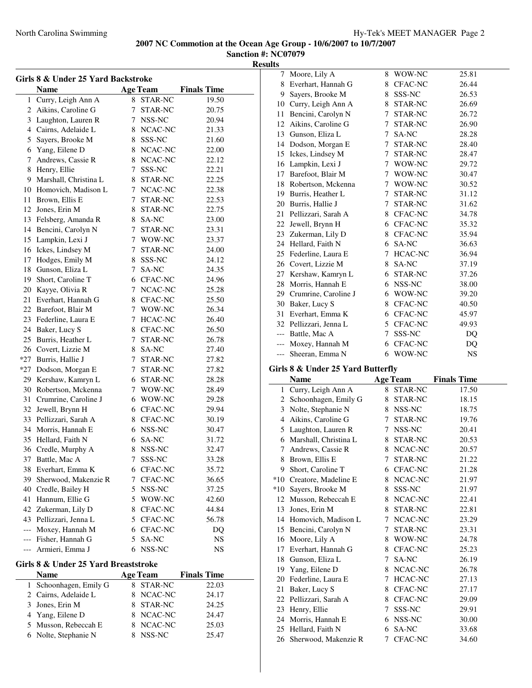7 Moore, Lily A 8 WOW-NC 25.81

**2007 NC Commotion at the Ocean Age Group - 10/6/2007 to 10/7/2007 Sanction #: NC07079**

**Results**

| Girls 8 & Under 25 Yard Backstroke |                                      |             |                 |                    |  |
|------------------------------------|--------------------------------------|-------------|-----------------|--------------------|--|
|                                    | <b>Name</b>                          |             | <b>Age Team</b> | <b>Finals Time</b> |  |
| 1                                  | Curry, Leigh Ann A                   | 8           | STAR-NC         | 19.50              |  |
| $\overline{c}$                     | Aikins, Caroline G                   | 7           | STAR-NC         | 20.75              |  |
| 3                                  | Laughton, Lauren R                   |             | 7 NSS-NC        | 20.94              |  |
| 4                                  | Cairns, Adelaide L                   |             | 8 NCAC-NC       | 21.33              |  |
| 5                                  | Sayers, Brooke M                     |             | 8 SSS-NC        | 21.60              |  |
| 6                                  | Yang, Eilene D                       |             | 8 NCAC-NC       | 22.00              |  |
| 7                                  | Andrews, Cassie R                    |             | 8 NCAC-NC       | 22.12              |  |
| 8                                  | Henry, Ellie                         | 7           | SSS-NC          | 22.21              |  |
| 9                                  | Marshall, Christina L                |             | 8 STAR-NC       | 22.25              |  |
| 10                                 | Homovich, Madison L                  |             | 7 NCAC-NC       | 22.38              |  |
| 11                                 | Brown, Ellis E                       |             | 7 STAR-NC       | 22.53              |  |
| 12                                 | Jones, Erin M                        |             | 8 STAR-NC       | 22.75              |  |
| 13                                 | Felsberg, Amanda R                   |             | 8 SA-NC         | 23.00              |  |
| 14                                 | Bencini, Carolyn N                   | 7           | STAR-NC         | 23.31              |  |
| 15                                 | Lampkin, Lexi J                      |             | 7 WOW-NC        | 23.37              |  |
| 16                                 | Ickes, Lindsey M                     | 7           | STAR-NC         | 24.00              |  |
| 17                                 | Hodges, Emily M                      |             | 8 SSS-NC        | 24.12              |  |
| 18                                 | Gunson, Eliza L                      | 7           | SA-NC           | 24.35              |  |
| 19                                 | Short, Caroline T                    |             | 6 CFAC-NC       | 24.96              |  |
| 20                                 | Kayye, Olivia R                      | 7           | NCAC-NC         | 25.28              |  |
| 21                                 | Everhart, Hannah G                   |             | 8 CFAC-NC       | 25.50              |  |
| 22                                 |                                      |             | 7 WOW-NC        |                    |  |
|                                    | Barefoot, Blair M                    |             |                 | 26.34              |  |
| 23                                 | Federline, Laura E                   |             | 7 HCAC-NC       | 26.40              |  |
| 24                                 | Baker, Lucy S                        |             | 8 CFAC-NC       | 26.50              |  |
| 25                                 | Burris, Heather L                    |             | 7 STAR-NC       | 26.78              |  |
|                                    | 26 Covert, Lizzie M                  |             | 8 SA-NC         | 27.40              |  |
| $*27$                              | Burris, Hallie J                     |             | 7 STAR-NC       | 27.82              |  |
| $*27$                              | Dodson, Morgan E                     | $7^{\circ}$ | STAR-NC         | 27.82              |  |
| 29                                 | Kershaw, Kamryn L                    |             | 6 STAR-NC       | 28.28              |  |
| 30                                 | Robertson, Mckenna                   |             | 7 WOW-NC        | 28.49              |  |
| 31                                 | Crumrine, Caroline J                 |             | 6 WOW-NC        | 29.28              |  |
| 32                                 | Jewell, Brynn H                      |             | 6 CFAC-NC       | 29.94              |  |
| 33                                 | Pellizzari, Sarah A                  |             | 8 CFAC-NC       | 30.19              |  |
| 34                                 | Morris, Hannah E                     |             | 6 NSS-NC        | 30.47              |  |
| 35                                 | Hellard, Faith N                     |             | 6 SA-NC         | 31.72              |  |
|                                    | 36 Credle, Murphy A                  | 8           | NSS-NC          | 32.47              |  |
|                                    | 37 Battle, Mac A                     | 7           | SSS-NC          | 33.28              |  |
|                                    | 38 Everhart, Emma K                  |             | 6 CFAC-NC       | 35.72              |  |
| 39                                 | Sherwood, Makenzie R                 | 7           | CFAC-NC         | 36.65              |  |
| 40                                 | Credle, Bailey H                     |             | 5 NSS-NC        | 37.25              |  |
| 41                                 | Hannum, Ellie G                      |             | 5 WOW-NC        | 42.60              |  |
| 42                                 | Zukerman, Lily D                     |             | 8 CFAC-NC       | 44.84              |  |
|                                    | 43 Pellizzari, Jenna L               |             | 5 CFAC-NC       | 56.78              |  |
| ---                                | Moxey, Hannah M                      |             | 6 CFAC-NC       | DQ                 |  |
| $---$                              | Fisher, Hannah G                     |             | 5 SA-NC         | NS                 |  |
| $---$                              | Armieri, Emma J                      | 6           | NSS-NC          | NS                 |  |
|                                    | Girls 8 & Under 25 Yard Breaststroke |             |                 |                    |  |
|                                    | Name                                 |             | <b>Age Team</b> | <b>Finals Time</b> |  |
| 1                                  | Schoonhagen, Emily G                 | 8           | STAR-NC         | 22.03              |  |
| 2                                  | Cairns, Adelaide L                   | 8           | NCAC-NC         | 24.17              |  |
| 3                                  | Jones, Erin M                        |             | 8 STAR-NC       | 24.25              |  |
| 4                                  | Yang, Eilene D                       |             | 8 NCAC-NC       | 24.47              |  |
| 5                                  | Musson, Rebeccah E                   |             | 8 NCAC-NC       | 25.03              |  |
| 6                                  | Nolte, Stephanie N                   | 8.          | NSS-NC          | 25.47              |  |
|                                    |                                      |             |                 |                    |  |

| 8        | Everhart, Hannah G                   | 8      | <b>CFAC-NC</b>  | 26.44              |
|----------|--------------------------------------|--------|-----------------|--------------------|
|          | 9 Sayers, Brooke M                   |        | 8 SSS-NC        | 26.53              |
|          | 10 Curry, Leigh Ann A                |        | 8 STAR-NC       | 26.69              |
|          | 11 Bencini, Carolyn N                |        | 7 STAR-NC       | 26.72              |
|          | 12 Aikins, Caroline G                |        | 7 STAR-NC       | 26.90              |
|          | 13 Gunson, Eliza L                   |        | 7 SA-NC         | 28.28              |
|          | 14 Dodson, Morgan E                  |        | 7 STAR-NC       | 28.40              |
|          | 15 Ickes, Lindsey M                  |        | 7 STAR-NC       | 28.47              |
|          | 16 Lampkin, Lexi J                   |        | 7 WOW-NC        | 29.72              |
|          | 17 Barefoot, Blair M                 |        | 7 WOW-NC        | 30.47              |
|          | 18 Robertson, Mckenna                |        | 7 WOW-NC        | 30.52              |
|          | 19 Burris, Heather L                 |        | 7 STAR-NC       | 31.12              |
|          | 20 Burris, Hallie J                  |        | 7 STAR-NC       | 31.62              |
| 21       | Pellizzari, Sarah A                  |        | 8 CFAC-NC       | 34.78              |
|          | 22 Jewell, Brynn H                   |        | 6 CFAC-NC       | 35.32              |
|          | 23 Zukerman, Lily D                  |        | 8 CFAC-NC       | 35.94              |
|          | 24 Hellard, Faith N                  |        | 6 SA-NC         | 36.63              |
|          | 25 Federline, Laura E                |        | 7 HCAC-NC       | 36.94              |
|          | 26 Covert, Lizzie M                  |        | 8 SA-NC         | 37.19              |
|          | 27 Kershaw, Kamryn L                 |        | 6 STAR-NC       | 37.26              |
|          | 28 Morris, Hannah E                  |        | 6 NSS-NC        | 38.00              |
|          | 29 Crumrine, Caroline J              |        | 6 WOW-NC        | 39.20              |
|          | 30 Baker, Lucy S                     |        | 8 CFAC-NC       | 40.50              |
|          | 31 Everhart, Emma K                  |        | 6 CFAC-NC       | 45.97              |
|          | 32 Pellizzari, Jenna L               |        | 5 CFAC-NC       | 49.93              |
|          | --- Battle, Mac A                    | 7      | SSS-NC          | DQ                 |
|          | --- Moxey, Hannah M                  |        | 6 CFAC-NC       | DQ                 |
|          |                                      |        |                 | NS                 |
| $---$    |                                      | 6      |                 |                    |
|          | Sheeran, Emma N                      |        | WOW-NC          |                    |
|          | Girls 8 & Under 25 Yard Butterfly    |        |                 |                    |
|          | <b>Name</b>                          |        | <b>Age Team</b> | <b>Finals Time</b> |
| 1        | Curry, Leigh Ann A                   | 8      | STAR-NC         | 17.50              |
| 2        | Schoonhagen, Emily G                 | 8      | STAR-NC         | 18.15              |
| 3        | Nolte, Stephanie N                   |        | 8 NSS-NC        | 18.75              |
|          | 4 Aikins, Caroline G                 |        | 7 STAR-NC       | 19.76              |
|          | 5 Laughton, Lauren R                 |        | 7 NSS-NC        | 20.41              |
|          | 6 Marshall, Christina L              |        | 8 STAR-NC       | 20.53              |
| 7        | Andrews, Cassie R                    |        | 8 NCAC-NC       | 20.57              |
| 8        | Brown, Ellis E                       | 7      | <b>STAR-NC</b>  | 21.22              |
|          | 9 Short, Caroline T                  |        | 6 CFAC-NC       | 21.28              |
|          | *10 Creatore, Madeline E             | 8      | NCAC-NC         | 21.97              |
|          | *10 Sayers, Brooke M                 | 8      | SSS-NC          | 21.97              |
|          | 12 Musson, Rebeccah E                | 8      | NCAC-NC         | 22.41              |
| 13       | Jones, Erin M                        | 8      | STAR-NC         | 22.81              |
|          | 14 Homovich, Madison L               | 7      | NCAC-NC         | 23.29              |
|          | 15 Bencini, Carolyn N                | 7      | STAR-NC         | 23.31              |
|          | 16 Moore, Lily A                     | 8      | WOW-NC          | 24.78              |
| 17       | Everhart, Hannah G                   | 8      | CFAC-NC         | 25.23              |
| 18       | Gunson, Eliza L                      | 7      | SA-NC           | 26.19              |
| 19       | Yang, Eilene D                       | 8      | NCAC-NC         | 26.78              |
| 20       | Federline, Laura E                   | 7      | HCAC-NC         | 27.13              |
| 21       | Baker, Lucy S                        | 8      | CFAC-NC         | 27.17              |
| 22       | Pellizzari, Sarah A                  | 8      | CFAC-NC         | 29.09              |
| 23       | Henry, Ellie                         | 7      | SSS-NC          | 29.91              |
| 24<br>25 | Morris, Hannah E<br>Hellard, Faith N | 6<br>6 | NSS-NC<br>SA-NC | 30.00<br>33.68     |

26 Sherwood, Makenzie R 7 CFAC-NC 34.60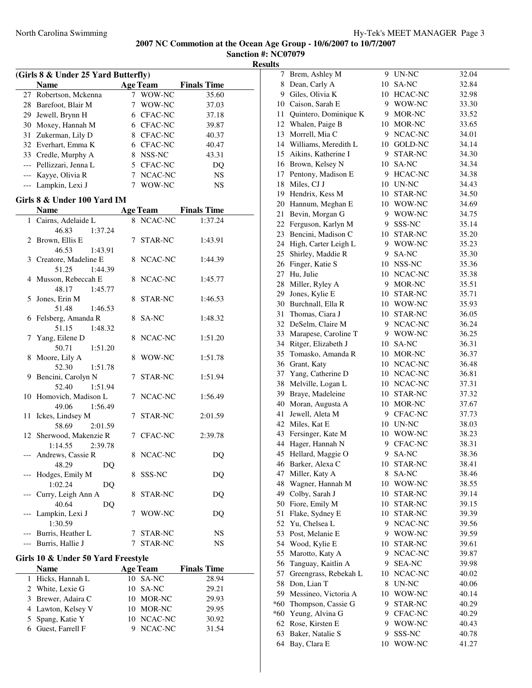| (Girls 8 & Under 25 Yard Butterfly) |                                    |   |                 |                    |  |
|-------------------------------------|------------------------------------|---|-----------------|--------------------|--|
|                                     | <b>Name</b>                        |   | <b>Age Team</b> | <b>Finals Time</b> |  |
|                                     | 27 Robertson, Mckenna              |   | 7 WOW-NC        | 35.60              |  |
|                                     | 28 Barefoot, Blair M               |   | 7 WOW-NC        | 37.03              |  |
|                                     | 29 Jewell, Brynn H                 |   | 6 CFAC-NC       | 37.18              |  |
|                                     | 30 Moxey, Hannah M                 |   | 6 CFAC-NC       | 39.87              |  |
|                                     | 31 Zukerman, Lily D                |   | 8 CFAC-NC       | 40.37              |  |
|                                     | 32 Everhart, Emma K                |   | 6 CFAC-NC       | 40.47              |  |
|                                     | 33 Credle, Murphy A                |   | 8 NSS-NC        | 43.31              |  |
|                                     | --- Pellizzari, Jenna L            |   | 5 CFAC-NC       | DQ                 |  |
|                                     | --- Kayye, Olivia R                |   | 7 NCAC-NC       | <b>NS</b>          |  |
|                                     | --- Lampkin, Lexi J                |   | 7 WOW-NC        | <b>NS</b>          |  |
|                                     |                                    |   |                 |                    |  |
|                                     | Girls 8 & Under 100 Yard IM        |   |                 |                    |  |
|                                     | <b>Name</b>                        |   | <b>Age Team</b> | <b>Finals Time</b> |  |
|                                     | 1 Cairns, Adelaide L               |   | 8 NCAC-NC       | 1:37.24            |  |
|                                     | 46.83<br>1:37.24                   |   |                 |                    |  |
| 2                                   | Brown, Ellis E                     |   | 7 STAR-NC       | 1:43.91            |  |
|                                     | 46.53<br>1:43.91                   |   |                 |                    |  |
|                                     | 3 Creatore, Madeline E             |   | 8 NCAC-NC       | 1:44.39            |  |
|                                     | 51.25<br>1:44.39                   |   |                 |                    |  |
|                                     | 4 Musson, Rebeccah E               |   | 8 NCAC-NC       | 1:45.77            |  |
|                                     | 48.17<br>1:45.77                   |   |                 |                    |  |
| 5                                   | Jones, Erin M                      | 8 | STAR-NC         | 1:46.53            |  |
|                                     | 51.48<br>1:46.53                   |   |                 |                    |  |
| 6                                   | Felsberg, Amanda R                 |   | 8 SA-NC         | 1:48.32            |  |
|                                     | 51.15<br>1:48.32                   |   |                 |                    |  |
| 7                                   | Yang, Eilene D                     | 8 | NCAC-NC         | 1:51.20            |  |
|                                     | 50.71<br>1:51.20                   |   |                 |                    |  |
| 8                                   | Moore, Lily A                      | 8 | WOW-NC          | 1:51.78            |  |
|                                     | 52.30<br>1:51.78                   |   |                 |                    |  |
| 9                                   | Bencini, Carolyn N                 | 7 | STAR-NC         | 1:51.94            |  |
|                                     | 52.40<br>1:51.94                   |   |                 |                    |  |
|                                     | 10 Homovich, Madison L             |   | 7 NCAC-NC       | 1:56.49            |  |
|                                     | 49.06<br>1:56.49                   |   |                 |                    |  |
| 11                                  | Ickes, Lindsey M                   | 7 | STAR-NC         | 2:01.59            |  |
|                                     | 58.69<br>2:01.59                   |   |                 |                    |  |
|                                     | 12 Sherwood, Makenzie R            |   | 7 CFAC-NC       | 2:39.78            |  |
|                                     | 1:14.55<br>2:39.78                 |   |                 |                    |  |
|                                     | Andrews, Cassie R                  | 8 | NCAC-NC         | DQ                 |  |
|                                     | 48.29<br>DQ                        |   |                 |                    |  |
|                                     | Hodges, Emily M                    |   | 8 SSS-NC        | DQ                 |  |
|                                     | 1:02.24<br>DQ                      |   |                 |                    |  |
|                                     | Curry, Leigh Ann A                 | 8 | <b>STAR-NC</b>  | DQ                 |  |
|                                     | 40.64<br>DQ                        |   |                 |                    |  |
|                                     | Lampkin, Lexi J                    | 7 | WOW-NC          | DQ                 |  |
|                                     | 1:30.59                            |   |                 |                    |  |
|                                     | --- Burris, Heather L              | 7 | STAR-NC         | NS                 |  |
| $---$                               | Burris, Hallie J                   | 7 | STAR-NC         | NS                 |  |
|                                     | Girls 10 & Under 50 Yard Freestyle |   |                 |                    |  |
|                                     | <b>Name</b>                        |   | <b>Age Team</b> | <b>Finals Time</b> |  |
| 1                                   | Hicks, Hannah L                    |   | 10 SA-NC        | 28.94              |  |
|                                     | 2 White, Lexie G                   |   | 10 SA-NC        | 29.21              |  |
|                                     | 3 Brewer, Adaira C                 |   | 10 MOR-NC       | 29.93              |  |
|                                     | 4 Lawton, Kelsey V                 |   | 10 MOR-NC       | 29.95              |  |
|                                     | 5 Spang, Katie Y                   |   | 10 NCAC-NC      | 30.92              |  |
|                                     | 6 Guest, Farrell F                 |   | 9 NCAC-NC       | 31.54              |  |
|                                     |                                    |   |                 |                    |  |

| 7     | Brem, Ashley M        |    | 9 UN-NC       | 32.04 |
|-------|-----------------------|----|---------------|-------|
| 8     | Dean, Carly A         |    | 10 SA-NC      | 32.84 |
|       | 9 Giles, Olivia K     |    | 10 HCAC-NC    | 32.98 |
|       | 10 Caison, Sarah E    |    | 9 WOW-NC      | 33.30 |
| 11    | Quintero, Dominique K |    | 9 MOR-NC      | 33.52 |
| 12    | Whalen, Paige B       |    | 10 MOR-NC     | 33.65 |
| 13    | Morrell, Mia C        | 9. | NCAC-NC       | 34.01 |
| 14    | Williams, Meredith L  |    | 10 GOLD-NC    | 34.14 |
| 15    | Aikins, Katherine I   | 9. | STAR-NC       | 34.30 |
| 16    | Brown, Kelsey N       |    | 10 SA-NC      | 34.34 |
| 17    | Pentony, Madison E    |    | 9 HCAC-NC     | 34.38 |
| 18    | Miles, CJ J           |    | 10 UN-NC      | 34.43 |
| 19    | Hendrix, Kess M       |    | 10 STAR-NC    | 34.50 |
| 20    | Hannum, Meghan E      |    | 10 WOW-NC     | 34.69 |
| 21    | Bevin, Morgan G       |    | 9 WOW-NC      | 34.75 |
|       | 22 Ferguson, Karlyn M |    | 9 SSS-NC      | 35.14 |
|       |                       |    |               |       |
| 23    | Bencini, Madison C    |    | 10 STAR-NC    | 35.20 |
| 24    | High, Carter Leigh L  |    | 9 WOW-NC      | 35.23 |
| 25    | Shirley, Maddie R     | 9  | SA-NC         | 35.30 |
| 26    | Finger, Katie S       |    | 10 NSS-NC     | 35.36 |
| 27    | Hu, Julie             | 10 | NCAC-NC       | 35.38 |
| 28    | Miller, Ryley A       | 9. | MOR-NC        | 35.51 |
| 29    | Jones, Kylie E        |    | 10 STAR-NC    | 35.71 |
| 30    | Burchnall, Ella R     |    | 10 WOW-NC     | 35.93 |
| 31    | Thomas, Ciara J       |    | 10 STAR-NC    | 36.05 |
| 32    | DeSelm, Claire M      |    | 9 NCAC-NC     | 36.24 |
| 33    | Marapese, Caroline T  |    | 9 WOW-NC      | 36.25 |
| 34    | Ritger, Elizabeth J   |    | 10 SA-NC      | 36.31 |
| 35    | Tomasko, Amanda R     |    | 10 MOR-NC     | 36.37 |
| 36    | Grant, Katy           |    | 10 NCAC-NC    | 36.48 |
| 37    | Yang, Catherine D     |    | 10 NCAC-NC    | 36.81 |
| 38    | Melville, Logan L     |    | 10 NCAC-NC    | 37.31 |
| 39    | Braye, Madeleine      |    | 10 STAR-NC    | 37.32 |
| 40    | Moran, Augusta A      |    | 10 MOR-NC     | 37.67 |
| 41    | Jewell, Aleta M       |    | 9 CFAC-NC     | 37.73 |
| 42    | Miles, Kat E          |    | 10 UN-NC      | 38.03 |
| 43    | Fersinger, Kate M     |    | 10 WOW-NC     | 38.23 |
| 44    | Hager, Hannah N       |    | 9 CFAC-NC     | 38.31 |
| 45    | Hellard, Maggie O     | 9  | SA-NC         | 38.36 |
|       | 46 Barker, Alexa C    |    | 10 STAR-NC    | 38.41 |
| 47    | Miller, Katy A        | 8  | SA-NC         | 38.46 |
| 48    | Wagner, Hannah M      |    | 10 WOW-NC     | 38.55 |
| 49    | Colby, Sarah J        | 10 | STAR-NC       | 39.14 |
| 50    | Fiore, Emily M        | 10 | STAR-NC       | 39.15 |
| 51    | Flake, Sydney E       | 10 | STAR-NC       | 39.39 |
| 52    | Yu, Chelsea L         | 9  | NCAC-NC       | 39.56 |
| 53    | Post, Melanie E       | 9. | WOW-NC        |       |
| 54    |                       | 10 |               | 39.59 |
|       | Wood, Kylie E         |    | STAR-NC       | 39.61 |
| 55    | Marotto, Katy A       | 9. | NCAC-NC       | 39.87 |
| 56    | Tanguay, Kaitlin A    | 9. | <b>SEA-NC</b> | 39.98 |
| 57    | Greengrass, Rebekah L |    | 10 NCAC-NC    | 40.02 |
| 58    | Don, Lian T           | 8  | UN-NC         | 40.06 |
| 59    | Messineo, Victoria A  |    | 10 WOW-NC     | 40.14 |
| *60   | Thompson, Cassie G    | 9. | STAR-NC       | 40.29 |
| $*60$ | Yeung, Alvina G       | 9  | CFAC-NC       | 40.29 |
| 62    | Rose, Kirsten E       | 9  | WOW-NC        | 40.43 |
| 63    | Baker, Natalie S      | 9  | SSS-NC        | 40.78 |
| 64    | Bay, Clara E          | 10 | WOW-NC        | 41.27 |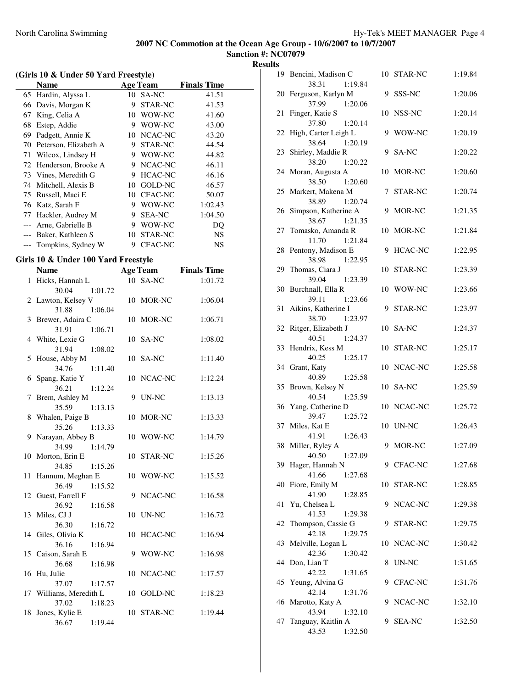**Sanction #: NC07079 Results**

| (Girls 10 & Under 50 Yard Freestyle) |                       |    |                 |                    |  |  |
|--------------------------------------|-----------------------|----|-----------------|--------------------|--|--|
|                                      | <b>Name</b>           |    | <b>Age Team</b> | <b>Finals Time</b> |  |  |
| 65                                   | Hardin, Alyssa L      |    | 10 SA-NC        | 41.51              |  |  |
| 66                                   | Davis, Morgan K       | 9  | STAR-NC         | 41.53              |  |  |
| 67                                   | King, Celia A         | 10 | WOW-NC          | 41.60              |  |  |
| 68                                   | Estep, Addie          | 9  | WOW-NC          | 43.00              |  |  |
| 69                                   | Padgett, Annie K      | 10 | NCAC-NC         | 43.20              |  |  |
| 70                                   | Peterson, Elizabeth A | 9  | STAR-NC         | 44.54              |  |  |
| 71                                   | Wilcox, Lindsey H     | 9  | WOW-NC          | 44.82              |  |  |
| 72                                   | Henderson, Brooke A   | 9  | NCAC-NC         | 46.11              |  |  |
| 73                                   | Vines, Meredith G     | 9  | <b>HCAC-NC</b>  | 46.16              |  |  |
| 74                                   | Mitchell, Alexis B    | 10 | GOLD-NC         | 46.57              |  |  |
| 75                                   | Russell, Maci E       | 10 | <b>CFAC-NC</b>  | 50.07              |  |  |
| 76                                   | Katz, Sarah F         | 9  | WOW-NC          | 1:02.43            |  |  |
| 77                                   | Hackler, Audrey M     | 9  | <b>SEA-NC</b>   | 1:04.50            |  |  |
|                                      | Arne, Gabrielle B     | 9  | WOW-NC          | DQ                 |  |  |
|                                      | Baker, Kathleen S     | 10 | <b>STAR-NC</b>  | NS                 |  |  |
|                                      | Tompkins, Sydney W    | 9  | <b>CFAC-NC</b>  | NS                 |  |  |
|                                      |                       |    |                 |                    |  |  |

### **Girls 10 & Under 100 Yard Freestyle**

|    | <b>Name</b>                   | <b>Age Team</b> | <b>Finals Time</b> |
|----|-------------------------------|-----------------|--------------------|
|    | 1 Hicks, Hannah L             | 10 SA-NC        | 1:01.72            |
|    | 30.04<br>1:01.72              |                 |                    |
|    | 2 Lawton, Kelsey V            | 10 MOR-NC       | 1:06.04            |
|    | 31.88<br>1:06.04              |                 |                    |
|    | 3 Brewer, Adaira C            | 10 MOR-NC       | 1:06.71            |
|    | 31.91<br>1:06.71              |                 |                    |
|    | 4 White, Lexie G              | 10 SA-NC        | 1:08.02            |
|    | 31.94<br>1:08.02              |                 |                    |
| 5. | House, Abby M                 | 10 SA-NC        | 1:11.40            |
|    | 34.76<br>1:11.40              |                 |                    |
| 6  | Spang, Katie Y                | 10 NCAC-NC      | 1:12.24            |
|    | 36.21<br>1:12.24              |                 |                    |
| 7  | Brem, Ashley M                | 9 UN-NC         | 1:13.13            |
|    | 35.59<br>1:13.13              |                 |                    |
|    | 8 Whalen, Paige B             | 10 MOR-NC       | 1:13.33            |
|    | 35.26<br>1:13.33              |                 |                    |
| 9  | Narayan, Abbey B              | 10 WOW-NC       | 1:14.79            |
|    | 34.99<br>1:14.79              |                 |                    |
|    | 10 Morton, Erin E             | 10 STAR-NC      | 1:15.26            |
|    | 34.85<br>1:15.26              |                 |                    |
| 11 | Hannum, Meghan E              | 10 WOW-NC       | 1:15.52            |
|    | 36.49<br>1:15.52              |                 |                    |
|    | 12 Guest, Farrell F           | NCAC-NC<br>9    | 1:16.58            |
|    | 36.92<br>1:16.58              | 10 UN-NC        | 1:16.72            |
|    | 13 Miles, CJ J<br>36.30       |                 |                    |
|    | 1:16.72<br>14 Giles, Olivia K | 10 HCAC-NC      | 1:16.94            |
|    | 36.16<br>1:16.94              |                 |                    |
|    | 15 Caison, Sarah E            | 9 WOW-NC        | 1:16.98            |
|    | 36.68<br>1:16.98              |                 |                    |
|    | 16 Hu, Julie                  | 10 NCAC-NC      | 1:17.57            |
|    | 37.07<br>1:17.57              |                 |                    |
|    | 17 Williams, Meredith L       | 10 GOLD-NC      | 1:18.23            |
|    | 37.02<br>1:18.23              |                 |                    |
|    | 18 Jones, Kylie E             | 10 STAR-NC      | 1:19.44            |
|    | 36.67<br>1:19.44              |                 |                    |

|    | 19 Bencini, Madison C                      |    | 10 STAR-NC     | 1:19.84 |
|----|--------------------------------------------|----|----------------|---------|
|    | 38.31<br>1:19.84                           |    |                |         |
| 20 | Ferguson, Karlyn M<br>37.99                |    | 9 SSS-NC       | 1:20.06 |
| 21 | 1:20.06<br>Finger, Katie S                 |    | 10 NSS-NC      | 1:20.14 |
|    | 37.80<br>1:20.14                           |    |                |         |
|    | 22 High, Carter Leigh L                    |    | 9 WOW-NC       | 1:20.19 |
|    | 38.64<br>1:20.19                           |    |                |         |
|    | 23 Shirley, Maddie R                       |    | 9 SA-NC        | 1:20.22 |
|    | 38.20<br>1:20.22                           |    |                |         |
|    | 24 Moran, Augusta A                        | 10 | MOR-NC         | 1:20.60 |
|    | 38.50<br>1:20.60                           |    |                |         |
|    | 25 Markert, Makena M                       | 7  | STAR-NC        | 1:20.74 |
|    | 38.89<br>1:20.74                           |    |                |         |
| 26 | Simpson, Katherine A<br>38.67<br>1:21.35   | 9  | MOR-NC         | 1:21.35 |
| 27 | Tomasko, Amanda R                          |    | 10 MOR-NC      | 1:21.84 |
|    | 11.70<br>1:21.84                           |    |                |         |
| 28 | Pentony, Madison E                         | 9  | <b>HCAC-NC</b> | 1:22.95 |
|    | 38.98<br>1:22.95                           |    |                |         |
| 29 | Thomas, Ciara J                            |    | 10 STAR-NC     | 1:23.39 |
|    | 39.04<br>1:23.39                           |    |                |         |
|    | 30 Burchnall, Ella R                       |    | 10 WOW-NC      | 1:23.66 |
|    | 39.11<br>1:23.66                           |    |                |         |
|    | 31 Aikins, Katherine I                     |    | 9 STAR-NC      | 1:23.97 |
|    | 38.70<br>1:23.97<br>32 Ritger, Elizabeth J |    | 10 SA-NC       | 1:24.37 |
|    | 1:24.37<br>40.51                           |    |                |         |
|    | 33 Hendrix, Kess M                         |    | 10 STAR-NC     | 1:25.17 |
|    | 40.25<br>1:25.17                           |    |                |         |
|    | 34 Grant, Katy                             |    | 10 NCAC-NC     | 1:25.58 |
|    | 40.89<br>1:25.58                           |    |                |         |
| 35 | Brown, Kelsey N                            |    | 10 SA-NC       | 1:25.59 |
|    | 40.54<br>1:25.59                           |    |                |         |
|    | 36 Yang, Catherine D<br>39.47              |    | 10 NCAC-NC     | 1:25.72 |
| 37 | 1:25.72<br>Miles, Kat E                    |    | 10 UN-NC       | 1:26.43 |
|    | 41.91<br>1:26.43                           |    |                |         |
|    | 38 Miller, Ryley A                         |    | 9 MOR-NC       | 1:27.09 |
|    | 40.50 1:27.09                              |    |                |         |
|    | 39 Hager, Hannah N                         |    | 9 CFAC-NC      | 1:27.68 |
|    | 41.66<br>1:27.68                           |    |                |         |
| 40 | Fiore, Emily M                             | 10 | STAR-NC        | 1:28.85 |
|    | 41.90<br>1:28.85                           |    |                |         |
| 41 | Yu, Chelsea L                              | 9. | NCAC-NC        | 1:29.38 |
| 42 | 41.53<br>1:29.38<br>Thompson, Cassie G     | 9  | STAR-NC        | 1:29.75 |
|    | 42.18<br>1:29.75                           |    |                |         |
|    | 43 Melville, Logan L                       | 10 | NCAC-NC        | 1:30.42 |
|    | 42.36<br>1:30.42                           |    |                |         |
|    | 44 Don, Lian T                             | 8  | UN-NC          | 1:31.65 |
|    | 42.22<br>1:31.65                           |    |                |         |
| 45 | Yeung, Alvina G                            | 9  | CFAC-NC        | 1:31.76 |
|    | 42.14<br>1:31.76                           |    |                |         |
| 46 | Marotto, Katy A                            | 9  | NCAC-NC        | 1:32.10 |
| 47 | 43.94<br>1:32.10<br>Tanguay, Kaitlin A     | 9  | <b>SEA-NC</b>  | 1:32.50 |
|    | 43.53<br>1:32.50                           |    |                |         |
|    |                                            |    |                |         |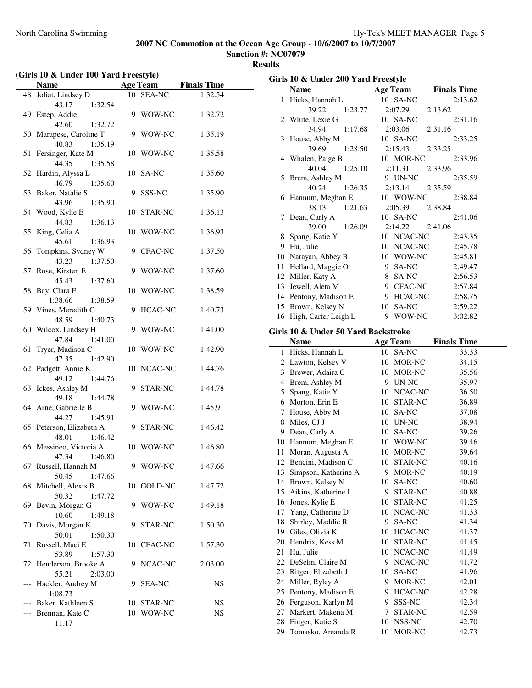| (Girls 10 & Under 100 Yard Freestyle) |                                              |    |                 |                    |
|---------------------------------------|----------------------------------------------|----|-----------------|--------------------|
|                                       | Name                                         |    | <b>Age Team</b> | <b>Finals Time</b> |
| 48                                    | Joliat, Lindsey D                            |    | 10 SEA-NC       | 1:32.54            |
|                                       | 43.17<br>1:32.54                             |    |                 |                    |
|                                       | 49 Estep, Addie                              | 9  | WOW-NC          | 1:32.72            |
|                                       | 42.60<br>1:32.72                             |    |                 |                    |
|                                       | 50 Marapese, Caroline T                      | 9  | WOW-NC          | 1:35.19            |
|                                       | 40.83<br>1:35.19                             |    |                 |                    |
| 51                                    | Fersinger, Kate M                            |    | 10 WOW-NC       | 1:35.58            |
|                                       | 44.35<br>1:35.58                             |    |                 |                    |
| 52                                    | Hardin, Alyssa L                             | 10 | SA-NC           | 1:35.60            |
|                                       | 46.79<br>1:35.60                             |    |                 |                    |
| 53                                    | Baker, Natalie S                             | 9  | SSS-NC          | 1:35.90            |
|                                       | 43.96<br>1:35.90                             |    |                 |                    |
| 54                                    | Wood, Kylie E                                | 10 | STAR-NC         | 1:36.13            |
|                                       | 44.83<br>1:36.13                             |    |                 |                    |
| 55                                    | King, Celia A                                |    | 10 WOW-NC       | 1:36.93            |
|                                       | 45.61<br>1:36.93                             |    |                 |                    |
| 56                                    | Tompkins, Sydney W                           |    | 9 CFAC-NC       | 1:37.50            |
|                                       | 43.23<br>1:37.50                             |    |                 |                    |
| 57                                    | Rose, Kirsten E                              | 9  | WOW-NC          | 1:37.60            |
|                                       | 45.43<br>1:37.60                             |    |                 |                    |
| 58                                    | Bay, Clara E                                 | 10 | WOW-NC          | 1:38.59            |
|                                       | 1:38.66                                      |    |                 |                    |
|                                       | 1:38.59<br>59 Vines, Meredith G              | 9  | HCAC-NC         | 1:40.73            |
|                                       | 48.59<br>1:40.73                             |    |                 |                    |
|                                       | 60 Wilcox, Lindsey H                         | 9  | WOW-NC          | 1:41.00            |
|                                       |                                              |    |                 |                    |
| 61                                    | 47.84<br>1:41.00<br>Tryer, Madison C         | 10 | WOW-NC          | 1:42.90            |
|                                       | 47.35<br>1:42.90                             |    |                 |                    |
|                                       |                                              |    |                 |                    |
| 62                                    | Padgett, Annie K                             |    | 10 NCAC-NC      | 1:44.76            |
|                                       | 49.12<br>1:44.76                             |    |                 |                    |
| 63                                    | Ickes, Ashley M<br>49.18<br>1:44.78          | 9  | STAR-NC         | 1:44.78            |
| 64                                    | Arne, Gabrielle B                            | 9  | WOW-NC          |                    |
|                                       |                                              |    |                 | 1:45.91            |
|                                       | 44.27<br>1:45.91<br>65 Peterson, Elizabeth A |    |                 |                    |
|                                       |                                              | 9. | STAR-NC         | 1:46.42            |
|                                       | 48.01<br>1:46.42                             |    |                 |                    |
| 66                                    | Messineo, Victoria A                         |    | 10 WOW-NC       | 1:46.80            |
|                                       | 47.34 1:46.80                                | 9  | WOW-NC          |                    |
| 67                                    | Russell, Hannah M                            |    |                 | 1:47.66            |
|                                       | 50.45<br>1:47.66                             |    |                 |                    |
| 68                                    | Mitchell, Alexis B                           |    | 10 GOLD-NC      | 1:47.72            |
|                                       | 50.32<br>1:47.72                             |    |                 |                    |
| 69                                    | Bevin, Morgan G                              | 9  | WOW-NC          | 1:49.18            |
|                                       | 10.60<br>1:49.18                             |    |                 |                    |
| 70                                    | Davis, Morgan K                              | 9  | STAR-NC         | 1:50.30            |
|                                       | 50.01<br>1:50.30                             |    |                 |                    |
| 71                                    | Russell, Maci E                              |    | 10 CFAC-NC      | 1:57.30            |
|                                       | 53.89<br>1:57.30                             |    |                 |                    |
| 72                                    | Henderson, Brooke A                          | 9  | NCAC-NC         | 2:03.00            |
|                                       | 55.21<br>2:03.00                             |    |                 |                    |
| ---                                   | Hackler, Audrey M                            | 9  | <b>SEA-NC</b>   | NS                 |
|                                       | 1:08.73                                      |    |                 |                    |
| $---$                                 | Baker, Kathleen S                            |    | 10 STAR-NC      | NS                 |
| $---$                                 | Brennan, Kate C                              |    | 10 WOW-NC       | NS                 |
|                                       | 11.17                                        |    |                 |                    |

| Girls 10 & Under 200 Yard Freestyle |                                     |                 |                    |  |  |
|-------------------------------------|-------------------------------------|-----------------|--------------------|--|--|
|                                     | <b>Name</b>                         | <b>Age Team</b> | <b>Finals Time</b> |  |  |
| 1                                   | Hicks, Hannah L                     | 10 SA-NC        | 2:13.62            |  |  |
|                                     | 39.22<br>1:23.77                    | 2:07.29         | 2:13.62            |  |  |
| 2                                   | White, Lexie G                      | 10 SA-NC        | 2:31.16            |  |  |
|                                     | 34.94<br>1:17.68                    | 2:03.06         | 2:31.16            |  |  |
| 3                                   | House, Abby M                       | 10 SA-NC        | 2:33.25            |  |  |
|                                     | 39.69<br>1:28.50                    | 2:15.43         | 2:33.25            |  |  |
|                                     | 4 Whalen, Paige B                   | 10 MOR-NC       | 2:33.96            |  |  |
|                                     | 40.04<br>1:25.10                    | 2:11.31         | 2:33.96            |  |  |
| 5                                   | Brem, Ashley M                      | 9 UN-NC         | 2:35.59            |  |  |
|                                     | 40.24<br>1:26.35                    | 2:13.14         | 2:35.59            |  |  |
| 6                                   | Hannum, Meghan E                    | 10 WOW-NC       | 2:38.84            |  |  |
|                                     | 38.13<br>1:21.63                    | 2:05.39         | 2:38.84            |  |  |
| 7                                   | Dean, Carly A                       | 10 SA-NC        | 2:41.06            |  |  |
|                                     | 39.00<br>1:26.09                    | 2:14.22         | 2:41.06            |  |  |
| 8                                   | Spang, Katie Y                      | 10 NCAC-NC      | 2:43.35            |  |  |
|                                     | 9 Hu, Julie                         | 10 NCAC-NC      | 2:45.78            |  |  |
|                                     | 10 Narayan, Abbey B                 | 10 WOW-NC       | 2:45.81            |  |  |
|                                     | 11 Hellard, Maggie O                | 9 SA-NC         | 2:49.47            |  |  |
|                                     | 12 Miller, Katy A                   | 8 SA-NC         | 2:56.53            |  |  |
|                                     | 13 Jewell, Aleta M                  | 9 CFAC-NC       | 2:57.84            |  |  |
|                                     | 14 Pentony, Madison E               | 9 HCAC-NC       | 2:58.75            |  |  |
|                                     | 15 Brown, Kelsey N                  | 10 SA-NC        | 2:59.22            |  |  |
|                                     | 16 High, Carter Leigh L             | 9 WOW-NC        | 3:02.82            |  |  |
|                                     | Girls 10 & Under 50 Yard Backstroke |                 |                    |  |  |
|                                     | <b>Name</b>                         | <b>Age Team</b> | <b>Finals Time</b> |  |  |
| 1                                   | Hicks, Hannah L                     | 10 SA-NC        | 33.33              |  |  |
|                                     | 2 Lawton, Kelsey V                  | 10 MOR-NC       | 34.15              |  |  |
|                                     | 3 Brewer, Adaira C                  | 10 MOR-NC       | 35.56              |  |  |
|                                     | 4 Brem, Ashley M                    | 9 UN-NC         | 35.97              |  |  |
|                                     | 5 Spang, Katie Y                    | 10 NCAC-NC      | 36.50              |  |  |
|                                     | 6 Morton, Erin E                    | 10 STAR-NC      | 36.89              |  |  |
|                                     | 7 House, Abby M                     | 10 SA-NC        | 37.08              |  |  |
|                                     | 8 Miles, CJ J                       | 10 UN-NC        | 38.94              |  |  |
|                                     | 9 Dean, Carly A                     | 10 SA-NC        | 39.26              |  |  |
|                                     | 10 Hannum, Meghan E                 | 10 WOW-NC       | 39.46              |  |  |
| 11                                  | Moran, Augusta A                    | 10 MOR-NC       | 39.64              |  |  |
|                                     | 12 Bencini, Madison C               | 10 STAR-NC      | 40.16              |  |  |
| 13                                  | Simpson, Katherine A                | 9 MOR-NC        | 40.19              |  |  |
| 14                                  | Brown, Kelsey N                     | SA-NC<br>10     | 40.60              |  |  |
| 15                                  | Aikins, Katherine I                 | 9<br>STAR-NC    | 40.88              |  |  |
|                                     | 16 Jones, Kylie E                   | 10<br>STAR-NC   | 41.25              |  |  |
| 17                                  | Yang, Catherine D                   | 10<br>NCAC-NC   | 41.33              |  |  |
| 18                                  | Shirley, Maddie R                   | SA-NC<br>9.     | 41.34              |  |  |
|                                     | 19 Giles, Olivia K                  | 10 HCAC-NC      | 41.37              |  |  |
| 20                                  | Hendrix, Kess M                     | STAR-NC<br>10   | 41.45              |  |  |
| 21                                  | Hu, Julie                           | 10 NCAC-NC      | 41.49              |  |  |
| 22                                  | DeSelm, Claire M                    | NCAC-NC<br>9.   | 41.72              |  |  |
| 23                                  | Ritger, Elizabeth J                 | 10<br>SA-NC     | 41.96              |  |  |
| 24                                  | Miller, Ryley A                     | MOR-NC<br>9     | 42.01              |  |  |
| 25                                  | Pentony, Madison E                  | HCAC-NC<br>9    | 42.28              |  |  |
| 26                                  | Ferguson, Karlyn M                  | SSS-NC<br>9.    | 42.34              |  |  |
| 27                                  | Markert, Makena M                   | STAR-NC<br>7    | 42.59              |  |  |
| 28                                  | Finger, Katie S                     | 10 NSS-NC       | 42.70              |  |  |
| 29                                  | Tomasko, Amanda R                   | MOR-NC<br>10    | 42.73              |  |  |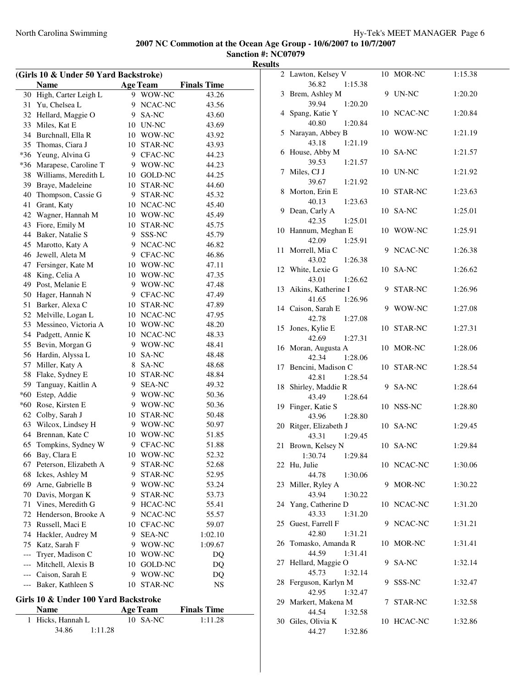**Sanction #: NC07079 Results**

| (Girls 10 & Under 50 Yard Backstroke) |                       |    |                 |                    |  |  |
|---------------------------------------|-----------------------|----|-----------------|--------------------|--|--|
|                                       | <b>Name</b>           |    | <b>Age Team</b> | <b>Finals Time</b> |  |  |
| 30                                    | High, Carter Leigh L  |    | 9 WOW-NC        | 43.26              |  |  |
| 31                                    | Yu, Chelsea L         |    | 9 NCAC-NC       | 43.56              |  |  |
| 32                                    | Hellard, Maggie O     |    | 9 SA-NC         | 43.60              |  |  |
| 33                                    | Miles, Kat E          |    | 10 UN-NC        | 43.69              |  |  |
| 34                                    | Burchnall, Ella R     |    | 10 WOW-NC       | 43.92              |  |  |
| 35                                    | Thomas, Ciara J       |    | 10 STAR-NC      | 43.93              |  |  |
| $*36$                                 | Yeung, Alvina G       |    | 9 CFAC-NC       | 44.23              |  |  |
| $*36$                                 | Marapese, Caroline T  |    | 9 WOW-NC        | 44.23              |  |  |
| 38                                    | Williams, Meredith L  |    | 10 GOLD-NC      | 44.25              |  |  |
| 39                                    | Braye, Madeleine      |    | 10 STAR-NC      | 44.60              |  |  |
| 40                                    | Thompson, Cassie G    |    | 9 STAR-NC       | 45.32              |  |  |
| 41                                    | Grant, Katy           |    | 10 NCAC-NC      | 45.40              |  |  |
| 42                                    | Wagner, Hannah M      |    | 10 WOW-NC       | 45.49              |  |  |
| 43                                    | Fiore, Emily M        |    | 10 STAR-NC      | 45.75              |  |  |
| 44                                    | Baker, Natalie S      |    | 9 SSS-NC        | 45.79              |  |  |
| 45                                    | Marotto, Katy A       |    | 9 NCAC-NC       | 46.82              |  |  |
| 46                                    | Jewell, Aleta M       |    | 9 CFAC-NC       | 46.86              |  |  |
| 47                                    | Fersinger, Kate M     |    | 10 WOW-NC       | 47.11              |  |  |
| 48                                    | King, Celia A         |    | 10 WOW-NC       | 47.35              |  |  |
| 49                                    | Post, Melanie E       |    | 9 WOW-NC        | 47.48              |  |  |
| 50                                    | Hager, Hannah N       |    | 9 CFAC-NC       | 47.49              |  |  |
| 51                                    | Barker, Alexa C       |    | 10 STAR-NC      | 47.89              |  |  |
| 52                                    | Melville, Logan L     |    | 10 NCAC-NC      | 47.95              |  |  |
| 53                                    | Messineo, Victoria A  |    | 10 WOW-NC       | 48.20              |  |  |
| 54                                    | Padgett, Annie K      |    | 10 NCAC-NC      | 48.33              |  |  |
| 55                                    | Bevin, Morgan G       |    | 9 WOW-NC        | 48.41              |  |  |
| 56                                    | Hardin, Alyssa L      |    | 10 SA-NC        | 48.48              |  |  |
| 57                                    | Miller, Katy A        |    | 8 SA-NC         | 48.68              |  |  |
| 58                                    | Flake, Sydney E       |    | 10 STAR-NC      | 48.84              |  |  |
| 59                                    | Tanguay, Kaitlin A    |    | 9 SEA-NC        | 49.32              |  |  |
| $*60$                                 | Estep, Addie          |    | 9 WOW-NC        | 50.36              |  |  |
| *60                                   | Rose, Kirsten E       |    | 9 WOW-NC        | 50.36              |  |  |
| 62                                    | Colby, Sarah J        |    | 10 STAR-NC      | 50.48              |  |  |
| 63                                    | Wilcox, Lindsey H     |    | 9 WOW-NC        | 50.97              |  |  |
| 64                                    | Brennan, Kate C       |    | 10 WOW-NC       | 51.85              |  |  |
| 65                                    | Tompkins, Sydney W    |    | 9 CFAC-NC       | 51.88              |  |  |
| 66                                    | Bay, Clara E          | 10 | WOW-NC          | 52.32              |  |  |
| 67                                    | Peterson, Elizabeth A | 9  | STAR-NC         | 52.68              |  |  |
| 68                                    | Ickes, Ashley M       | 9. | STAR-NC         | 52.95              |  |  |
| 69                                    | Arne, Gabrielle B     | 9. | WOW-NC          | 53.24              |  |  |
| 70                                    | Davis, Morgan K       | 9. | STAR-NC         | 53.73              |  |  |
| 71                                    | Vines, Meredith G     | 9  | HCAC-NC         | 55.41              |  |  |
| 72                                    | Henderson, Brooke A   | 9  | NCAC-NC         | 55.57              |  |  |
| 73                                    | Russell, Maci E       | 10 | CFAC-NC         | 59.07              |  |  |
| 74                                    | Hackler, Audrey M     | 9  | <b>SEA-NC</b>   | 1:02.10            |  |  |
| 75                                    | Katz, Sarah F         | 9. | WOW-NC          | 1:09.67            |  |  |
| ---                                   | Tryer, Madison C      | 10 | WOW-NC          | DQ                 |  |  |
| ---                                   | Mitchell, Alexis B    | 10 | <b>GOLD-NC</b>  | DQ                 |  |  |
|                                       | Caison, Sarah E       | 9  | WOW-NC          | DQ                 |  |  |
|                                       | Baker, Kathleen S     | 10 | STAR-NC         | NS                 |  |  |

#### **Girls 10 & Under 100 Yard Backstroke**

| <b>Name</b>       | <b>Age Team</b> | <b>Finals Time</b> |  |
|-------------------|-----------------|--------------------|--|
| 1 Hicks, Hannah L | $10$ SA-NC      | 1:11.28            |  |
| 34.86<br>1:11.28  |                 |                    |  |

| S  |                                         |    |            |         |
|----|-----------------------------------------|----|------------|---------|
|    | 2 Lawton, Kelsey V<br>36.82<br>1:15.38  |    | 10 MOR-NC  | 1:15.38 |
| 3  | Brem, Ashley M<br>39.94<br>1:20.20      |    | 9 UN-NC    | 1:20.20 |
| 4  | Spang, Katie Y<br>40.80<br>1:20.84      |    | 10 NCAC-NC | 1:20.84 |
| 5  | Narayan, Abbey B<br>43.18<br>1:21.19    |    | 10 WOW-NC  | 1:21.19 |
| 6  | House, Abby M<br>39.53<br>1:21.57       |    | 10 SA-NC   | 1:21.57 |
| 7  | Miles, CJ J<br>39.67<br>1:21.92         |    | 10 UN-NC   | 1:21.92 |
| 8  | Morton, Erin E<br>40.13<br>1:23.63      |    | 10 STAR-NC | 1:23.63 |
| 9  | Dean, Carly A<br>42.35<br>1:25.01       |    | 10 SA-NC   | 1:25.01 |
|    | 10 Hannum, Meghan E<br>42.09<br>1:25.91 |    | 10 WOW-NC  | 1:25.91 |
| 11 | Morrell, Mia C<br>43.02<br>1:26.38      | 9  | NCAC-NC    | 1:26.38 |
|    | 12 White, Lexie G<br>43.01<br>1:26.62   |    | 10 SA-NC   | 1:26.62 |
| 13 | Aikins, Katherine I<br>41.65<br>1:26.96 | 9  | STAR-NC    | 1:26.96 |
| 14 | Caison, Sarah E<br>42.78<br>1:27.08     | 9  | WOW-NC     | 1:27.08 |
| 15 | Jones, Kylie E<br>42.69<br>1:27.31      |    | 10 STAR-NC | 1:27.31 |
|    | 16 Moran, Augusta A<br>42.34<br>1:28.06 |    | 10 MOR-NC  | 1:28.06 |
| 17 | Bencini, Madison C<br>42.81<br>1:28.54  |    | 10 STAR-NC | 1:28.54 |
| 18 | Shirley, Maddie R<br>43.49<br>1:28.64   | 9. | SA-NC      | 1:28.64 |
| 19 | Finger, Katie S<br>43.96<br>1:28.80     |    | 10 NSS-NC  | 1:28.80 |
| 20 | Ritger, Elizabeth J<br>43.31<br>1:29.45 |    | 10 SA-NC   | 1:29.45 |
| 21 | Brown, Kelsey N<br>1:30.74<br>1:29.84   |    | 10 SA-NC   | 1:29.84 |
|    | 22 Hu, Julie<br>44.78<br>1:30.06        |    | 10 NCAC-NC | 1:30.06 |
| 23 | Miller, Ryley A<br>43.94<br>1:30.22     | 9  | MOR-NC     | 1:30.22 |
| 24 | Yang, Catherine D<br>43.33<br>1:31.20   |    | 10 NCAC-NC | 1:31.20 |
| 25 | Guest, Farrell F<br>42.80<br>1:31.21    | 9  | NCAC-NC    | 1:31.21 |
| 26 | Tomasko, Amanda R<br>44.59<br>1:31.41   |    | 10 MOR-NC  | 1:31.41 |
| 27 | Hellard, Maggie O<br>45.73<br>1:32.14   |    | 9 SA-NC    | 1:32.14 |
| 28 | Ferguson, Karlyn M<br>42.95<br>1:32.47  |    | 9 SSS-NC   | 1:32.47 |
| 29 | Markert, Makena M<br>44.54<br>1:32.58   |    | 7 STAR-NC  | 1:32.58 |
| 30 | Giles, Olivia K<br>44.27<br>1:32.86     | 10 | HCAC-NC    | 1:32.86 |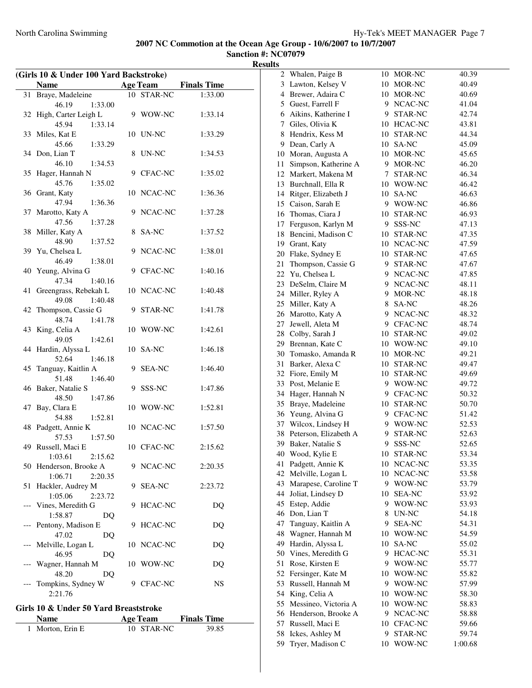**Sanction #: NC07079 Results**

| (Girls 10 & Under 100 Yard Backstroke) |                                      |    |                 |                    |
|----------------------------------------|--------------------------------------|----|-----------------|--------------------|
|                                        | <b>Name</b>                          |    | <b>Age Team</b> | <b>Finals Time</b> |
| 31                                     | Braye, Madeleine                     |    | 10 STAR-NC      | 1:33.00            |
|                                        | 46.19<br>1:33.00                     |    |                 |                    |
| 32                                     | High, Carter Leigh L                 |    | 9 WOW-NC        | 1:33.14            |
|                                        | 45.94<br>1:33.14                     |    |                 |                    |
| 33                                     | Miles, Kat E                         | 10 | UN-NC           | 1:33.29            |
|                                        | 45.66<br>1:33.29                     |    |                 |                    |
|                                        | 34 Don, Lian T                       | 8  | UN-NC           | 1:34.53            |
|                                        | 46.10<br>1:34.53                     |    |                 |                    |
| 35                                     | Hager, Hannah N                      |    | 9 CFAC-NC       | 1:35.02            |
|                                        | 45.76<br>1:35.02                     |    |                 |                    |
|                                        | 36 Grant, Katy                       |    | 10 NCAC-NC      | 1:36.36            |
|                                        | 47.94<br>1:36.36                     |    |                 |                    |
| 37                                     | Marotto, Katy A                      | 9  | NCAC-NC         | 1:37.28            |
|                                        | 47.56<br>1:37.28                     |    |                 |                    |
| 38                                     | Miller, Katy A                       | 8  | SA-NC           | 1:37.52            |
|                                        | 48.90<br>1:37.52                     |    |                 |                    |
|                                        | 39 Yu, Chelsea L                     | 9  | NCAC-NC         | 1:38.01            |
|                                        | 46.49<br>1:38.01                     |    |                 |                    |
| 40                                     | Yeung, Alvina G                      |    | 9 CFAC-NC       | 1:40.16            |
|                                        | 47.34<br>1:40.16                     |    |                 |                    |
| 41                                     | Greengrass, Rebekah L                |    | 10 NCAC-NC      | 1:40.48            |
|                                        | 1:40.48<br>49.08                     |    |                 |                    |
|                                        |                                      |    |                 |                    |
| 42                                     | Thompson, Cassie G                   |    | 9 STAR-NC       | 1:41.78            |
|                                        | 48.74<br>1:41.78                     |    |                 |                    |
| 43                                     | King, Celia A                        |    | 10 WOW-NC       | 1:42.61            |
|                                        | 49.05<br>1:42.61                     |    |                 |                    |
| 44                                     | Hardin, Alyssa L                     | 10 | SA-NC           | 1:46.18            |
|                                        | 52.64<br>1:46.18                     |    |                 |                    |
| 45                                     | Tanguay, Kaitlin A                   | 9. | <b>SEA-NC</b>   | 1:46.40            |
|                                        | 51.48<br>1:46.40                     |    |                 |                    |
|                                        | 46 Baker, Natalie S                  | 9  | SSS-NC          | 1:47.86            |
|                                        | 48.50<br>1:47.86                     |    |                 |                    |
| 47                                     | Bay, Clara E                         |    | 10 WOW-NC       | 1:52.81            |
|                                        | 54.88<br>1:52.81                     |    |                 |                    |
| 48                                     | Padgett, Annie K                     |    | 10 NCAC-NC      | 1:57.50            |
|                                        | 57.53<br>1:57.50                     |    |                 |                    |
| 49                                     | Russell, Maci E                      |    | 10 CFAC-NC      | 2:15.62            |
|                                        | $1:03.61$ $2:15.62$                  |    |                 |                    |
| 50                                     | Henderson, Brooke A                  | 9  | NCAC-NC         | 2:20.35            |
|                                        | 1:06.71<br>2:20.35                   |    |                 |                    |
| 51                                     | Hackler, Audrey M                    | 9  | <b>SEA-NC</b>   | 2:23.72            |
|                                        | 1:05.06<br>2:23.72                   |    |                 |                    |
|                                        | Vines, Meredith G                    | 9  | HCAC-NC         | DQ                 |
|                                        | 1:58.87<br>DQ                        |    |                 |                    |
|                                        | Pentony, Madison E                   | 9  | HCAC-NC         | DQ                 |
|                                        | 47.02<br>DQ                          |    |                 |                    |
|                                        | Melville, Logan L                    | 10 | NCAC-NC         | DQ                 |
|                                        | 46.95<br>DO                          |    |                 |                    |
|                                        | Wagner, Hannah M                     |    | 10 WOW-NC       | DQ                 |
|                                        | 48.20<br>DQ                          |    |                 |                    |
|                                        | Tompkins, Sydney W                   |    | 9 CFAC-NC       | NS                 |
|                                        | 2:21.76                              |    |                 |                    |
|                                        | $\Omega$ . Huden $E_0$ Vand Duccotat |    |                 |                    |

l.

| <b>Age Team</b><br><b>Name</b> |            | <b>Finals Time</b> |
|--------------------------------|------------|--------------------|
| 1 Morton, Erin E               | 10 STAR-NC | 39.85              |

| 2  | Whalen, Paige B        |    | 10 MOR-NC      | 40.39   |
|----|------------------------|----|----------------|---------|
| 3  | Lawton, Kelsey V       |    | 10 MOR-NC      | 40.49   |
| 4  | Brewer, Adaira C       | 10 | MOR-NC         | 40.69   |
| 5  | Guest, Farrell F       | 9. | NCAC-NC        | 41.04   |
| 6  | Aikins, Katherine I    | 9. | STAR-NC        | 42.74   |
| 7  | Giles, Olivia K        | 10 | HCAC-NC        | 43.81   |
| 8  | Hendrix, Kess M        | 10 | STAR-NC        | 44.34   |
| 9  | Dean, Carly A          | 10 | SA-NC          | 45.09   |
| 10 | Moran, Augusta A       | 10 | MOR-NC         | 45.65   |
| 11 | Simpson, Katherine A   | 9. | MOR-NC         | 46.20   |
| 12 | Markert, Makena M      | 7  | STAR-NC        | 46.34   |
|    | 13 Burchnall, Ella R   |    | 10 WOW-NC      | 46.42   |
|    | 14 Ritger, Elizabeth J | 10 | SA-NC          | 46.63   |
|    | 15 Caison, Sarah E     | 9. | WOW-NC         | 46.86   |
| 16 | Thomas, Ciara J        | 10 | STAR-NC        | 46.93   |
| 17 | Ferguson, Karlyn M     | 9. | SSS-NC         | 47.13   |
| 18 | Bencini, Madison C     |    |                |         |
|    |                        | 10 | STAR-NC        | 47.35   |
| 19 | Grant, Katy            | 10 | NCAC-NC        | 47.59   |
| 20 | Flake, Sydney E        | 10 | STAR-NC        | 47.65   |
| 21 | Thompson, Cassie G     | 9. | STAR-NC        | 47.67   |
| 22 | Yu, Chelsea L          | 9. | NCAC-NC        | 47.85   |
| 23 | DeSelm, Claire M       | 9  | NCAC-NC        | 48.11   |
| 24 | Miller, Ryley A        | 9  | MOR-NC         | 48.18   |
| 25 | Miller, Katy A         | 8  | SA-NC          | 48.26   |
| 26 | Marotto, Katy A        | 9  | NCAC-NC        | 48.32   |
| 27 | Jewell, Aleta M        | 9  | <b>CFAC-NC</b> | 48.74   |
| 28 | Colby, Sarah J         | 10 | STAR-NC        | 49.02   |
| 29 | Brennan, Kate C        | 10 | WOW-NC         | 49.10   |
| 30 | Tomasko, Amanda R      | 10 | MOR-NC         | 49.21   |
| 31 | Barker, Alexa C        | 10 | STAR-NC        | 49.47   |
| 32 | Fiore, Emily M         | 10 | STAR-NC        | 49.69   |
| 33 | Post, Melanie E        | 9  | WOW-NC         | 49.72   |
| 34 | Hager, Hannah N        | 9  | CFAC-NC        | 50.32   |
| 35 | Braye, Madeleine       | 10 | STAR-NC        | 50.70   |
| 36 | Yeung, Alvina G        | 9. | CFAC-NC        | 51.42   |
| 37 | Wilcox, Lindsey H      |    | 9 WOW-NC       | 52.53   |
| 38 | Peterson, Elizabeth A  | 9  | STAR-NC        | 52.63   |
| 39 | Baker, Natalie S       | 9  | SSS-NC         | 52.65   |
| 40 | Wood, Kylie E          | 10 | STAR-NC        | 53.34   |
| 41 | Padgett, Annie K       | 10 | NCAC-NC        | 53.35   |
| 42 | Melville, Logan L      | 10 | NCAC-NC        | 53.58   |
| 43 | Marapese, Caroline T   | 9  | WOW-NC         | 53.79   |
| 44 | Joliat, Lindsey D      | 10 | <b>SEA-NC</b>  | 53.92   |
| 45 | Estep, Addie           | 9  | WOW-NC         | 53.93   |
| 46 | Don, Lian T            | 8  | UN-NC          | 54.18   |
| 47 | Tanguay, Kaitlin A     | 9  |                | 54.31   |
| 48 |                        |    | <b>SEA-NC</b>  | 54.59   |
|    | Wagner, Hannah M       | 10 | WOW-NC         |         |
| 49 | Hardin, Alyssa L       | 10 | SA-NC          | 55.02   |
| 50 | Vines, Meredith G      | 9  | HCAC-NC        | 55.31   |
| 51 | Rose, Kirsten E        | 9  | WOW-NC         | 55.77   |
| 52 | Fersinger, Kate M      | 10 | WOW-NC         | 55.82   |
| 53 | Russell, Hannah M      | 9  | WOW-NC         | 57.99   |
| 54 | King, Celia A          | 10 | WOW-NC         | 58.30   |
| 55 | Messineo, Victoria A   | 10 | WOW-NC         | 58.83   |
| 56 | Henderson, Brooke A    | 9  | NCAC-NC        | 58.88   |
| 57 | Russell, Maci E        | 10 | CFAC-NC        | 59.66   |
| 58 | Ickes, Ashley M        | 9  | STAR-NC        | 59.74   |
| 59 | Tryer, Madison C       | 10 | WOW-NC         | 1:00.68 |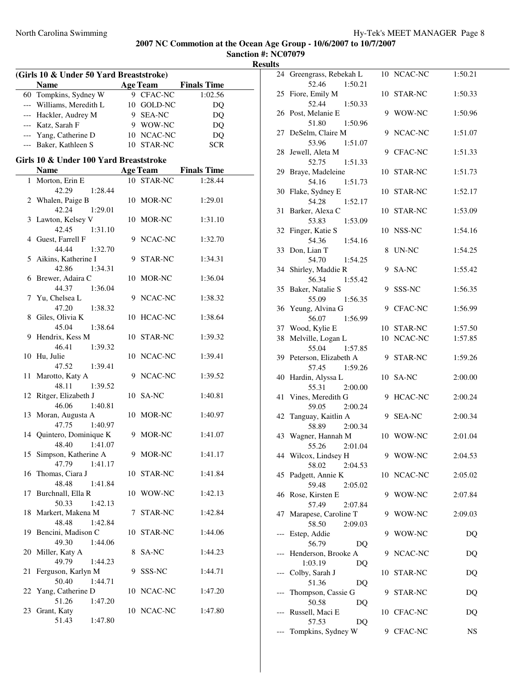| (Girls 10 & Under 50 Yard Breaststroke) |                                              |  |                 |                             |  |
|-----------------------------------------|----------------------------------------------|--|-----------------|-----------------------------|--|
|                                         | <b>Name</b>                                  |  |                 | <b>Age Team</b> Finals Time |  |
|                                         | 60 Tompkins, Sydney W                        |  | 9 CFAC-NC       | 1:02.56                     |  |
|                                         | --- Williams, Meredith L                     |  | 10 GOLD-NC      | DQ                          |  |
|                                         | --- Hackler, Audrey M                        |  | 9 SEA-NC        | DQ                          |  |
|                                         | --- Katz, Sarah F                            |  | 9 WOW-NC        | DQ                          |  |
|                                         | --- Yang, Catherine D                        |  | 10 NCAC-NC      | DQ                          |  |
|                                         | --- Baker, Kathleen S                        |  | 10 STAR-NC      | SCR                         |  |
|                                         | Girls 10 & Under 100 Yard Breaststroke       |  |                 |                             |  |
|                                         | <b>Name</b>                                  |  | <b>Age Team</b> | <b>Finals Time</b>          |  |
|                                         | 1 Morton, Erin E                             |  | 10 STAR-NC      | 1:28.44                     |  |
|                                         | 42.29<br>1:28.44                             |  |                 |                             |  |
|                                         | 2 Whalen, Paige B                            |  | 10 MOR-NC       | 1:29.01                     |  |
|                                         | 42.24<br>1:29.01                             |  |                 |                             |  |
|                                         | 3 Lawton, Kelsey V                           |  | 10 MOR-NC       | 1:31.10                     |  |
|                                         | 42.45<br>1:31.10                             |  |                 |                             |  |
|                                         | 4 Guest, Farrell F                           |  | 9 NCAC-NC       | 1:32.70                     |  |
|                                         | 44.44<br>1:32.70                             |  |                 |                             |  |
|                                         | 5 Aikins, Katherine I                        |  | 9 STAR-NC       | 1:34.31                     |  |
|                                         | 42.86<br>1:34.31                             |  |                 |                             |  |
|                                         | 6 Brewer, Adaira C                           |  | 10 MOR-NC       | 1:36.04                     |  |
|                                         | 44.37<br>1:36.04                             |  |                 |                             |  |
|                                         | 7 Yu, Chelsea L                              |  | 9 NCAC-NC       | 1:38.32                     |  |
|                                         | 47.20<br>1:38.32                             |  |                 |                             |  |
|                                         | 8 Giles, Olivia K                            |  | 10 HCAC-NC      | 1:38.64                     |  |
|                                         | 1:38.64<br>45.04                             |  |                 |                             |  |
|                                         | 9 Hendrix, Kess M                            |  | 10 STAR-NC      | 1:39.32                     |  |
|                                         | 46.41<br>1:39.32                             |  |                 |                             |  |
|                                         | 10 Hu, Julie                                 |  | 10 NCAC-NC      | 1:39.41                     |  |
|                                         | 47.52<br>1:39.41                             |  |                 |                             |  |
|                                         | 11 Marotto, Katy A                           |  | 9 NCAC-NC       | 1:39.52                     |  |
|                                         | 48.11<br>1:39.52                             |  |                 |                             |  |
| 12                                      | Ritger, Elizabeth J                          |  | 10 SA-NC        | 1:40.81                     |  |
|                                         | 46.06<br>1:40.81                             |  |                 |                             |  |
|                                         | 13 Moran, Augusta A                          |  | 10 MOR-NC       | 1:40.97                     |  |
|                                         | 47.75<br>1:40.97<br>14 Quintero, Dominique K |  | 9 MOR-NC        | 1:41.07                     |  |
|                                         | 48.40<br>1:41.07                             |  |                 |                             |  |
|                                         | 15 Simpson, Katherine A                      |  | 9 MOR-NC        | 1:41.17                     |  |
|                                         | 47.79 1:41.17                                |  |                 |                             |  |
| 16                                      | Thomas, Ciara J                              |  | 10 STAR-NC      | 1:41.84                     |  |
|                                         | 48.48<br>1:41.84                             |  |                 |                             |  |
| 17                                      | Burchnall, Ella R                            |  | 10 WOW-NC       | 1:42.13                     |  |
|                                         | 50.33<br>1:42.13                             |  |                 |                             |  |
| 18                                      | Markert, Makena M                            |  | 7 STAR-NC       | 1:42.84                     |  |
|                                         | 48.48<br>1:42.84                             |  |                 |                             |  |
|                                         | 19 Bencini, Madison C                        |  | 10 STAR-NC      | 1:44.06                     |  |
|                                         | 49.30<br>1:44.06                             |  |                 |                             |  |
|                                         | 20 Miller, Katy A                            |  | 8 SA-NC         | 1:44.23                     |  |
|                                         | 49.79<br>1:44.23                             |  |                 |                             |  |
|                                         | 21 Ferguson, Karlyn M                        |  | 9 SSS-NC        | 1:44.71                     |  |
|                                         | 50.40<br>1:44.71                             |  |                 |                             |  |
|                                         | 22 Yang, Catherine D                         |  | 10 NCAC-NC      | 1:47.20                     |  |
|                                         | 51.26<br>1:47.20                             |  |                 |                             |  |
|                                         | 23 Grant, Katy                               |  | 10 NCAC-NC      | 1:47.80                     |  |
|                                         | 51.43<br>1:47.80                             |  |                 |                             |  |

|       | 24 Greengrass, Rebekah L<br>52.46<br>1:50.21 |    | 10 NCAC-NC     | 1:50.21 |
|-------|----------------------------------------------|----|----------------|---------|
|       | 25 Fiore, Emily M                            |    | 10 STAR-NC     | 1:50.33 |
|       | 52.44<br>1:50.33                             |    |                |         |
|       | 26 Post, Melanie E                           |    | 9 WOW-NC       | 1:50.96 |
|       | 51.80<br>1:50.96                             |    |                |         |
|       | 27 DeSelm, Claire M                          | 9  | NCAC-NC        | 1:51.07 |
|       | 1:51.07<br>53.96                             |    | 9 CFAC-NC      |         |
|       | 28 Jewell, Aleta M<br>52.75<br>1:51.33       |    |                | 1:51.33 |
| 29    | Braye, Madeleine                             |    | 10 STAR-NC     | 1:51.73 |
|       | 54.16<br>1:51.73                             |    |                |         |
| 30    | Flake, Sydney E                              |    | 10 STAR-NC     | 1:52.17 |
|       | 54.28<br>1:52.17                             |    |                |         |
| 31    | Barker, Alexa C                              |    | 10 STAR-NC     | 1:53.09 |
|       | 53.83<br>1:53.09                             |    |                |         |
| 32    | Finger, Katie S<br>54.36                     |    | 10 NSS-NC      | 1:54.16 |
| 33    | 1:54.16<br>Don, Lian T                       |    | 8 UN-NC        | 1:54.25 |
|       | 54.70<br>1:54.25                             |    |                |         |
|       | 34 Shirley, Maddie R                         |    | 9 SA-NC        | 1:55.42 |
|       | 56.34<br>1:55.42                             |    |                |         |
|       | 35 Baker, Natalie S                          | 9  | SSS-NC         | 1:56.35 |
|       | 55.09<br>1:56.35                             |    |                |         |
|       | 36 Yeung, Alvina G                           |    | 9 CFAC-NC      | 1:56.99 |
|       | 56.07<br>1:56.99                             |    |                |         |
|       | 37 Wood, Kylie E                             |    | 10 STAR-NC     | 1:57.50 |
| 38    | Melville, Logan L<br>55.04<br>1:57.85        |    | 10 NCAC-NC     | 1:57.85 |
|       | 39 Peterson, Elizabeth A                     |    | 9 STAR-NC      | 1:59.26 |
|       | 57.45<br>1:59.26                             |    |                |         |
| 40    | Hardin, Alyssa L                             |    | 10 SA-NC       | 2:00.00 |
|       | 55.31<br>2:00.00                             |    |                |         |
| 41    | Vines, Meredith G                            | 9  | <b>HCAC-NC</b> | 2:00.24 |
|       | 2:00.24<br>59.05                             |    |                |         |
| 42    | Tanguay, Kaitlin A<br>58.89                  |    | 9 SEA-NC       | 2:00.34 |
|       | 2:00.34<br>43 Wagner, Hannah M               |    | 10 WOW-NC      | 2:01.04 |
|       | 55.26<br>2:01.04                             |    |                |         |
|       |                                              |    |                |         |
|       |                                              | 9  | WOW-NC         |         |
|       | 44 Wilcox, Lindsey H<br>58.02<br>2:04.53     |    |                | 2:04.53 |
|       | 45 Padgett, Annie K                          |    | 10 NCAC-NC     | 2:05.02 |
|       | 59.48<br>2:05.02                             |    |                |         |
|       | 46 Rose, Kirsten E                           | 9  | WOW-NC         | 2:07.84 |
|       | 57.49<br>2:07.84                             |    |                |         |
|       | 47 Marapese, Caroline T                      | 9  | WOW-NC         | 2:09.03 |
|       | 58.50<br>2:09.03                             |    |                |         |
| $---$ | Estep, Addie<br>56.79<br>D <sub>O</sub>      | 9  | WOW-NC         | DQ      |
|       | Henderson, Brooke A                          | 9  | NCAC-NC        | DQ      |
|       | 1:03.19<br>DQ                                |    |                |         |
|       | Colby, Sarah J                               | 10 | STAR-NC        | DQ      |
|       | 51.36<br>DQ                                  |    |                |         |
|       | Thompson, Cassie G                           | 9  | STAR-NC        | DQ      |
| $---$ | 50.58<br>DQ                                  |    |                |         |
|       | Russell, Maci E<br>57.53<br>DQ               |    | 10 CFAC-NC     | DQ      |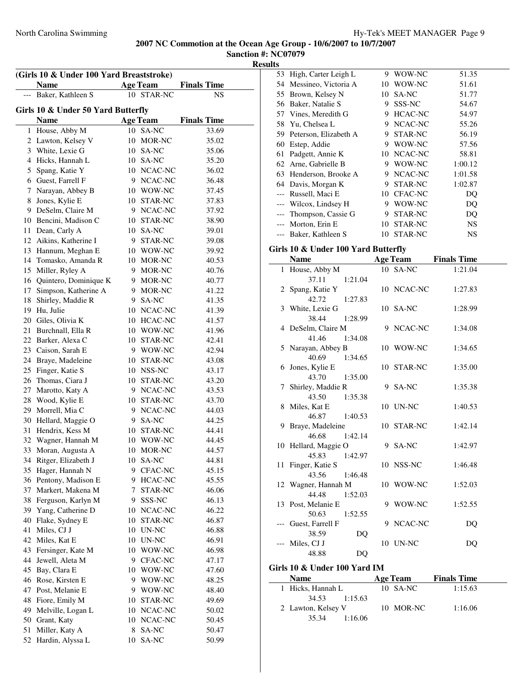**Sanction #: NC07079**

| (Girls 10 & Under 100 Yard Breaststroke) |                                    |    |                        |                    |  |
|------------------------------------------|------------------------------------|----|------------------------|--------------------|--|
|                                          | <b>Name</b>                        |    | <b>Age Team</b>        | <b>Finals Time</b> |  |
|                                          | Baker, Kathleen S                  |    | 10 STAR-NC             | <b>NS</b>          |  |
|                                          | Girls 10 & Under 50 Yard Butterfly |    |                        |                    |  |
|                                          | <b>Name</b>                        |    | <b>Age Team</b>        | <b>Finals Time</b> |  |
| 1                                        | House, Abby M                      |    | 10 SA-NC               | 33.69              |  |
|                                          | 2 Lawton, Kelsey V                 |    | 10 MOR-NC              | 35.02              |  |
|                                          | 3 White, Lexie G                   |    | 10 SA-NC               | 35.06              |  |
|                                          | 4 Hicks, Hannah L                  |    | 10 SA-NC               | 35.20              |  |
| 5                                        | Spang, Katie Y                     |    | 10 NCAC-NC             | 36.02              |  |
|                                          | 6 Guest, Farrell F                 |    | 9 NCAC-NC              | 36.48              |  |
|                                          | 7 Narayan, Abbey B                 |    | 10 WOW-NC              | 37.45              |  |
|                                          | 8 Jones, Kylie E                   |    | 10 STAR-NC             | 37.83              |  |
|                                          | 9 DeSelm, Claire M                 |    | 9 NCAC-NC              | 37.92              |  |
|                                          | 10 Bencini, Madison C              |    | 10 STAR-NC             | 38.90              |  |
|                                          | 11 Dean, Carly A                   |    | 10 SA-NC               | 39.01              |  |
|                                          | 12 Aikins, Katherine I             |    | 9 STAR-NC              | 39.08              |  |
|                                          | 13 Hannum, Meghan E                |    | 10 WOW-NC              | 39.92              |  |
|                                          | 14 Tomasko, Amanda R               |    | 10 MOR-NC              | 40.53              |  |
| 15                                       | Miller, Ryley A                    |    | 9 MOR-NC               | 40.76              |  |
|                                          | 16 Quintero, Dominique K           |    | 9 MOR-NC               | 40.77              |  |
| 17                                       | Simpson, Katherine A               |    | 9 MOR-NC               | 41.22              |  |
| 18                                       | Shirley, Maddie R                  |    | 9 SA-NC                | 41.35              |  |
|                                          | 19 Hu, Julie                       |    | 10 NCAC-NC             | 41.39              |  |
|                                          | 20 Giles, Olivia K                 |    | 10 HCAC-NC             | 41.57              |  |
|                                          | 21 Burchnall, Ella R               |    | 10 WOW-NC              | 41.96              |  |
|                                          | 22 Barker, Alexa C                 |    | 10 STAR-NC             | 42.41              |  |
|                                          | 23 Caison, Sarah E                 |    | 9 WOW-NC               | 42.94              |  |
|                                          | 24 Braye, Madeleine                |    | 10 STAR-NC             | 43.08              |  |
|                                          | 25 Finger, Katie S                 |    | 10 NSS-NC              | 43.17              |  |
|                                          | 26 Thomas, Ciara J                 |    | 10 STAR-NC             | 43.20              |  |
| 27                                       | Marotto, Katy A                    |    | 9 NCAC-NC              | 43.53              |  |
| 28                                       | Wood, Kylie E                      |    | 10 STAR-NC             | 43.70              |  |
|                                          | 29 Morrell, Mia C                  |    | 9 NCAC-NC              | 44.03              |  |
|                                          | 30 Hellard, Maggie O               |    | 9 SA-NC                | 44.25              |  |
| 31                                       | Hendrix, Kess M                    |    | 10 STAR-NC             | 44.41              |  |
| 32                                       | Wagner, Hannah M                   |    | 10 WOW-NC              | 44.45              |  |
| 33                                       | Moran, Augusta A                   |    | 10 MOR-NC              | 44.57              |  |
| 34                                       | Ritger, Elizabeth J                | 10 | SA-NC                  | 44.81              |  |
| 35                                       | Hager, Hannah N                    | 9  | CFAC-NC                | 45.15              |  |
| 36                                       | Pentony, Madison E                 | 9. | <b>HCAC-NC</b>         | 45.55              |  |
| 37                                       | Markert, Makena M                  | 7  | STAR-NC                | 46.06              |  |
| 38                                       | Ferguson, Karlyn M                 | 9. | SSS-NC                 | 46.13              |  |
|                                          | 39 Yang, Catherine D               |    | 10 NCAC-NC             | 46.22              |  |
| 40                                       | Flake, Sydney E                    |    | 10 STAR-NC             | 46.87              |  |
| 41                                       | Miles, CJ J                        |    | 10 UN-NC               | 46.88              |  |
| 42                                       | Miles, Kat E                       |    | 10 UN-NC               | 46.91              |  |
| 43                                       | Fersinger, Kate M                  | 10 | WOW-NC                 | 46.98              |  |
| 44                                       | Jewell, Aleta M                    | 9. | ${\rm CFAC\text{-}NC}$ | 47.17              |  |
| 45                                       | Bay, Clara E                       | 10 | WOW-NC                 | 47.60              |  |
|                                          | 46 Rose, Kirsten E                 | 9. | WOW-NC                 | 48.25              |  |
| 47                                       | Post, Melanie E                    | 9  | WOW-NC                 | 48.40              |  |
| 48                                       | Fiore, Emily M                     | 10 | STAR-NC                | 49.69              |  |
| 49                                       | Melville, Logan L                  | 10 | NCAC-NC                | 50.02              |  |
| 50                                       | Grant, Katy                        | 10 | NCAC-NC                | 50.45              |  |
| 51                                       | Miller, Katy A                     | 8  | SA-NC                  | 50.47              |  |
| 52                                       | Hardin, Alyssa L                   | 10 | SA-NC                  | 50.99              |  |
|                                          |                                    |    |                        |                    |  |

| 53 | High, Carter Leigh L     | 9  | WOW-NC         | 51.35   |
|----|--------------------------|----|----------------|---------|
|    | 54 Messineo, Victoria A  | 10 | WOW-NC         | 51.61   |
| 55 | Brown, Kelsey N          | 10 | SA-NC          | 51.77   |
|    | 56 Baker, Natalie S      | 9  | SSS-NC         | 54.67   |
|    | 57 Vines, Meredith G     | 9  | <b>HCAC-NC</b> | 54.97   |
|    | 58 Yu, Chelsea L         | 9  | NCAC-NC        | 55.26   |
|    | 59 Peterson, Elizabeth A | 9  | STAR-NC        | 56.19   |
| 60 | Estep, Addie             | 9  | WOW-NC         | 57.56   |
|    | 61 Padgett, Annie K      |    | 10 NCAC-NC     | 58.81   |
|    | 62 Arne, Gabrielle B     | 9  | WOW-NC         | 1:00.12 |
|    | 63 Henderson, Brooke A   | 9  | NCAC-NC        | 1:01.58 |
|    | 64 Davis, Morgan K       | 9  | STAR-NC        | 1:02.87 |
|    | --- Russell, Maci E      | 10 | <b>CFAC-NC</b> | DQ      |
|    | --- Wilcox, Lindsey H    | 9  | WOW-NC         | DO      |
|    | --- Thompson, Cassie G   | 9  | STAR-NC        | DQ      |
|    | --- Morton, Erin E       | 10 | STAR-NC        | NS      |
|    | --- Baker, Kathleen S    | 10 | STAR-NC        | NS      |

### **Girls 10 & Under 100 Yard Butterfly**

| <b>Name</b>          |         | <b>Age Team</b> | <b>Finals Time</b> |
|----------------------|---------|-----------------|--------------------|
| 1 House, Abby M      |         | 10 SA-NC        | 1:21.04            |
| 37.11                | 1:21.04 |                 |                    |
| 2 Spang, Katie Y     |         | 10 NCAC-NC      | 1:27.83            |
| 42.72                | 1:27.83 |                 |                    |
| 3 White, Lexie G     |         | 10 SA-NC        | 1:28.99            |
| 38.44 1:28.99        |         |                 |                    |
| 4 DeSelm, Claire M   |         | 9 NCAC-NC       | 1:34.08            |
| 41.46                | 1:34.08 |                 |                    |
| 5 Narayan, Abbey B   |         | 10 WOW-NC       | 1:34.65            |
| 40.69 1:34.65        |         |                 |                    |
| 6 Jones, Kylie E     |         | 10 STAR-NC      | 1:35.00            |
| 43.70                | 1:35.00 |                 |                    |
| 7 Shirley, Maddie R  |         | 9 SA-NC         | 1:35.38            |
| 43.50                | 1:35.38 |                 |                    |
| 8 Miles, Kat E       |         | 10 UN-NC        | 1:40.53            |
| 46.87 1:40.53        |         |                 |                    |
| 9 Braye, Madeleine   |         | 10 STAR-NC      | 1:42.14            |
| 46.68                | 1:42.14 |                 |                    |
| 10 Hellard, Maggie O |         | 9 SA-NC         | 1:42.97            |
| 45.83                | 1:42.97 |                 |                    |
| 11 Finger, Katie S   |         | 10 NSS-NC       | 1:46.48            |
| 43.56                | 1:46.48 |                 |                    |
| 12 Wagner, Hannah M  |         | 10 WOW-NC       | 1:52.03            |
| 44.48                | 1:52.03 |                 |                    |
| 13 Post, Melanie E   |         | 9 WOW-NC        | 1:52.55            |
| 50.63                | 1:52.55 | 9 NCAC-NC       |                    |
| --- Guest, Farrell F |         |                 | DQ                 |
| 38.59<br>Miles, CJ J | DQ      | 10 UN-NC        |                    |
| 48.88                | DO      |                 | DQ                 |
|                      |         |                 |                    |

### **Girls 10 & Under 100 Yard IM**

| <b>Name</b>        | <b>Age Team</b> | <b>Finals Time</b> |
|--------------------|-----------------|--------------------|
| 1 Hicks, Hannah L  | 10 SA-NC        | 1:15.63            |
| 34.53<br>1:15.63   |                 |                    |
| 2 Lawton, Kelsey V | 10 MOR-NC       | 1:16.06            |
| 35.34<br>1:16.06   |                 |                    |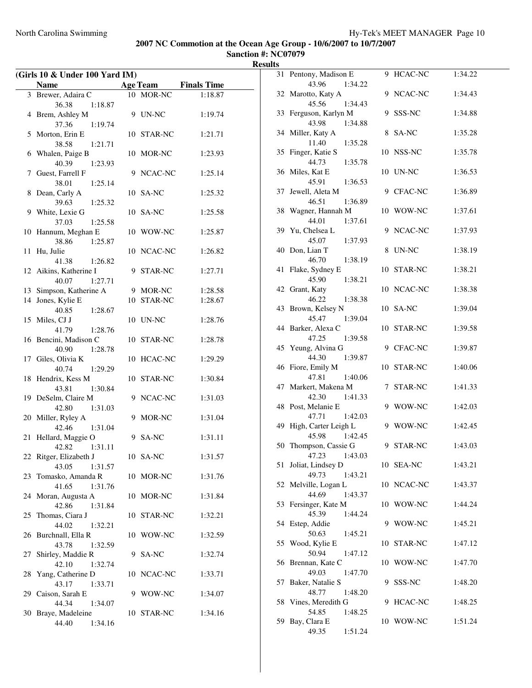| (Girls 10 & Under 100 Yard IM) |                                 |  |            |                             |
|--------------------------------|---------------------------------|--|------------|-----------------------------|
|                                | Name                            |  |            | <b>Age Team</b> Finals Time |
| 3                              | Brewer, Adaira C                |  | 10 MOR-NC  | 1:18.87                     |
|                                | 36.38<br>1:18.87                |  |            |                             |
| 4                              | Brem, Ashley M                  |  | 9 UN-NC    | 1:19.74                     |
|                                | 37.36<br>1:19.74                |  |            |                             |
| 5                              | Morton, Erin E                  |  | 10 STAR-NC | 1:21.71                     |
|                                | 38.58<br>1:21.71                |  |            |                             |
| 6                              | Whalen, Paige B                 |  | 10 MOR-NC  | 1:23.93                     |
|                                | 40.39<br>1:23.93                |  |            |                             |
|                                | 7 Guest, Farrell F              |  | 9 NCAC-NC  | 1:25.14                     |
|                                | 38.01<br>1:25.14                |  |            |                             |
| 8                              | Dean, Carly A                   |  | 10 SA-NC   | 1:25.32                     |
|                                | 39.63<br>1:25.32                |  |            |                             |
| 9                              | White, Lexie G                  |  | 10 SA-NC   | 1:25.58                     |
|                                | 37.03<br>1:25.58                |  |            |                             |
| 10                             | Hannum, Meghan E                |  | 10 WOW-NC  | 1:25.87                     |
|                                | 38.86<br>1:25.87                |  |            |                             |
| 11                             | Hu, Julie                       |  | 10 NCAC-NC | 1:26.82                     |
|                                | 41.38<br>1:26.82                |  |            |                             |
|                                | 12 Aikins, Katherine I          |  | 9 STAR-NC  | 1:27.71                     |
|                                | 40.07<br>1:27.71                |  |            |                             |
|                                | 13 Simpson, Katherine A         |  | 9 MOR-NC   | 1:28.58                     |
| 14                             | Jones, Kylie E                  |  | 10 STAR-NC | 1:28.67                     |
|                                | 40.85<br>1:28.67                |  |            |                             |
|                                | 15 Miles, CJ J                  |  | 10 UN-NC   | 1:28.76                     |
|                                | 41.79<br>1:28.76                |  |            |                             |
|                                | 16 Bencini, Madison C           |  | 10 STAR-NC | 1:28.78                     |
|                                | 40.90<br>1:28.78                |  |            |                             |
|                                | 17 Giles, Olivia K              |  | 10 HCAC-NC | 1:29.29                     |
|                                | 40.74<br>1:29.29                |  |            |                             |
| 18                             | Hendrix, Kess M                 |  | 10 STAR-NC | 1:30.84                     |
|                                | 43.81<br>1:30.84                |  |            |                             |
|                                | 19 DeSelm, Claire M             |  | 9 NCAC-NC  | 1:31.03                     |
|                                | 42.80<br>1:31.03                |  |            |                             |
|                                | 20 Miller, Ryley A              |  | 9 MOR-NC   | 1:31.04                     |
|                                | 42.46<br>1:31.04                |  |            |                             |
| 21                             | Hellard, Maggie O               |  | 9 SA-NC    | 1:31.11                     |
|                                | 42.82<br>1:31.11                |  |            |                             |
|                                | 22 Ritger, Elizabeth J<br>43.05 |  | 10 SA-NC   | 1:31.57                     |
| 23                             | 1:31.57<br>Tomasko, Amanda R    |  | 10 MOR-NC  | 1:31.76                     |
|                                | 41.65<br>1:31.76                |  |            |                             |
| 24                             | Moran, Augusta A                |  | 10 MOR-NC  | 1:31.84                     |
|                                | 42.86<br>1:31.84                |  |            |                             |
| 25                             | Thomas, Ciara J                 |  | 10 STAR-NC | 1:32.21                     |
|                                | 44.02<br>1:32.21                |  |            |                             |
| 26                             | Burchnall, Ella R               |  | 10 WOW-NC  | 1:32.59                     |
|                                | 43.78<br>1:32.59                |  |            |                             |
| 27                             | Shirley, Maddie R               |  | 9 SA-NC    | 1:32.74                     |
|                                | 42.10<br>1:32.74                |  |            |                             |
| 28                             | Yang, Catherine D               |  | 10 NCAC-NC | 1:33.71                     |
|                                | 43.17<br>1:33.71                |  |            |                             |
|                                | 29 Caison, Sarah E              |  | 9 WOW-NC   | 1:34.07                     |
|                                | 44.34<br>1:34.07                |  |            |                             |
| 30                             | Braye, Madeleine                |  | 10 STAR-NC | 1:34.16                     |
|                                | 44.40<br>1:34.16                |  |            |                             |

| 31 | Pentony, Madison E   | 9. | HCAC-NC        | 1:34.22 |
|----|----------------------|----|----------------|---------|
|    | 43.96<br>1:34.22     |    |                |         |
| 32 | Marotto, Katy A      | 9  | NCAC-NC        | 1:34.43 |
|    | 45.56<br>1:34.43     |    |                |         |
| 33 | Ferguson, Karlyn M   | 9  | SSS-NC         | 1:34.88 |
|    | 43.98<br>1:34.88     |    |                |         |
| 34 | Miller, Katy A       | 8  | SA-NC          | 1:35.28 |
|    | 11.40<br>1:35.28     |    |                |         |
| 35 | Finger, Katie S      | 10 | NSS-NC         | 1:35.78 |
|    | 44.73<br>1:35.78     |    |                |         |
| 36 | Miles, Kat E         |    | 10 UN-NC       | 1:36.53 |
|    | 45.91<br>1:36.53     |    |                |         |
|    | Jewell, Aleta M      | 9  | <b>CFAC-NC</b> |         |
| 37 |                      |    |                | 1:36.89 |
|    | 46.51<br>1:36.89     |    |                |         |
| 38 | Wagner, Hannah M     |    | 10 WOW-NC      | 1:37.61 |
|    | 44.01<br>1:37.61     |    |                |         |
| 39 | Yu, Chelsea L        | 9  | NCAC-NC        | 1:37.93 |
|    | 45.07<br>1:37.93     |    |                |         |
| 40 | Don, Lian T          | 8  | UN-NC          | 1:38.19 |
|    | 46.70<br>1:38.19     |    |                |         |
| 41 | Flake, Sydney E      |    | 10 STAR-NC     | 1:38.21 |
|    | 45.90<br>1:38.21     |    |                |         |
|    | 42 Grant, Katy       |    | 10 NCAC-NC     | 1:38.38 |
|    | 46.22<br>1:38.38     |    |                |         |
| 43 | Brown, Kelsey N      |    | 10 SA-NC       | 1:39.04 |
|    | 45.47<br>1:39.04     |    |                |         |
| 44 | Barker, Alexa C      |    | 10 STAR-NC     | 1:39.58 |
|    | 47.25<br>1:39.58     |    |                |         |
| 45 | Yeung, Alvina G      |    | 9 CFAC-NC      | 1:39.87 |
|    | 44.30<br>1:39.87     |    |                |         |
| 46 | Fiore, Emily M       |    | 10 STAR-NC     | 1:40.06 |
|    | 47.81<br>1:40.06     |    |                |         |
| 47 | Markert, Makena M    | 7  | STAR-NC        | 1:41.33 |
|    | 42.30<br>1:41.33     |    |                |         |
| 48 | Post, Melanie E      | 9  | WOW-NC         | 1:42.03 |
|    | 47.71<br>1:42.03     |    |                |         |
| 49 | High, Carter Leigh L | 9  | WOW-NC         | 1:42.45 |
|    | 45.98<br>1:42.45     |    |                |         |
| 50 | Thompson, Cassie G   | 9  | <b>STAR-NC</b> | 1:43.03 |
|    | 47.23 1:43.03        |    |                |         |
| 51 | Joliat, Lindsey D    |    | 10 SEA-NC      | 1:43.21 |
|    | 49.73<br>1:43.21     |    |                |         |
| 52 | Melville, Logan L    |    | 10 NCAC-NC     | 1:43.37 |
|    | 44.69<br>1:43.37     |    |                |         |
| 53 | Fersinger, Kate M    |    | 10 WOW-NC      | 1:44.24 |
|    | 45.39<br>1:44.24     |    |                |         |
| 54 | Estep, Addie         | 9  | WOW-NC         | 1:45.21 |
|    | 50.63<br>1:45.21     |    |                |         |
| 55 | Wood, Kylie E        | 10 | STAR-NC        | 1:47.12 |
|    | 50.94<br>1:47.12     |    |                |         |
| 56 | Brennan, Kate C      |    | 10 WOW-NC      | 1:47.70 |
|    | 49.03<br>1:47.70     |    |                |         |
| 57 | Baker, Natalie S     | 9. | SSS-NC         | 1:48.20 |
|    | 48.77<br>1:48.20     |    |                |         |
| 58 | Vines, Meredith G    | 9  | HCAC-NC        | 1:48.25 |
|    | 54.85<br>1:48.25     |    |                |         |
| 59 | Bay, Clara E         |    | 10 WOW-NC      | 1:51.24 |
|    | 49.35<br>1:51.24     |    |                |         |
|    |                      |    |                |         |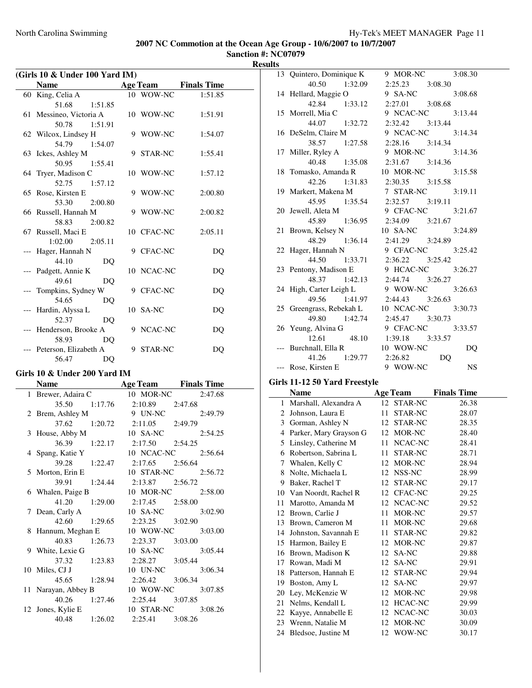**Sanction #: NC07079 Results**

| (Girls 10 & Under 100 Yard IM) |                                     |   |                 |                    |  |
|--------------------------------|-------------------------------------|---|-----------------|--------------------|--|
|                                | <b>Name</b>                         |   | <b>Age Team</b> | <b>Finals Time</b> |  |
|                                | 60 King, Celia A                    |   | 10 WOW-NC       | 1:51.85            |  |
|                                | 51.68<br>1:51.85                    |   |                 |                    |  |
|                                | 61 Messineo, Victoria A             |   | 10 WOW-NC       | 1:51.91            |  |
|                                | 50.78<br>1:51.91                    |   |                 |                    |  |
|                                | 62 Wilcox, Lindsey H                |   | 9 WOW-NC        | 1:54.07            |  |
|                                | 54.79 1:54.07                       |   |                 |                    |  |
|                                | 63 Ickes, Ashley M                  |   | 9 STAR-NC       | 1:55.41            |  |
|                                | 50.95<br>1:55.41                    |   |                 |                    |  |
|                                | 64 Tryer, Madison C                 |   | 10 WOW-NC       | 1:57.12            |  |
|                                | 52.75<br>1:57.12                    |   |                 |                    |  |
|                                | 65 Rose, Kirsten E                  |   | 9 WOW-NC        | 2:00.80            |  |
|                                | 53.30<br>2:00.80                    |   |                 |                    |  |
|                                | 66 Russell, Hannah M                |   | 9 WOW-NC        | 2:00.82            |  |
|                                | 58.83<br>2:00.82                    |   |                 |                    |  |
|                                | 67 Russell, Maci E                  |   | 10 CFAC-NC      | 2:05.11            |  |
|                                | 1:02.00<br>2:05.11                  |   |                 |                    |  |
|                                | --- Hager, Hannah N<br>44.10        |   | 9 CFAC-NC       | DQ                 |  |
|                                | DO                                  |   | 10 NCAC-NC      |                    |  |
|                                | --- Padgett, Annie K<br>49.61<br>DQ |   |                 | DQ                 |  |
|                                | --- Tompkins, Sydney W              |   | 9 CFAC-NC       | DQ                 |  |
|                                | 54.65<br>DQ                         |   |                 |                    |  |
|                                | Hardin, Alyssa L                    |   | 10 SA-NC        | DQ                 |  |
|                                | 52.37<br>DO                         |   |                 |                    |  |
|                                | --- Henderson, Brooke A             |   | 9 NCAC-NC       | DQ                 |  |
|                                | 58.93<br>DO                         |   |                 |                    |  |
|                                | Peterson, Elizabeth A               | 9 | <b>STAR-NC</b>  | DQ                 |  |
|                                | 56.47<br>DO                         |   |                 |                    |  |

## **Girls 10 & Under 200 Yard IM**

| <b>Name</b>                  |                                     | Age Team Finals Time                  |
|------------------------------|-------------------------------------|---------------------------------------|
|                              |                                     | 1 Brewer, Adaira C 10 MOR-NC 2:47.68  |
|                              | 35.50 1:17.76 2:10.89 2:47.68       |                                       |
| 2 Brem, Ashley M 9 UN-NC     |                                     | 2:49.79                               |
|                              | 37.62 1:20.72 2:11.05 2:49.79       |                                       |
| 3 House, Abby M 10 SA-NC     |                                     | 2:54.25                               |
|                              | 36.39 1:22.17 2:17.50 2:54.25       |                                       |
|                              |                                     | 4 Spang, Katie Y 10 NCAC-NC 2:56.64   |
|                              | 39.28 1:22.47 2:17.65 2:56.64       |                                       |
|                              |                                     | 5 Morton, Erin E 10 STAR-NC 2:56.72   |
|                              | 39.91 1:24.44 2:13.87 2:56.72       |                                       |
|                              |                                     | 6 Whalen, Paige B 10 MOR-NC 2:58.00   |
|                              | 41.20 1:29.00 2:17.45 2:58.00       |                                       |
| 7 Dean, Carly A              | 10 SA-NC                            | 3:02.90                               |
|                              | 42.60 1:29.65 2:23.25 3:02.90       |                                       |
| 8 Hannum, Meghan E 10 WOW-NC |                                     | 3:03.00                               |
|                              | 40.83 1:26.73 2:23.37 3:03.00       |                                       |
| 9 White, Lexie G             | 10 SA-NC                            | 3:05.44                               |
|                              | 37.32   1:23.83   2:28.27   3:05.44 |                                       |
| 10 Miles, CJ J               | 10 UN-NC                            | 3:06.34                               |
|                              | 45.65 1:28.94 2:26.42 3:06.34       |                                       |
|                              |                                     | 11 Narayan, Abbey B 10 WOW-NC 3:07.85 |
|                              | 40.26 1:27.46 2:25.44 3:07.85       |                                       |
|                              |                                     | 12 Jones, Kylie E 10 STAR-NC 3:08.26  |
|                              | 40.48 1:26.02 2:25.41 3:08.26       |                                       |

| 13 Quintero, Dominique K        |               |                                  | 9 MOR-NC 3:08.30                            |
|---------------------------------|---------------|----------------------------------|---------------------------------------------|
| 40.50 1:32.09                   |               | $2:25.23$ $3:08.30$              |                                             |
| 14 Hellard, Maggie O            |               | 9 SA-NC                          | 3:08.68                                     |
|                                 | 42.84 1:33.12 |                                  | 2:27.01 3:08.68                             |
| 15 Morrell, Mia C               |               |                                  | 9 NCAC-NC 3:13.44                           |
| 44.07 1:32.72                   |               | 2:32.42 3:13.44                  |                                             |
| 16 DeSelm, Claire M             |               |                                  | 9 NCAC-NC 3:14.34                           |
|                                 | 38.57 1:27.58 | $2:28.16$ $3:14.34$              |                                             |
| 17 Miller, Ryley A              |               |                                  | 9 MOR-NC 3:14.36                            |
|                                 | 40.48 1:35.08 | $2:31.67$ $3:14.36$              |                                             |
| 18 Tomasko, Amanda R            |               |                                  | 10 MOR-NC 3:15.58                           |
|                                 |               | 42.26 1:31.83 2:30.35 3:15.58    |                                             |
| 19 Markert, Makena M            |               |                                  | 7 STAR-NC 3:19.11                           |
| 45.95 1:35.54                   |               |                                  | $2:32.57$ $3:19.11$                         |
| 20 Jewell, Aleta M              |               |                                  | 9 CFAC-NC 3:21.67                           |
|                                 |               | 45.89 1:36.95 2:34.09 3:21.67    |                                             |
| 21 Brown, Kelsey N              |               |                                  | 10 SA-NC 3:24.89                            |
|                                 |               | 48.29 1:36.14 2:41.29 3:24.89    |                                             |
| 22 Hager, Hannah N              |               |                                  | 9 CFAC-NC 3:25.42                           |
|                                 |               | 44.50  1:33.71  2:36.22  3:25.42 |                                             |
| 23 Pentony, Madison E           |               |                                  | 9 HCAC-NC 3:26.27                           |
| 48.37 1:42.13                   |               | 2:44.74 3:26.27                  |                                             |
| 24 High, Carter Leigh L         |               |                                  | 9 WOW-NC 3:26.63                            |
| 49.56 1:41.97                   |               | $2:44.43$ $3:26.63$              |                                             |
|                                 |               |                                  | 25 Greengrass, Rebekah L 10 NCAC-NC 3:30.73 |
|                                 |               | 49.80 1:42.74 2:45.47 3:30.73    |                                             |
| 26 Yeung, Alvina G              |               |                                  | 9 CFAC-NC 3:33.57                           |
|                                 |               | 12.61 48.10 1:39.18 3:33.57      |                                             |
| --- Burchnall, Ella R 10 WOW-NC |               |                                  | DQ                                          |
|                                 |               | 41.26 1:29.77 2:26.82 DQ         |                                             |
| --- Rose, Kirsten E             |               | 9 WOW-NC                         | <b>NS</b>                                   |

#### **Girls 11-12 50 Yard Freestyle**

|    | Name                   |    | <b>Age Team</b> | <b>Finals Time</b> |
|----|------------------------|----|-----------------|--------------------|
| 1  | Marshall, Alexandra A  |    | 12 STAR-NC      | 26.38              |
| 2  | Johnson, Laura E       | 11 | <b>STAR-NC</b>  | 28.07              |
| 3  | Gorman, Ashley N       | 12 | STAR-NC         | 28.35              |
| 4  | Parker, Mary Grayson G | 12 | MOR-NC          | 28.40              |
| 5  | Linsley, Catherine M   | 11 | NCAC-NC         | 28.41              |
| 6  | Robertson, Sabrina L   | 11 | STAR-NC         | 28.71              |
| 7  | Whalen, Kelly C        | 12 | MOR-NC          | 28.94              |
| 8  | Nolte, Michaela L      |    | 12 NSS-NC       | 28.99              |
| 9  | Baker, Rachel T        | 12 | STAR-NC         | 29.17              |
| 10 | Van Noordt, Rachel R   | 12 | <b>CFAC-NC</b>  | 29.25              |
| 11 | Marotto, Amanda M      | 12 | NCAC-NC         | 29.52              |
| 12 | Brown, Carlie J        | 11 | MOR-NC          | 29.57              |
| 13 | Brown, Cameron M       | 11 | MOR-NC          | 29.68              |
| 14 | Johnston, Savannah E   | 11 | STAR-NC         | 29.82              |
| 15 | Harmon, Bailey E       | 12 | MOR-NC          | 29.87              |
| 16 | Brown, Madison K       | 12 | SA-NC           | 29.88              |
| 17 | Rowan, Madi M          | 12 | SA-NC           | 29.91              |
| 18 | Patterson, Hannah E    | 12 | <b>STAR-NC</b>  | 29.94              |
| 19 | Boston, Amy L          | 12 | SA-NC           | 29.97              |
| 20 | Ley, McKenzie W        | 12 | MOR-NC          | 29.98              |
| 21 | Nelms, Kendall L       | 12 | HCAC-NC         | 29.99              |
| 22 | Kayye, Annabelle E     | 12 | NCAC-NC         | 30.03              |
| 23 | Wrenn, Natalie M       | 12 | MOR-NC          | 30.09              |
| 24 | Bledsoe, Justine M     | 12 | WOW-NC          | 30.17              |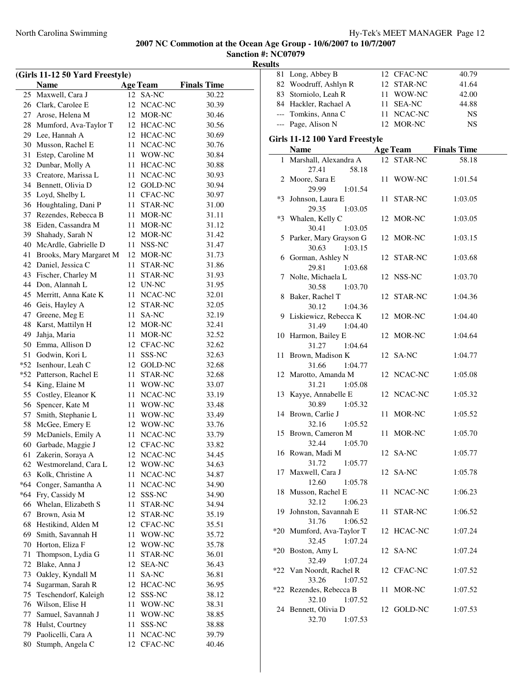| (Girls 11-12 50 Yard Freestyle) |                                           |          |                       |                    |  |
|---------------------------------|-------------------------------------------|----------|-----------------------|--------------------|--|
|                                 | <b>Name</b>                               |          | <b>Age Team</b>       | <b>Finals Time</b> |  |
| 25                              | Maxwell, Cara J                           | 12       | SA-NC                 | 30.22              |  |
| 26                              | Clark, Carolee E                          | 12       | NCAC-NC               | 30.39              |  |
| 27                              | Arose, Helena M                           | 12       | MOR-NC                | 30.46              |  |
| 28                              | Mumford, Ava-Taylor T                     |          | 12 HCAC-NC            | 30.56              |  |
| 29                              | Lee, Hannah A                             |          | 12 HCAC-NC            | 30.69              |  |
| 30                              | Musson, Rachel E                          |          | 11 NCAC-NC            | 30.76              |  |
| 31                              | Estep, Caroline M                         | 11       | WOW-NC                | 30.84              |  |
| 32                              | Dunbar, Molly A                           | 11       | HCAC-NC               | 30.88              |  |
| 33                              | Creatore, Marissa L                       |          | 11 NCAC-NC            | 30.93              |  |
| 34                              | Bennett, Olivia D                         |          | 12 GOLD-NC            | 30.94              |  |
| 35                              | Loyd, Shelby L                            | 11       | CFAC-NC               | 30.97              |  |
| 36                              | Houghtaling, Dani P                       | 11       | STAR-NC               | 31.00              |  |
| 37                              | Rezendes, Rebecca B                       | 11       | MOR-NC                | 31.11              |  |
| 38                              | Eiden, Cassandra M                        | 11       | MOR-NC                | 31.12              |  |
| 39                              | Shahady, Sarah N                          |          | 12 MOR-NC             | 31.42              |  |
| 40                              | McArdle, Gabrielle D                      | 11       | NSS-NC                | 31.47              |  |
| 41                              | Brooks, Mary Margaret M                   |          | 12 MOR-NC             | 31.73              |  |
| 42                              | Daniel, Jessica C                         | 11       | STAR-NC               | 31.86              |  |
| 43                              | Fischer, Charley M                        | 11       | STAR-NC               | 31.93              |  |
| 44                              | Don, Alannah L                            |          | 12 UN-NC              | 31.95              |  |
| 45                              | Merritt, Anna Kate K                      | 11       | NCAC-NC               | 32.01              |  |
| 46                              | Geis, Hayley A                            | 12       | STAR-NC               | 32.05              |  |
| 47                              | Greene, Meg E                             | 11       | SA-NC                 | 32.19              |  |
| 48                              | Karst, Mattilyn H                         | 12       | MOR-NC                | 32.41              |  |
| 49                              | Jahja, Maria                              | 11       | MOR-NC                | 32.52              |  |
| 50                              | Emma, Allison D                           | 12       |                       |                    |  |
| 51                              | Godwin, Kori L                            | 11       | CFAC-NC<br>SSS-NC     | 32.62<br>32.63     |  |
| $*52$                           |                                           |          |                       |                    |  |
| $*52$                           | Isenhour, Leah C<br>Patterson, Rachel E   | 11       | 12 GOLD-NC<br>STAR-NC | 32.68              |  |
| 54                              |                                           |          |                       | 32.68              |  |
|                                 | King, Elaine M                            | 11       | WOW-NC                | 33.07              |  |
| 55                              | Costley, Eleanor K<br>Spencer, Kate M     | 11       | NCAC-NC               | 33.19              |  |
| 56<br>57                        | Smith, Stephanie L                        | 11<br>11 | WOW-NC<br>WOW-NC      | 33.48              |  |
| 58                              | McGee, Emery E                            |          | 12 WOW-NC             | 33.49              |  |
| 59                              | McDaniels, Emily A                        | 11       | NCAC-NC               | 33.76<br>33.79     |  |
| 60                              | Garbade, Maggie J                         | 12       | CFAC-NC               | 33.82              |  |
|                                 |                                           |          |                       |                    |  |
| 61                              | Zakerin, Soraya A                         | 12       | NCAC-NC               | 34.45              |  |
| 62<br>63                        | Westmoreland, Cara L<br>Kolk, Christine A | 12<br>11 | WOW-NC                | 34.63<br>34.87     |  |
| $*64$                           |                                           |          | NCAC-NC               |                    |  |
| $*64$                           | Conger, Samantha A<br>Fry, Cassidy M      | 11<br>12 | NCAC-NC<br>SSS-NC     | 34.90<br>34.90     |  |
| 66                              | Whelan, Elizabeth S                       | 11       | STAR-NC               |                    |  |
| 67                              | Brown, Asia M                             | 12       | STAR-NC               | 34.94<br>35.19     |  |
|                                 |                                           | 12       |                       |                    |  |
| 68                              | Hestikind, Alden M                        |          | CFAC-NC<br>WOW-NC     | 35.51              |  |
| 69                              | Smith, Savannah H                         | 11       |                       | 35.72              |  |
| 70                              | Horton, Eliza F                           | 12       | WOW-NC                | 35.78              |  |
| 71                              | Thompson, Lydia G                         | 11       | STAR-NC               | 36.01              |  |
| 72                              | Blake, Anna J                             | 12       | <b>SEA-NC</b>         | 36.43              |  |
| 73                              | Oakley, Kyndall M                         | 11       | SA-NC                 | 36.81              |  |
| 74                              | Sugarman, Sarah R                         | 12       | HCAC-NC               | 36.95              |  |
| 75                              | Teschendorf, Kaleigh                      | 12       | SSS-NC                | 38.12              |  |
| 76                              | Wilson, Elise H                           | 11       | WOW-NC                | 38.31              |  |
| 77                              | Samuel, Savannah J                        | 11       | WOW-NC                | 38.85              |  |
| 78                              | Hulst, Courtney                           | 11       | SSS-NC                | 38.88              |  |
| 79                              | Paolicelli, Cara A                        | 11       | NCAC-NC               | 39.79              |  |
| 80                              | Stumph, Angela C                          | 12       | CFAC-NC               | 40.46              |  |

|                                | 81 Long, Abbey B                            |  | 12 CFAC-NC | 40.79                       |  |  |  |
|--------------------------------|---------------------------------------------|--|------------|-----------------------------|--|--|--|
|                                | 82 Woodruff, Ashlyn R                       |  | 12 STAR-NC | 41.64                       |  |  |  |
|                                | 83 Storniolo, Leah R                        |  | 11 WOW-NC  | 42.00                       |  |  |  |
|                                | 84 Hackler, Rachael A                       |  | 11 SEA-NC  | 44.88                       |  |  |  |
|                                | --- Tomkins, Anna C                         |  | 11 NCAC-NC | <b>NS</b>                   |  |  |  |
|                                | --- Page, Alison N                          |  | 12 MOR-NC  | NS                          |  |  |  |
| Girls 11-12 100 Yard Freestyle |                                             |  |            |                             |  |  |  |
|                                | <b>Name</b>                                 |  |            | <b>Age Team</b> Finals Time |  |  |  |
|                                | 1 Marshall, Alexandra A                     |  | 12 STAR-NC | 58.18                       |  |  |  |
|                                | 27.41<br>58.18                              |  |            |                             |  |  |  |
|                                | 2 Moore, Sara E                             |  | 11 WOW-NC  | 1:01.54                     |  |  |  |
|                                | 29.99<br>1:01.54                            |  |            |                             |  |  |  |
|                                | *3 Johnson, Laura E                         |  | 11 STAR-NC | 1:03.05                     |  |  |  |
|                                | 29.35<br>1:03.05                            |  |            |                             |  |  |  |
|                                | *3 Whalen, Kelly C                          |  | 12 MOR-NC  | 1:03.05                     |  |  |  |
|                                | 30.41<br>1:03.05                            |  |            |                             |  |  |  |
|                                | 5 Parker, Mary Grayson G                    |  | 12 MOR-NC  | 1:03.15                     |  |  |  |
|                                | 30.63<br>1:03.15<br>6 Gorman, Ashley N      |  | 12 STAR-NC | 1:03.68                     |  |  |  |
|                                | 29.81<br>1:03.68                            |  |            |                             |  |  |  |
|                                | 7 Nolte, Michaela L                         |  | 12 NSS-NC  | 1:03.70                     |  |  |  |
|                                | 30.58<br>1:03.70                            |  |            |                             |  |  |  |
|                                | 8 Baker, Rachel T                           |  | 12 STAR-NC | 1:04.36                     |  |  |  |
|                                | 30.12<br>1:04.36                            |  |            |                             |  |  |  |
|                                | 9 Liskiewicz, Rebecca K                     |  | 12 MOR-NC  | 1:04.40                     |  |  |  |
|                                | 31.49<br>1:04.40                            |  |            |                             |  |  |  |
|                                | 10 Harmon, Bailey E                         |  | 12 MOR-NC  | 1:04.64                     |  |  |  |
|                                | 31.27<br>1:04.64                            |  |            |                             |  |  |  |
|                                | 11 Brown, Madison K<br>31.66                |  | 12 SA-NC   | 1:04.77                     |  |  |  |
|                                | 1:04.77<br>12 Marotto, Amanda M             |  | 12 NCAC-NC | 1:05.08                     |  |  |  |
|                                | 31.21<br>1:05.08                            |  |            |                             |  |  |  |
|                                | 13 Kayye, Annabelle E                       |  | 12 NCAC-NC | 1:05.32                     |  |  |  |
|                                | 30.89<br>1:05.32                            |  |            |                             |  |  |  |
|                                | 14 Brown, Carlie J                          |  | 11 MOR-NC  | 1:05.52                     |  |  |  |
|                                | 1:05.52<br>32.16                            |  |            |                             |  |  |  |
|                                | 15 Brown, Cameron M                         |  | 11 MOR-NC  | 1:05.70                     |  |  |  |
|                                | 32.44<br>1:05.70                            |  |            |                             |  |  |  |
|                                | 16 Rowan, Madi M                            |  | 12 SA-NC   | 1:05.77                     |  |  |  |
|                                | 31.72<br>1:05.77                            |  |            |                             |  |  |  |
|                                | 17 Maxwell, Cara J<br>12.60<br>1:05.78      |  | 12 SA-NC   | 1:05.78                     |  |  |  |
|                                | 18 Musson, Rachel E                         |  | 11 NCAC-NC | 1:06.23                     |  |  |  |
|                                | 32.12<br>1:06.23                            |  |            |                             |  |  |  |
|                                | 19 Johnston, Savannah E                     |  | 11 STAR-NC | 1:06.52                     |  |  |  |
|                                | 31.76<br>1:06.52                            |  |            |                             |  |  |  |
|                                | *20 Mumford, Ava-Taylor T                   |  | 12 HCAC-NC | 1:07.24                     |  |  |  |
|                                | 32.45<br>1:07.24                            |  |            |                             |  |  |  |
| $*20$                          | Boston, Amy L                               |  | 12 SA-NC   | 1:07.24                     |  |  |  |
|                                | 32.49<br>1:07.24                            |  |            |                             |  |  |  |
|                                | *22 Van Noordt, Rachel R                    |  | 12 CFAC-NC | 1:07.52                     |  |  |  |
|                                | 33.26<br>1:07.52<br>*22 Rezendes, Rebecca B |  | 11 MOR-NC  | 1:07.52                     |  |  |  |
|                                | 32.10<br>1:07.52                            |  |            |                             |  |  |  |
|                                | 24 Bennett, Olivia D                        |  | 12 GOLD-NC | 1:07.53                     |  |  |  |
|                                | 32.70<br>1:07.53                            |  |            |                             |  |  |  |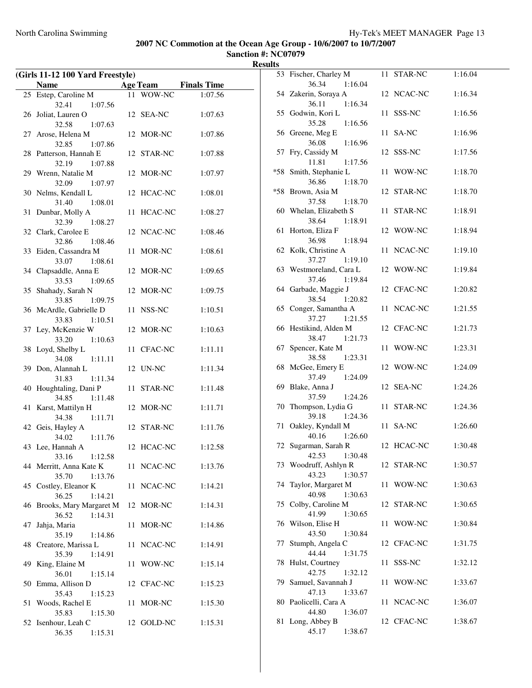| (Girls 11-12 100 Yard Freestyle) |                                             |    |            |                             |
|----------------------------------|---------------------------------------------|----|------------|-----------------------------|
|                                  | <b>Name</b>                                 |    |            | <b>Age Team</b> Finals Time |
|                                  | 25 Estep, Caroline M                        |    | 11 WOW-NC  | 1:07.56                     |
|                                  | 32.41<br>1:07.56                            |    |            |                             |
|                                  | 26 Joliat, Lauren O                         |    | 12 SEA-NC  | 1:07.63                     |
|                                  | 32.58<br>1:07.63                            |    |            |                             |
|                                  | 27 Arose, Helena M                          |    | 12 MOR-NC  | 1:07.86                     |
|                                  | 32.85<br>1:07.86                            |    |            |                             |
|                                  | 28 Patterson, Hannah E                      |    | 12 STAR-NC | 1:07.88                     |
|                                  | 32.19<br>1:07.88                            |    |            |                             |
|                                  | 29 Wrenn, Natalie M                         |    | 12 MOR-NC  | 1:07.97                     |
|                                  | 32.09<br>1:07.97                            |    |            |                             |
|                                  | 30 Nelms, Kendall L                         |    | 12 HCAC-NC | 1:08.01                     |
|                                  | 31.40<br>1:08.01                            |    |            |                             |
| 31                               | Dunbar, Molly A                             | 11 | HCAC-NC    | 1:08.27                     |
|                                  | 32.39<br>1:08.27<br>32 Clark, Carolee E     |    | 12 NCAC-NC | 1:08.46                     |
|                                  | 32.86<br>1:08.46                            |    |            |                             |
|                                  | 33 Eiden, Cassandra M                       |    | 11 MOR-NC  | 1:08.61                     |
|                                  | 1:08.61<br>33.07                            |    |            |                             |
|                                  | 34 Clapsaddle, Anna E                       |    | 12 MOR-NC  | 1:09.65                     |
|                                  | 33.53<br>1:09.65                            |    |            |                             |
|                                  | 35 Shahady, Sarah N                         |    | 12 MOR-NC  | 1:09.75                     |
|                                  | 33.85<br>1:09.75                            |    |            |                             |
|                                  | 36 McArdle, Gabrielle D                     |    | 11 NSS-NC  | 1:10.51                     |
|                                  | 33.83<br>1:10.51                            |    |            |                             |
|                                  | 37 Ley, McKenzie W                          |    | 12 MOR-NC  | 1:10.63                     |
|                                  | 33.20<br>1:10.63                            |    |            |                             |
|                                  | 38 Loyd, Shelby L                           |    | 11 CFAC-NC | 1:11.11                     |
|                                  | 34.08<br>1:11.11                            |    |            |                             |
| 39                               | Don, Alannah L                              |    | 12 UN-NC   | 1:11.34                     |
|                                  | 31.83<br>1:11.34                            |    |            |                             |
| 40                               | Houghtaling, Dani P                         |    | 11 STAR-NC | 1:11.48                     |
|                                  | 34.85<br>1:11.48                            |    |            |                             |
| 41                               | Karst, Mattilyn H                           |    | 12 MOR-NC  | 1:11.71                     |
|                                  | 34.38<br>1:11.71                            |    |            |                             |
|                                  | 42 Geis, Hayley A                           |    | 12 STAR-NC | 1:11.76                     |
|                                  | 34.02<br>1:11.76                            |    |            |                             |
|                                  | 43 Lee, Hannah A                            |    | 12 HCAC-NC | 1:12.58                     |
|                                  | 33.16<br>1:12.58                            |    |            |                             |
|                                  | 44 Merritt, Anna Kate K<br>35.70<br>1:13.76 |    | 11 NCAC-NC | 1:13.76                     |
|                                  | 45 Costley, Eleanor K                       |    | 11 NCAC-NC | 1:14.21                     |
|                                  | 36.25<br>1:14.21                            |    |            |                             |
|                                  | 46 Brooks, Mary Margaret M                  |    | 12 MOR-NC  | 1:14.31                     |
|                                  | 1:14.31<br>36.52                            |    |            |                             |
| 47                               | Jahja, Maria                                | 11 | MOR-NC     | 1:14.86                     |
|                                  | 35.19<br>1:14.86                            |    |            |                             |
|                                  | 48 Creatore, Marissa L                      |    | 11 NCAC-NC | 1:14.91                     |
|                                  | 35.39<br>1:14.91                            |    |            |                             |
| 49                               | King, Elaine M                              | 11 | WOW-NC     | 1:15.14                     |
|                                  | 36.01<br>1:15.14                            |    |            |                             |
|                                  | 50 Emma, Allison D                          |    | 12 CFAC-NC | 1:15.23                     |
|                                  | 35.43<br>1:15.23                            |    |            |                             |
| 51                               | Woods, Rachel E                             | 11 | MOR-NC     | 1:15.30                     |
|                                  | 35.83<br>1:15.30                            |    |            |                             |
| 52                               | Isenhour, Leah C                            |    | 12 GOLD-NC | 1:15.31                     |
|                                  | 36.35<br>1:15.31                            |    |            |                             |

|     | 53 Fischer, Charley M                    | 11 STAR-NC           | 1:16.04 |
|-----|------------------------------------------|----------------------|---------|
|     | 36.34<br>1:16.04                         |                      |         |
|     | 54 Zakerin, Soraya A                     | 12 NCAC-NC           | 1:16.34 |
| 55  | 36.11<br>1:16.34<br>Godwin, Kori L       | 11<br>SSS-NC         | 1:16.56 |
|     | 35.28<br>1:16.56                         |                      |         |
|     | 56 Greene, Meg E                         | 11<br>SA-NC          | 1:16.96 |
|     | 1:16.96<br>36.08                         |                      |         |
| 57  | Fry, Cassidy M                           | 12 SSS-NC            | 1:17.56 |
|     | 11.81<br>1:17.56                         |                      |         |
| *58 | Smith, Stephanie L                       | WOW-NC<br>11         | 1:18.70 |
|     | 36.86<br>1:18.70                         |                      |         |
| *58 | Brown, Asia M                            | 12 STAR-NC           | 1:18.70 |
|     | 37.58<br>1:18.70                         |                      |         |
| 60  | Whelan, Elizabeth S                      | STAR-NC<br>11        | 1:18.91 |
|     | 38.64<br>1:18.91                         |                      |         |
| 61  | Horton, Eliza F                          | 12 WOW-NC            | 1:18.94 |
|     | 36.98<br>1:18.94<br>62 Kolk, Christine A | NCAC-NC<br>11        | 1:19.10 |
|     | 37.27<br>1:19.10                         |                      |         |
|     | 63 Westmoreland, Cara L                  | 12 WOW-NC            | 1:19.84 |
|     | 37.46<br>1:19.84                         |                      |         |
|     | 64 Garbade, Maggie J                     | 12 CFAC-NC           | 1:20.82 |
|     | 38.54<br>1:20.82                         |                      |         |
| 65  | Conger, Samantha A                       | 11 NCAC-NC           | 1:21.55 |
|     | 37.27<br>1:21.55                         |                      |         |
|     | 66 Hestikind, Alden M                    | 12 CFAC-NC           | 1:21.73 |
|     | 38.47<br>1:21.73                         |                      |         |
| 67  | Spencer, Kate M                          | WOW-NC<br>11         | 1:23.31 |
|     | 38.58<br>1:23.31                         |                      |         |
| 68  | McGee, Emery E<br>37.49<br>1:24.09       | 12 WOW-NC            | 1:24.09 |
| 69  | Blake, Anna J                            | 12 SEA-NC            | 1:24.26 |
|     | 37.59<br>1:24.26                         |                      |         |
| 70  | Thompson, Lydia G                        | <b>STAR-NC</b><br>11 | 1:24.36 |
|     | 39.18<br>1:24.36                         |                      |         |
| 71  | Oakley, Kyndall M                        | 11 SA-NC             | 1:26.60 |
|     | 40.16<br>1:26.60                         |                      |         |
| 72  | Sugarman, Sarah R                        | 12 HCAC-NC           | 1:30.48 |
|     | 42.53 1:30.48                            |                      |         |
|     | 73 Woodruff, Ashlyn R                    | 12 STAR-NC           | 1:30.57 |
|     | 43.23<br>1:30.57                         |                      |         |
| 74  | Taylor, Margaret M                       | WOW-NC<br>11         | 1:30.63 |
| 75  | 40.98<br>1:30.63<br>Colby, Caroline M    | 12 STAR-NC           | 1:30.65 |
|     | 41.99<br>1:30.65                         |                      |         |
| 76  | Wilson, Elise H                          | WOW-NC<br>11         | 1:30.84 |
|     | 43.50<br>1:30.84                         |                      |         |
| 77  | Stumph, Angela C                         | 12 CFAC-NC           | 1:31.75 |
|     | 44.44<br>1:31.75                         |                      |         |
| 78  | Hulst, Courtney                          | SSS-NC<br>11         | 1:32.12 |
|     | 42.75<br>1:32.12                         |                      |         |
| 79. | Samuel, Savannah J                       | WOW-NC<br>11         | 1:33.67 |
|     | 47.13<br>1:33.67                         |                      |         |
| 80  | Paolicelli, Cara A                       | NCAC-NC<br>11        | 1:36.07 |
| 81  | 44.80<br>1:36.07<br>Long, Abbey B        | 12 CFAC-NC           | 1:38.67 |
|     | 45.17<br>1:38.67                         |                      |         |
|     |                                          |                      |         |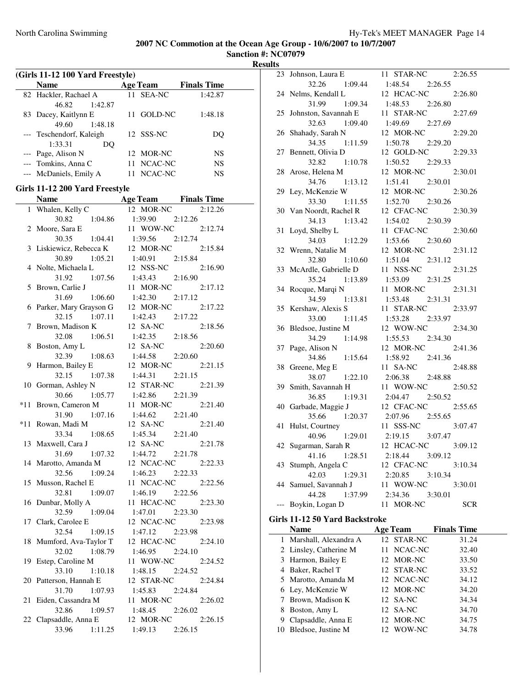**Sanction #: NC07079 Results**

| (Girls 11-12 100 Yard Freestyle) |                          |                 |                    |  |  |
|----------------------------------|--------------------------|-----------------|--------------------|--|--|
|                                  | Name                     | <b>Age Team</b> | <b>Finals Time</b> |  |  |
|                                  | 82 Hackler, Rachael A    | 11 SEA-NC       | 1:42.87            |  |  |
|                                  | 1:42.87<br>46.82         |                 |                    |  |  |
|                                  | 83 Dacey, Kaitlynn E     | GOLD-NC<br>11.  | 1:48.18            |  |  |
|                                  | 49.60<br>1:48.18         |                 |                    |  |  |
|                                  | --- Teschendorf, Kaleigh | 12 SSS-NC       | DO                 |  |  |
|                                  | 1:33.31<br>DO            |                 |                    |  |  |
|                                  | --- Page, Alison N       | 12 MOR-NC       | NS                 |  |  |
|                                  | --- Tomkins, Anna C      | 11 NCAC-NC      | <b>NS</b>          |  |  |
|                                  | --- McDaniels, Emily A   | 11 NCAC-NC      | NS                 |  |  |

### **Girls 11-12 200 Yard Freestyle**

|     | <b>Name</b>            | <b>Age Team</b> Finals Time |         |
|-----|------------------------|-----------------------------|---------|
| 1   | Whalen, Kelly C        | 12 MOR-NC                   | 2:12.26 |
|     | 30.82<br>1:04.86       | 1:39.90                     | 2:12.26 |
| 2   | Moore, Sara E          | 11 WOW-NC                   | 2:12.74 |
|     | 30.35<br>1:04.41       | 1:39.56                     | 2:12.74 |
| 3   | Liskiewicz, Rebecca K  | 12 MOR-NC                   | 2:15.84 |
|     | 30.89<br>1:05.21       | 1:40.91                     | 2:15.84 |
| 4   | Nolte, Michaela L      | 12 NSS-NC                   | 2:16.90 |
|     | 31.92<br>1:07.56       | 1:43.43                     | 2:16.90 |
| 5   | Brown, Carlie J        | 11 MOR-NC                   | 2:17.12 |
|     | 31.69<br>1:06.60       | 1:42.30                     | 2:17.12 |
| 6   | Parker, Mary Grayson G | 12 MOR-NC                   | 2:17.22 |
|     | 32.15<br>1:07.11       | 1:42.43                     | 2:17.22 |
| 7   | Brown, Madison K       | 12 SA-NC                    | 2:18.56 |
|     | 1:06.51<br>32.08       | 1:42.35                     | 2:18.56 |
| 8   | Boston, Amy L          | 12 SA-NC                    | 2:20.60 |
|     | 32.39<br>1:08.63       | 1:44.58                     | 2:20.60 |
| 9   | Harmon, Bailey E       | 12 MOR-NC                   | 2:21.15 |
|     | 32.15<br>1:07.38       | 1:44.31                     | 2:21.15 |
|     | 10 Gorman, Ashley N    | 12 STAR-NC                  | 2:21.39 |
|     | 30.66<br>1:05.77       | 1:42.86                     | 2:21.39 |
| *11 | Brown, Cameron M       | 11 MOR-NC                   | 2:21.40 |
|     | 31.90<br>1:07.16       | 1:44.62                     | 2:21.40 |
| *11 | Rowan, Madi M          | 12 SA-NC                    | 2:21.40 |
|     | 33.34<br>1:08.65       | 1:45.34                     | 2:21.40 |
| 13  | Maxwell, Cara J        | 12 SA-NC                    | 2:21.78 |
|     | 31.69<br>1:07.32       | 1:44.72                     | 2:21.78 |
| 14  | Marotto, Amanda M      | 12 NCAC-NC                  | 2:22.33 |
|     | 32.56<br>1:09.24       | 1:46.23                     | 2:22.33 |
| 15  | Musson, Rachel E       | 11 NCAC-NC                  | 2:22.56 |
|     | 32.81<br>1:09.07       | 1:46.19                     | 2:22.56 |
|     | 16 Dunbar, Molly A     | 11 HCAC-NC                  | 2:23.30 |
|     | 1:09.04<br>32.59       | 1:47.01                     | 2:23.30 |
| 17  | Clark, Carolee E       | 12 NCAC-NC                  | 2:23.98 |
|     | 32.54<br>1:09.15       | 1:47.12                     | 2:23.98 |
| 18  | Mumford, Ava-Taylor T  | 12 HCAC-NC                  | 2:24.10 |
|     | 1:08.79<br>32.02       | 1:46.95                     | 2:24.10 |
| 19  | Estep, Caroline M      | 11 WOW-NC                   | 2:24.52 |
|     | 33.10<br>1:10.18       | 1:48.15                     | 2:24.52 |
| 20  | Patterson, Hannah E    | 12 STAR-NC                  | 2:24.84 |
|     | 31.70<br>1:07.93       | 1:45.83                     | 2:24.84 |
| 21  | Eiden, Cassandra M     | 11 MOR-NC                   | 2:26.02 |
|     | 1:09.57<br>32.86       | 1:48.45                     | 2:26.02 |
| 22  | Clapsaddle, Anna E     | 12 MOR-NC                   | 2:26.15 |
|     | 33.96<br>1:11.25       | $1:49.13$ $2:26.15$         |         |

| 23 | Johnson, Laura E     | 11 STAR-NC<br>2:26.55   |
|----|----------------------|-------------------------|
|    | 32.26<br>1:09.44     | 1:48.54 2:26.55         |
| 24 | Nelms, Kendall L     | 12 HCAC-NC<br>2:26.80   |
|    | 31.99<br>1:09.34     | 1:48.53<br>2:26.80      |
| 25 | Johnston, Savannah E | 11 STAR-NC<br>2:27.69   |
|    | 32.63<br>1:09.40     | 2:27.69<br>1:49.69      |
| 26 | Shahady, Sarah N     | 12 MOR-NC<br>2:29.20    |
|    | 34.35<br>1:11.59     | 1:50.78<br>2:29.20      |
| 27 | Bennett, Olivia D    | 12 GOLD-NC<br>2:29.33   |
|    | 32.82<br>1:10.78     | 1:50.52<br>2:29.33      |
| 28 | Arose, Helena M      | 12 MOR-NC<br>2:30.01    |
|    | 34.76<br>1:13.12     | 1:51.41<br>2:30.01      |
| 29 | Ley, McKenzie W      | 12 MOR-NC<br>2:30.26    |
|    | 33.30<br>1:11.55     | 1:52.70<br>2:30.26      |
| 30 | Van Noordt, Rachel R | 12 CFAC-NC<br>2:30.39   |
|    | 1:13.42<br>34.13     | 1:54.02 2:30.39         |
| 31 | Loyd, Shelby L       | 11 CFAC-NC<br>2:30.60   |
|    | 34.03<br>1:12.29     | 1:53.66<br>2:30.60      |
| 32 | Wrenn, Natalie M     | 12 MOR-NC<br>2:31.12    |
|    | 32.80<br>1:10.60     | 1:51.04<br>2:31.12      |
| 33 | McArdle, Gabrielle D | 11 NSS-NC<br>2:31.25    |
|    | 35.24<br>1:13.89     | 1:53.09<br>2:31.25      |
| 34 | Rocque, Marqi N      | 11 MOR-NC<br>2:31.31    |
|    | 34.59<br>1:13.81     | 1:53.48<br>2:31.31      |
| 35 | Kershaw, Alexis S    | 2:33.97<br>11 STAR-NC   |
|    | 33.00<br>1:11.45     | 1:53.28<br>2:33.97      |
| 36 | Bledsoe, Justine M   | 12 WOW-NC<br>2:34.30    |
|    | 34.29<br>1:14.98     | 1:55.53<br>2:34.30      |
| 37 | Page, Alison N       | 12 MOR-NC<br>2:41.36    |
|    | 34.86<br>1:15.64     | 1:58.92<br>2:41.36      |
| 38 | Greene, Meg E        | 11 SA-NC<br>2:48.88     |
|    | 38.07<br>1:22.10     | 2:06.38<br>2:48.88      |
| 39 | Smith, Savannah H    | 11 WOW-NC<br>2:50.52    |
|    | 36.85<br>1:19.31     | 2:04.47<br>2:50.52      |
| 40 | Garbade, Maggie J    | 12 CFAC-NC<br>2:55.65   |
|    | 35.66<br>1:20.37     | 2:07.96<br>2:55.65      |
| 41 | Hulst, Courtney      | 11 SSS-NC<br>3:07.47    |
|    | 40.96<br>1:29.01     | 2:19.15 3:07.47         |
| 42 | Sugarman, Sarah R    | 12 HCAC-NC<br>3:09.12   |
|    | 41.16<br>1:28.51     | 2:18.44<br>3:09.12      |
| 43 | Stumph, Angela C     | 12 CFAC-NC<br>3:10.34   |
|    | 42.03<br>1:29.31     | 2:20.85<br>3:10.34      |
| 44 | Samuel, Savannah J   | 11 WOW-NC<br>3:30.01    |
|    | 44.28 1:37.99        | 2:34.36<br>3:30.01      |
|    | --- Boykin, Logan D  | 11 MOR-NC<br><b>SCR</b> |
|    |                      |                         |

#### **Girls 11-12 50 Yard Backstroke**

|    | <b>Name</b>             | <b>Age Team</b> | <b>Finals Time</b> |  |
|----|-------------------------|-----------------|--------------------|--|
|    | 1 Marshall, Alexandra A | 12 STAR-NC      | 31.24              |  |
|    | 2 Linsley, Catherine M  | 11 NCAC-NC      | 32.40              |  |
|    | 3 Harmon, Bailey E      | 12 MOR-NC       | 33.50              |  |
|    | 4 Baker, Rachel T       | 12 STAR-NC      | 33.52              |  |
|    | 5 Marotto, Amanda M     | 12 NCAC-NC      | 34.12              |  |
|    | 6 Ley, McKenzie W       | 12 MOR-NC       | 34.20              |  |
|    | Brown, Madison K        | 12 SA-NC        | 34.34              |  |
| 8  | Boston, Amy L           | 12 SA-NC        | 34.70              |  |
| 9  | Clapsaddle, Anna E      | 12 MOR-NC       | 34.75              |  |
| 10 | Bledsoe, Justine M      | 12 WOW-NC       | 34.78              |  |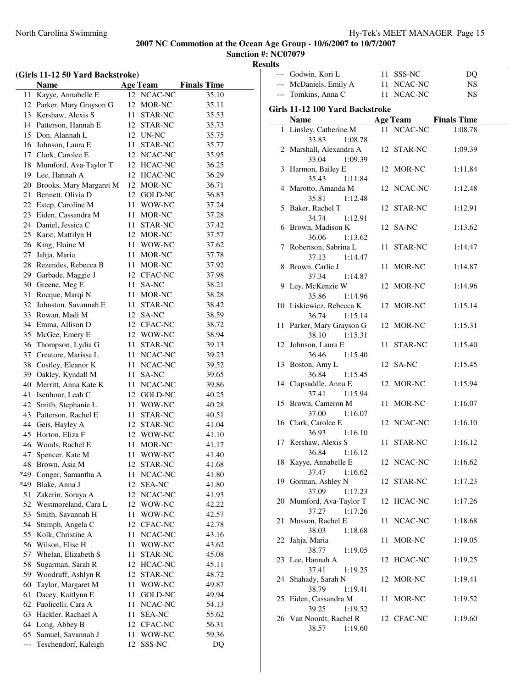| (Girls 11-12 50 Yard Backstroke) |                         |     |                 |                    |
|----------------------------------|-------------------------|-----|-----------------|--------------------|
|                                  | <b>Name</b>             |     | <b>Age Team</b> | <b>Finals Time</b> |
| 11                               | Kayye, Annabelle E      |     | 12 NCAC-NC      | 35.10              |
| 12                               | Parker, Mary Grayson G  | 12  | MOR-NC          | 35.11              |
| 13                               | Kershaw, Alexis S       | 11- | STAR-NC         | 35.53              |
| 14                               | Patterson, Hannah E     |     | 12 STAR-NC      | 35.73              |
| 15                               | Don, Alannah L          |     | 12 UN-NC        | 35.75              |
| 16                               | Johnson, Laura E        | 11  | STAR-NC         | 35.77              |
| 17                               | Clark, Carolee E        |     | 12 NCAC-NC      | 35.95              |
| 18                               | Mumford, Ava-Taylor T   |     | 12 HCAC-NC      | 36.25              |
| 19                               | Lee, Hannah A           |     | 12 HCAC-NC      | 36.29              |
| 20                               | Brooks, Mary Margaret M |     | 12 MOR-NC       | 36.71              |
| 21                               | Bennett, Olivia D       |     | 12 GOLD-NC      | 36.83              |
| 22                               | Estep, Caroline M       |     | 11 WOW-NC       | 37.24              |
| 23                               | Eiden, Cassandra M      | 11  | MOR-NC          | 37.28              |
|                                  | 24 Daniel, Jessica C    | 11  | STAR-NC         | 37.42              |
| 25                               | Karst, Mattilyn H       |     | 12 MOR-NC       | 37.57              |
| 26                               | King, Elaine M          |     | 11 WOW-NC       | 37.62              |
| 27                               | Jahja, Maria            | 11  | MOR-NC          | 37.78              |
| 28                               | Rezendes, Rebecca B     |     | 11 MOR-NC       | 37.92              |
| 29                               | Garbade, Maggie J       |     | 12 CFAC-NC      | 37.98              |
| 30                               | Greene, Meg E           | 11  | SA-NC           | 38.21              |
| 31                               | Rocque, Marqi N         | 11  | MOR-NC          | 38.28              |
| 32                               | Johnston, Savannah E    | 11  | <b>STAR-NC</b>  | 38.42              |
| 33                               | Rowan, Madi M           |     | 12 SA-NC        | 38.59              |
| 34                               | Emma, Allison D         |     | 12 CFAC-NC      | 38.72              |
| 35                               | McGee, Emery E          |     | 12 WOW-NC       | 38.94              |
| 36                               | Thompson, Lydia G       | 11  | STAR-NC         | 39.13              |
| 37                               | Creatore, Marissa L     | 11  | NCAC-NC         | 39.23              |
| 38                               | Costley, Eleanor K      | 11  | NCAC-NC         | 39.52              |
| 39                               | Oakley, Kyndall M       | 11  | SA-NC           | 39.65              |
| 40                               | Merritt, Anna Kate K    | 11  | NCAC-NC         | 39.86              |
| 41                               | Isenhour, Leah C        |     | 12 GOLD-NC      | 40.25              |
| 42                               | Smith, Stephanie L      | 11  | WOW-NC          | 40.28              |
| 43                               | Patterson, Rachel E     | 11  | STAR-NC         | 40.51              |
| 44                               | Geis, Hayley A          |     | 12 STAR-NC      | 41.04              |
| 45                               | Horton, Eliza F         |     | 12 WOW-NC       | 41.10              |
| 46                               | Woods, Rachel E         | 11  | MOR-NC          | 41.17              |
| 47                               | Spencer, Kate M         | 11  | WOW-NC          | 41.40              |
| 48                               | Brown, Asia M           | 12  | STAR-NC         | 41.68              |
| *49                              | Conger, Samantha A      | 11  | NCAC-NC         | 41.80              |
| *49                              | Blake, Anna J           | 12  | <b>SEA-NC</b>   | 41.80              |
| 51                               | Zakerin, Soraya A       | 12  | NCAC-NC         | 41.93              |
| 52                               | Westmoreland, Cara L    | 12  | WOW-NC          | 42.22              |
| 53                               | Smith, Savannah H       | 11  | WOW-NC          | 42.57              |
| 54                               | Stumph, Angela C        | 12  | <b>CFAC-NC</b>  | 42.78              |
| 55                               | Kolk, Christine A       | 11  | NCAC-NC         | 43.16              |
| 56                               | Wilson, Elise H         | 11  | WOW-NC          | 43.62              |
| 57                               | Whelan, Elizabeth S     | 11  | STAR-NC         | 45.08              |
| 58                               | Sugarman, Sarah R       | 12  | HCAC-NC         | 45.11              |
| 59                               | Woodruff, Ashlyn R      | 12  | STAR-NC         | 48.72              |
| 60                               | Taylor, Margaret M      | 11  | WOW-NC          | 49.87              |
| 61                               | Dacey, Kaitlynn E       | 11  | GOLD-NC         | 49.94              |
| 62                               | Paolicelli, Cara A      | 11  | NCAC-NC         | 54.13              |
| 63                               | Hackler, Rachael A      | 11  | <b>SEA-NC</b>   | 55.62              |
| 64                               | Long, Abbey B           |     | 12 CFAC-NC      | 56.31              |
| 65                               | Samuel, Savannah J      | 11  | WOW-NC          | 59.36              |
| ---                              | Teschendorf, Kaleigh    | 12  | SSS-NC          | DQ                 |

|    | --- Godwin, Kori L                            |    | 11 SSS-NC  | DQ                          |
|----|-----------------------------------------------|----|------------|-----------------------------|
|    | --- McDaniels, Emily A                        |    | 11 NCAC-NC | <b>NS</b>                   |
|    | --- Tomkins, Anna C                           |    | 11 NCAC-NC | <b>NS</b>                   |
|    | Girls 11-12 100 Yard Backstroke               |    |            |                             |
|    | <b>Name</b>                                   |    |            | <b>Age Team</b> Finals Time |
|    | 1 Linsley, Catherine M<br>33.83<br>1:08.78    |    | 11 NCAC-NC | 1:08.78                     |
|    | 2 Marshall, Alexandra A<br>33.04<br>1:09.39   |    | 12 STAR-NC | 1:09.39                     |
|    | 3 Harmon, Bailey E<br>35.43 1:11.84           |    | 12 MOR-NC  | 1:11.84                     |
|    | 4 Marotto, Amanda M<br>1:12.48<br>35.81       |    | 12 NCAC-NC | 1:12.48                     |
|    | 5 Baker, Rachel T<br>34.74<br>1:12.91         |    | 12 STAR-NC | 1:12.91                     |
|    | 6 Brown, Madison K<br>36.06<br>1:13.62        |    | 12 SA-NC   | 1:13.62                     |
|    | 7 Robertson, Sabrina L<br>37.13 1:14.47       |    | 11 STAR-NC | 1:14.47                     |
|    | 8 Brown, Carlie J<br>37.34<br>1:14.87         |    | 11 MOR-NC  | 1:14.87                     |
|    | 9 Ley, McKenzie W<br>35.86<br>1:14.96         |    | 12 MOR-NC  | 1:14.96                     |
|    | 10 Liskiewicz, Rebecca K<br>36.74<br>1:15.14  |    | 12 MOR-NC  | 1:15.14                     |
|    | 11 Parker, Mary Grayson G<br>38.10<br>1:15.31 |    | 12 MOR-NC  | 1:15.31                     |
|    | 12 Johnson, Laura E<br>36.46<br>1:15.40       |    | 11 STAR-NC | 1:15.40                     |
|    | 13 Boston, Amy L<br>36.84<br>1:15.45          |    | 12 SA-NC   | 1:15.45                     |
|    | 14 Clapsaddle, Anna E<br>37.41<br>1:15.94     |    | 12 MOR-NC  | 1:15.94                     |
|    | 15 Brown, Cameron M<br>37.00 1:16.07          |    | 11 MOR-NC  | 1:16.07                     |
|    | 16 Clark, Carolee E<br>36.93<br>1:16.10       |    | 12 NCAC-NC | 1:16.10                     |
|    | 17 Kershaw, Alexis S<br>36.84 1:16.12         |    | 11 STAR-NC | 1:16.12                     |
|    | 18 Kayye, Annabelle E<br>37.47<br>1:16.62     |    | 12 NCAC-NC | 1:16.62                     |
|    | 19 Gorman, Ashley N<br>37.09<br>1:17.23       |    | 12 STAR-NC | 1:17.23                     |
|    | 20 Mumford, Ava-Taylor T<br>1:17.26<br>37.27  |    | 12 HCAC-NC | 1:17.26                     |
| 21 | Musson, Rachel E<br>38.03<br>1:18.68          | 11 | NCAC-NC    | 1:18.68                     |
| 22 | Jahja, Maria<br>38.77<br>1:19.05              | 11 | MOR-NC     | 1:19.05                     |
|    | 23 Lee, Hannah A<br>37.41<br>1:19.25          |    | 12 HCAC-NC | 1:19.25                     |
|    | 24 Shahady, Sarah N<br>38.79<br>1:19.41       |    | 12 MOR-NC  | 1:19.41                     |
|    | 25 Eiden, Cassandra M<br>39.25<br>1:19.52     |    | 11 MOR-NC  | 1:19.52                     |
|    | 26 Van Noordt, Rachel R<br>38.57<br>1:19.60   |    | 12 CFAC-NC | 1:19.60                     |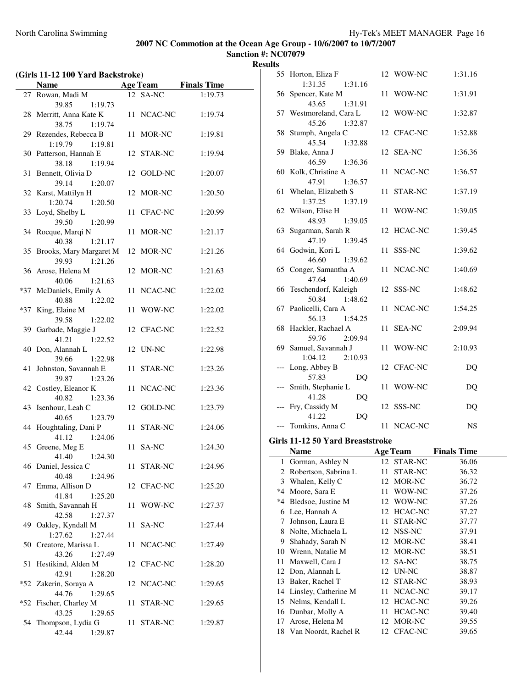|     | (Girls 11-12 100 Yard Backstroke)         |    |                 |                    |
|-----|-------------------------------------------|----|-----------------|--------------------|
|     | <b>Name</b>                               |    | <b>Age Team</b> | <b>Finals Time</b> |
|     | 27 Rowan, Madi M                          |    | 12 SA-NC        | 1:19.73            |
|     | 39.85<br>1:19.73                          |    |                 |                    |
|     | 28 Merritt, Anna Kate K                   |    | 11 NCAC-NC      | 1:19.74            |
|     | 38.75<br>1:19.74                          |    |                 |                    |
|     | 29 Rezendes, Rebecca B                    |    | 11 MOR-NC       | 1:19.81            |
|     | 1:19.79<br>1:19.81                        |    |                 |                    |
|     | 30 Patterson, Hannah E                    |    | 12 STAR-NC      | 1:19.94            |
|     | 38.18<br>1:19.94                          |    |                 |                    |
| 31  | Bennett, Olivia D                         |    | 12 GOLD-NC      | 1:20.07            |
|     | 39.14<br>1:20.07                          |    |                 |                    |
|     | 32 Karst, Mattilyn H                      |    | 12 MOR-NC       | 1:20.50            |
|     | 1:20.74<br>1:20.50                        |    |                 |                    |
| 33  | Loyd, Shelby L                            |    | 11 CFAC-NC      | 1:20.99            |
|     | 39.50<br>1:20.99                          |    |                 |                    |
| 34  | Rocque, Marqi N                           | 11 | MOR-NC          | 1:21.17            |
|     | 40.38<br>1:21.17                          |    |                 |                    |
| 35  | Brooks, Mary Margaret M                   |    | 12 MOR-NC       | 1:21.26            |
|     | 39.93<br>1:21.26                          |    |                 |                    |
|     | 36 Arose, Helena M<br>40.06               |    | 12 MOR-NC       | 1:21.63            |
|     | 1:21.63<br>*37 McDaniels, Emily A         |    | 11 NCAC-NC      | 1:22.02            |
|     | 40.88<br>1:22.02                          |    |                 |                    |
| *37 | King, Elaine M                            | 11 | WOW-NC          | 1:22.02            |
|     | 39.58<br>1:22.02                          |    |                 |                    |
|     | 39 Garbade, Maggie J                      |    | 12 CFAC-NC      | 1:22.52            |
|     | 41.21<br>1:22.52                          |    |                 |                    |
|     | 40 Don, Alannah L                         |    | 12 UN-NC        | 1:22.98            |
|     | 39.66<br>1:22.98                          |    |                 |                    |
| 41  | Johnston, Savannah E                      |    | 11 STAR-NC      | 1:23.26            |
|     | 39.87<br>1:23.26                          |    |                 |                    |
|     | 42 Costley, Eleanor K                     |    | 11 NCAC-NC      | 1:23.36            |
|     | 40.82<br>1:23.36                          |    |                 |                    |
| 43  | Isenhour, Leah C                          |    | 12 GOLD-NC      | 1:23.79            |
|     | 40.65<br>1:23.79                          |    |                 |                    |
| 44  | Houghtaling, Dani P<br>41.12              |    | 11 STAR-NC      | 1:24.06            |
|     | 1:24.06<br>45 Greene, Meg E               |    | 11 SA-NC        | 1:24.30            |
|     | 41.40 1:24.30                             |    |                 |                    |
|     | 46 Daniel, Jessica C                      |    | 11 STAR-NC      | 1:24.96            |
|     | 40.48<br>1:24.96                          |    |                 |                    |
|     | 47 Emma, Allison D                        |    | 12 CFAC-NC      | 1:25.20            |
|     | 41.84<br>1:25.20                          |    |                 |                    |
| 48  | Smith, Savannah H                         | 11 | WOW-NC          | 1:27.37            |
|     | 42.58<br>1:27.37                          |    |                 |                    |
|     | 49 Oakley, Kyndall M                      |    | 11 SA-NC        | 1:27.44            |
|     | 1:27.62<br>1:27.44                        |    |                 |                    |
|     | 50 Creatore, Marissa L                    |    | 11 NCAC-NC      | 1:27.49            |
|     | 43.26<br>1:27.49                          |    |                 |                    |
| 51  | Hestikind, Alden M                        |    | 12 CFAC-NC      | 1:28.20            |
|     | 42.91<br>1:28.20                          |    |                 |                    |
|     | *52 Zakerin, Soraya A<br>44.76<br>1:29.65 |    | 12 NCAC-NC      | 1:29.65            |
| *52 | Fischer, Charley M                        |    | 11 STAR-NC      | 1:29.65            |
|     | 43.25<br>1:29.65                          |    |                 |                    |
| 54  | Thompson, Lydia G                         |    | 11 STAR-NC      | 1:29.87            |
|     | 42.44<br>1:29.87                          |    |                 |                    |
|     |                                           |    |                 |                    |

|      | 55 Horton, Eliza F               |    | 12 WOW-NC  | 1:31.16                     |  |
|------|----------------------------------|----|------------|-----------------------------|--|
|      | 1:31.35<br>1:31.16               |    |            |                             |  |
|      | 56 Spencer, Kate M               |    | 11 WOW-NC  | 1:31.91                     |  |
|      | 43.65<br>1:31.91                 |    |            |                             |  |
|      | 57 Westmoreland, Cara L          |    | 12 WOW-NC  | 1:32.87                     |  |
|      | 45.26<br>1:32.87                 |    |            |                             |  |
|      | 58 Stumph, Angela C              |    | 12 CFAC-NC | 1:32.88                     |  |
|      |                                  |    |            |                             |  |
|      | 45.54 1:32.88                    |    |            |                             |  |
|      | 59 Blake, Anna J                 |    | 12 SEA-NC  | 1:36.36                     |  |
|      | 1:36.36<br>46.59                 |    |            |                             |  |
|      | 60 Kolk, Christine A             |    | 11 NCAC-NC | 1:36.57                     |  |
|      | 47.91<br>1:36.57                 |    |            |                             |  |
|      | 61 Whelan, Elizabeth S           |    | 11 STAR-NC | 1:37.19                     |  |
|      | 1:37.25<br>1:37.19               |    |            |                             |  |
|      | 62 Wilson, Elise H               |    | 11 WOW-NC  | 1:39.05                     |  |
|      | 48.93<br>1:39.05                 |    |            |                             |  |
|      | 63 Sugarman, Sarah R             |    | 12 HCAC-NC | 1:39.45                     |  |
|      | 47.19<br>1:39.45                 |    |            |                             |  |
|      | 64 Godwin, Kori L                |    | 11 SSS-NC  | 1:39.62                     |  |
|      | 46.60<br>1:39.62                 |    |            |                             |  |
|      | 65 Conger, Samantha A            |    | 11 NCAC-NC | 1:40.69                     |  |
|      | 47.64<br>1:40.69                 |    |            |                             |  |
|      | 66 Teschendorf, Kaleigh          |    | 12 SSS-NC  | 1:48.62                     |  |
|      | 50.84 1:48.62                    |    |            |                             |  |
|      |                                  |    |            |                             |  |
|      | 67 Paolicelli, Cara A            |    | 11 NCAC-NC | 1:54.25                     |  |
|      | 56.13<br>1:54.25                 |    |            |                             |  |
|      | 68 Hackler, Rachael A            |    | 11 SEA-NC  | 2:09.94                     |  |
|      | 59.76<br>2:09.94                 |    |            |                             |  |
|      | 69 Samuel, Savannah J            |    | 11 WOW-NC  | 2:10.93                     |  |
|      | 1:04.12<br>2:10.93               |    |            |                             |  |
|      | --- Long, Abbey B                |    | 12 CFAC-NC | DQ                          |  |
|      | 57.83<br>DQ                      |    |            |                             |  |
|      |                                  |    |            |                             |  |
|      | --- Smith, Stephanie L           |    | 11 WOW-NC  | DQ                          |  |
|      | 41.28                            |    |            |                             |  |
|      | DQ                               |    | 12 SSS-NC  |                             |  |
|      | --- Fry, Cassidy M               |    |            | DQ                          |  |
|      | 41.22<br>DQ                      |    |            | <b>NS</b>                   |  |
|      | --- Tomkins, Anna C              |    | 11 NCAC-NC |                             |  |
|      | Girls 11-12 50 Yard Breaststroke |    |            |                             |  |
|      | Name                             |    |            | <b>Age Team</b> Finals Time |  |
|      | 1 Gorman, Ashley N 12 STAR-NC    |    |            | 36.06                       |  |
|      | 2 Robertson, Sabrina L           | 11 | STAR-NC    | 36.32                       |  |
|      | 3 Whalen, Kelly C                | 12 | MOR-NC     | 36.72                       |  |
|      |                                  | 11 |            |                             |  |
| $*4$ | *4 Moore, Sara E                 |    | WOW-NC     | 37.26                       |  |
|      | Bledsoe, Justine M               | 12 | WOW-NC     | 37.26                       |  |
|      | 6 Lee, Hannah A                  | 12 | HCAC-NC    | 37.27                       |  |
| 7    | Johnson, Laura E                 | 11 | STAR-NC    | 37.77                       |  |
| 8    | Nolte, Michaela L                | 12 | NSS-NC     | 37.91                       |  |
| 9    | Shahady, Sarah N                 | 12 | MOR-NC     | 38.41                       |  |
| 10   | Wrenn, Natalie M                 | 12 | MOR-NC     | 38.51                       |  |
| 11   | Maxwell, Cara J                  | 12 | SA-NC      | 38.75                       |  |
| 12   | Don, Alannah L                   | 12 | UN-NC      | 38.87                       |  |
| 13   | Baker, Rachel T                  | 12 | STAR-NC    | 38.93                       |  |
|      | 14 Linsley, Catherine M          | 11 | NCAC-NC    | 39.17                       |  |
| 15   | Nelms, Kendall L                 | 12 | HCAC-NC    | 39.26                       |  |
|      | 16 Dunbar, Molly A               | 11 | HCAC-NC    | 39.40                       |  |
| 17   | Arose, Helena M                  | 12 | MOR-NC     | 39.55                       |  |
| 18   | Van Noordt, Rachel R             | 12 | CFAC-NC    | 39.65                       |  |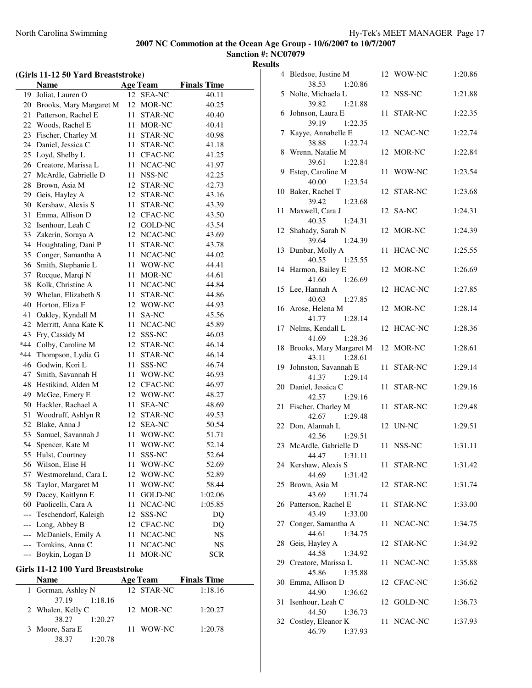**Sanction #: NC07079 Results**

|       | (Girls 11-12 50 Yard Breaststroke) |    |                 |                    |
|-------|------------------------------------|----|-----------------|--------------------|
|       | Name                               |    | <b>Age Team</b> | <b>Finals Time</b> |
| 19    | Joliat, Lauren O                   |    | 12 SEA-NC       | 40.11              |
| 20    | Brooks, Mary Margaret M            | 12 | MOR-NC          | 40.25              |
| 21    | Patterson, Rachel E                | 11 | STAR-NC         | 40.40              |
| 22    | Woods, Rachel E                    | 11 | MOR-NC          | 40.41              |
| 23    | Fischer, Charley M                 | 11 | STAR-NC         | 40.98              |
| 24    | Daniel, Jessica C                  | 11 | STAR-NC         | 41.18              |
| 25    | Loyd, Shelby L                     | 11 | CFAC-NC         | 41.25              |
| 26    | Creatore, Marissa L                | 11 | NCAC-NC         | 41.97              |
| 27    | McArdle, Gabrielle D               | 11 | NSS-NC          | 42.25              |
| 28    | Brown, Asia M                      | 12 | STAR-NC         | 42.73              |
|       | 29 Geis, Hayley A                  | 12 | STAR-NC         | 43.16              |
| 30    | Kershaw, Alexis S                  | 11 | STAR-NC         | 43.39              |
| 31    | Emma, Allison D                    | 12 | CFAC-NC         | 43.50              |
| 32    | Isenhour, Leah C                   | 12 | GOLD-NC         | 43.54              |
| 33    | Zakerin, Soraya A                  | 12 | NCAC-NC         | 43.69              |
| 34    | Houghtaling, Dani P                | 11 | STAR-NC         | 43.78              |
| 35    | Conger, Samantha A                 | 11 | NCAC-NC         | 44.02              |
| 36    | Smith, Stephanie L                 | 11 | WOW-NC          | 44.41              |
| 37    | Rocque, Marqi N                    | 11 | MOR-NC          | 44.61              |
| 38    | Kolk, Christine A                  | 11 | NCAC-NC         | 44.84              |
| 39    | Whelan, Elizabeth S                | 11 | STAR-NC         | 44.86              |
| 40    | Horton, Eliza F                    | 12 | WOW-NC          | 44.93              |
| 41    | Oakley, Kyndall M                  | 11 | SA-NC           | 45.56              |
| 42    | Merritt, Anna Kate K               | 11 | NCAC-NC         | 45.89              |
| 43    | Fry, Cassidy M                     | 12 | SSS-NC          | 46.03              |
| *44   | Colby, Caroline M                  | 12 | STAR-NC         | 46.14              |
| $*44$ | Thompson, Lydia G                  | 11 | STAR-NC         | 46.14              |
| 46    | Godwin, Kori L                     | 11 | SSS-NC          | 46.74              |
| 47    | Smith, Savannah H                  | 11 | WOW-NC          | 46.93              |
| 48    | Hestikind, Alden M                 | 12 | CFAC-NC         | 46.97              |
| 49    | McGee, Emery E                     | 12 | WOW-NC          | 48.27              |
| 50    | Hackler, Rachael A                 | 11 | <b>SEA-NC</b>   | 48.69              |
| 51    | Woodruff, Ashlyn R                 | 12 | <b>STAR-NC</b>  | 49.53              |
| 52    | Blake, Anna J                      | 12 | <b>SEA-NC</b>   | 50.54              |
| 53    | Samuel, Savannah J                 | 11 | WOW-NC          | 51.71              |
| 54    | Spencer, Kate M                    | 11 | WOW-NC          | 52.14              |
| 55    | Hulst, Courtney                    | 11 | SSS-NC          | 52.64              |
| 56    | Wilson, Elise H                    | 11 | WOW-NC          | 52.69              |
| 57    | Westmoreland, Cara L               | 12 | WOW-NC          | 52.89              |
| 58    | Taylor, Margaret M                 | 11 | WOW-NC          | 58.44              |
| 59    | Dacey, Kaitlynn E                  | 11 | GOLD-NC         | 1:02.06            |
|       | 60 Paolicelli, Cara A              | 11 | NCAC-NC         | 1:05.85            |
| ---   | Teschendorf, Kaleigh               | 12 | SSS-NC          | DQ                 |
| ---   | Long, Abbey B                      | 12 | <b>CFAC-NC</b>  | DQ                 |
| ---   | McDaniels, Emily A                 | 11 | NCAC-NC         | NS                 |
|       | --- Tomkins, Anna C                | 11 | NCAC-NC         | NS                 |
| ---   | Boykin, Logan D                    | 11 | MOR-NC          | <b>SCR</b>         |
|       | Girls 11-12 100 Yard Breaststroke  |    |                 |                    |

#### **Name Age Team Finals Time** 1 Gorman, Ashley N 12 STAR-NC 1:18.16 37.19 1:18.16 2 Whalen, Kelly C 12 MOR-NC 1:20.27 38.27 1:20.27 3 Moore, Sara E 11 WOW-NC 1:20.78 38.37 1:20.78

| LS. |                                                            |    |                |         |
|-----|------------------------------------------------------------|----|----------------|---------|
|     | 4 Bledsoe, Justine M                                       |    | 12 WOW-NC      | 1:20.86 |
|     | 38.53<br>1:20.86<br>5 Nolte, Michaela L                    |    | 12 NSS-NC      | 1:21.88 |
|     | 39.82<br>1:21.88<br>6 Johnson, Laura E<br>39.19<br>1:22.35 |    | 11 STAR-NC     | 1:22.35 |
| 7   | Kayye, Annabelle E<br>38.88<br>1:22.74                     |    | 12 NCAC-NC     | 1:22.74 |
|     | 8 Wrenn, Natalie M<br>39.61<br>1:22.84                     |    | 12 MOR-NC      | 1:22.84 |
|     | 9 Estep, Caroline M<br>1:23.54<br>40.00                    | 11 | WOW-NC         | 1:23.54 |
|     | 10 Baker, Rachel T<br>39.42<br>1:23.68                     |    | 12 STAR-NC     | 1:23.68 |
| 11  | Maxwell, Cara J<br>40.35<br>1:24.31                        |    | 12 SA-NC       | 1:24.31 |
|     | 12 Shahady, Sarah N<br>39.64<br>1:24.39                    |    | 12 MOR-NC      | 1:24.39 |
| 13  | Dunbar, Molly A<br>40.55<br>1:25.55                        | 11 | <b>HCAC-NC</b> | 1:25.55 |
| 14  | Harmon, Bailey E<br>41.60<br>1:26.69                       |    | 12 MOR-NC      | 1:26.69 |
|     | 15 Lee, Hannah A<br>40.63<br>1:27.85                       |    | 12 HCAC-NC     | 1:27.85 |
|     | 16 Arose, Helena M<br>41.77<br>1:28.14                     |    | 12 MOR-NC      | 1:28.14 |
|     | 17 Nelms, Kendall L<br>41.69<br>1:28.36                    |    | 12 HCAC-NC     | 1:28.36 |
|     | 18 Brooks, Mary Margaret M<br>43.11<br>1:28.61             |    | 12 MOR-NC      | 1:28.61 |
|     | 19 Johnston, Savannah E<br>1:29.14<br>41.37                |    | 11 STAR-NC     | 1:29.14 |
| 20  | Daniel, Jessica C<br>42.57<br>1:29.16                      | 11 | STAR-NC        | 1:29.16 |
| 21  | Fischer, Charley M<br>42.67 1:29.48                        | 11 | STAR-NC        | 1:29.48 |
|     | 22 Don, Alannah L<br>42.56<br>1:29.51                      |    | 12 UN-NC       | 1:29.51 |
|     | 23 McArdle, Gabrielle D<br>44.47 1:31.11                   |    | 11 NSS-NC      | 1:31.11 |
|     | 24 Kershaw, Alexis S<br>44.69<br>1:31.42                   |    | 11 STAR-NC     | 1:31.42 |
| 25  | Brown, Asia M<br>43.69<br>1:31.74                          |    | 12 STAR-NC     | 1:31.74 |
| 26  | Patterson, Rachel E<br>43.49<br>1:33.00                    | 11 | STAR-NC        | 1:33.00 |
| 27  | Conger, Samantha A<br>44.61<br>1:34.75                     |    | 11 NCAC-NC     | 1:34.75 |
| 28  | Geis, Hayley A<br>44.58<br>1:34.92                         |    | 12 STAR-NC     | 1:34.92 |
|     | 29 Creatore, Marissa L<br>45.86<br>1:35.88                 | 11 | NCAC-NC        | 1:35.88 |
| 30  | Emma, Allison D<br>44.90<br>1:36.62                        |    | 12 CFAC-NC     | 1:36.62 |
| 31  | Isenhour, Leah C<br>44.50<br>1:36.73                       |    | 12 GOLD-NC     | 1:36.73 |
|     | 32 Costley, Eleanor K<br>46.79<br>1:37.93                  |    | 11 NCAC-NC     | 1:37.93 |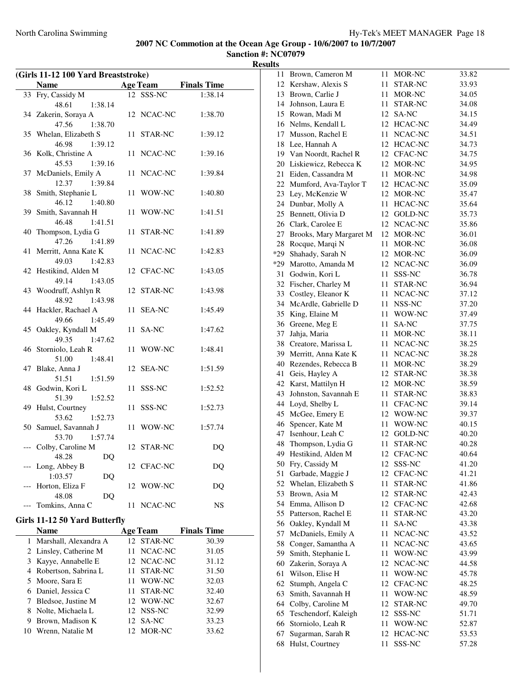|    | (Girls 11-12 100 Yard Breaststroke)      |    |                 |                    |
|----|------------------------------------------|----|-----------------|--------------------|
|    | <b>Name</b>                              |    | <b>Age Team</b> | <b>Finals Time</b> |
|    | 33 Fry, Cassidy M                        |    | 12 SSS-NC       | 1:38.14            |
|    | 48.61<br>1:38.14                         |    |                 |                    |
|    | 34 Zakerin, Soraya A                     |    | 12 NCAC-NC      | 1:38.70            |
|    | 47.56<br>1:38.70                         |    |                 |                    |
|    | 35 Whelan, Elizabeth S                   |    | 11 STAR-NC      | 1:39.12            |
|    | 46.98<br>1:39.12                         |    |                 |                    |
|    | 36 Kolk, Christine A                     |    | 11 NCAC-NC      | 1:39.16            |
|    | 45.53<br>1:39.16                         |    |                 |                    |
|    | 37 McDaniels, Emily A                    |    | 11 NCAC-NC      | 1:39.84            |
|    | 12.37<br>1:39.84                         |    |                 |                    |
|    | 38 Smith, Stephanie L                    |    | 11 WOW-NC       | 1:40.80            |
|    | 46.12<br>1:40.80                         |    |                 |                    |
| 39 | Smith, Savannah H                        |    | 11 WOW-NC       | 1:41.51            |
|    | 46.48<br>1:41.51                         |    |                 |                    |
| 40 | Thompson, Lydia G<br>47.26<br>1:41.89    |    | 11 STAR-NC      | 1:41.89            |
| 41 |                                          |    |                 |                    |
|    | Merritt, Anna Kate K<br>49.03<br>1:42.83 |    | 11 NCAC-NC      | 1:42.83            |
|    | 42 Hestikind, Alden M                    |    | 12 CFAC-NC      | 1:43.05            |
|    | 49.14<br>1:43.05                         |    |                 |                    |
|    | 43 Woodruff, Ashlyn R                    |    | 12 STAR-NC      | 1:43.98            |
|    | 48.92<br>1:43.98                         |    |                 |                    |
|    | 44 Hackler, Rachael A                    |    | 11 SEA-NC       | 1:45.49            |
|    | 49.66<br>1:45.49                         |    |                 |                    |
|    | 45 Oakley, Kyndall M                     |    | 11 SA-NC        | 1:47.62            |
|    | 49.35<br>1:47.62                         |    |                 |                    |
|    | 46 Storniolo, Leah R                     |    | 11 WOW-NC       | 1:48.41            |
|    | 51.00<br>1:48.41                         |    |                 |                    |
|    | 47 Blake, Anna J                         |    | 12 SEA-NC       | 1:51.59            |
|    | 51.51<br>1:51.59                         |    |                 |                    |
|    | 48 Godwin, Kori L                        |    | 11 SSS-NC       | 1:52.52            |
|    | 51.39<br>1:52.52                         |    |                 |                    |
|    | 49 Hulst, Courtney                       |    | 11 SSS-NC       | 1:52.73            |
|    | 53.62<br>1:52.73                         |    |                 |                    |
|    | 50 Samuel, Savannah J                    |    | 11 WOW-NC       | 1:57.74            |
|    | 53.70<br>1:57.74                         |    |                 |                    |
|    | Colby, Caroline M                        |    | 12 STAR-NC      | DQ                 |
|    | 48.28 DQ                                 |    |                 |                    |
|    | Long, Abbey B                            |    | 12 CFAC-NC      | DQ                 |
|    | 1:03.57<br>DQ                            |    |                 |                    |
|    | Horton, Eliza F                          |    | 12 WOW-NC       | DQ                 |
|    | 48.08<br>DQ                              |    |                 |                    |
|    | Tomkins, Anna C                          | 11 | NCAC-NC         | NS                 |
|    | Girls 11-12 50 Yard Butterfly            |    |                 |                    |
|    | Name                                     |    | <b>Age Team</b> | <b>Finals Time</b> |
| 1  | Marshall, Alexandra A                    |    | 12 STAR-NC      | 30.39              |
| 2  | Linsley, Catherine M                     | 11 | NCAC-NC         | 31.05              |
| 3  | Kayye, Annabelle E                       |    | 12 NCAC-NC      | 31.12              |
| 4  | Robertson, Sabrina L                     | 11 | STAR-NC         | 31.50              |
| 5  | Moore, Sara E                            | 11 | WOW-NC          | 32.03              |
| 6  | Daniel, Jessica C                        | 11 | STAR-NC         | 32.40              |
| 7  | Bledsoe, Justine M                       |    | 12 WOW-NC       | 32.67              |
| 8  | Nolte, Michaela L                        |    | 12 NSS-NC       | 32.99              |
| 9  | Brown, Madison K                         |    | 12 SA-NC        | 33.23              |
| 10 | Wrenn, Natalie M                         | 12 | MOR-NC          | 33.62              |
|    |                                          |    |                 |                    |
|    |                                          |    |                 |                    |

| 11    | Brown, Cameron M                         | 11  | MOR-NC         | 33.82 |
|-------|------------------------------------------|-----|----------------|-------|
| 12    | Kershaw, Alexis S                        | 11  | STAR-NC        | 33.93 |
| 13    | Brown, Carlie J                          | 11  | MOR-NC         | 34.05 |
| 14    | Johnson, Laura E                         | 11  | STAR-NC        | 34.08 |
| 15    | Rowan, Madi M                            | 12  | SA-NC          | 34.15 |
| 16    | Nelms, Kendall L                         |     | 12 HCAC-NC     | 34.49 |
| 17    | Musson, Rachel E                         | 11  | NCAC-NC        | 34.51 |
| 18    | Lee, Hannah A                            |     | 12 HCAC-NC     | 34.73 |
|       |                                          |     |                |       |
|       | 19 Van Noordt, Rachel R                  |     | 12 CFAC-NC     | 34.75 |
|       | 20 Liskiewicz, Rebecca K                 |     | 12 MOR-NC      | 34.95 |
| 21    | Eiden, Cassandra M                       | 11  | MOR-NC         | 34.98 |
| 22    | Mumford, Ava-Taylor T                    |     | 12 HCAC-NC     | 35.09 |
| 23    | Ley, McKenzie W                          |     | 12 MOR-NC      | 35.47 |
| 24    | Dunbar, Molly A                          | 11  | <b>HCAC-NC</b> | 35.64 |
| 25    | Bennett, Olivia D                        | 12  | GOLD-NC        | 35.73 |
| 26    | Clark, Carolee E                         | 12  | NCAC-NC        | 35.86 |
| 27    | Brooks, Mary Margaret M                  | 12  | MOR-NC         | 36.01 |
| 28    | Rocque, Marqi N                          | 11  | MOR-NC         | 36.08 |
| $*29$ | Shahady, Sarah N                         |     | 12 MOR-NC      | 36.09 |
| $*29$ | Marotto, Amanda M                        |     | 12 NCAC-NC     | 36.09 |
| 31    | Godwin, Kori L                           | 11  | SSS-NC         | 36.78 |
| 32    | Fischer, Charley M                       | 11  | <b>STAR-NC</b> | 36.94 |
| 33    | Costley, Eleanor K                       | 11  | NCAC-NC        | 37.12 |
| 34    |                                          |     |                |       |
|       | McArdle, Gabrielle D                     | 11  | NSS-NC         | 37.20 |
| 35    | King, Elaine M                           | 11  | WOW-NC         | 37.49 |
| 36    | Greene, Meg E                            | 11  | SA-NC          | 37.75 |
| 37    | Jahja, Maria                             | 11. | MOR-NC         | 38.11 |
| 38    | Creatore, Marissa L                      | 11  | NCAC-NC        | 38.25 |
| 39    | Merritt, Anna Kate K                     | 11  | NCAC-NC        | 38.28 |
| 40    | Rezendes, Rebecca B                      | 11  | MOR-NC         | 38.29 |
| 41    | Geis, Hayley A                           | 12  | STAR-NC        | 38.38 |
| 42    | Karst, Mattilyn H                        |     | 12 MOR-NC      | 38.59 |
| 43    | Johnston, Savannah E                     | 11  | STAR-NC        | 38.83 |
| 44    | Loyd, Shelby L                           | 11- | CFAC-NC        | 39.14 |
| 45    | McGee, Emery E                           | 12  | WOW-NC         | 39.37 |
| 46    | Spencer, Kate M                          | 11  | WOW-NC         | 40.15 |
| 47    | Isenhour, Leah C                         | 12  | <b>GOLD-NC</b> | 40.20 |
| 48    | Thompson, Lydia G                        | 11  | STAR-NC        | 40.28 |
| 49    | Hestikind, Alden M                       | 12  | <b>CFAC-NC</b> | 40.64 |
| 50    | Fry, Cassidy M                           | 12  | SSS-NC         | 41.20 |
| 51    |                                          | 12  | CFAC-NC        |       |
|       | Garbade, Maggie J<br>Whelan, Elizabeth S | 11  |                | 41.21 |
| 52    |                                          |     | STAR-NC        | 41.86 |
| 53    | Brown, Asia M                            | 12  | STAR-NC        | 42.43 |
| 54    | Emma, Allison D                          | 12  | CFAC-NC        | 42.68 |
| 55    | Patterson, Rachel E                      | 11  | STAR-NC        | 43.20 |
| 56    | Oakley, Kyndall M                        | 11  | SA-NC          | 43.38 |
| 57    | McDaniels, Emily A                       | 11  | NCAC-NC        | 43.52 |
| 58    | Conger, Samantha A                       | 11  | NCAC-NC        | 43.65 |
| 59    | Smith, Stephanie L                       | 11  | WOW-NC         | 43.99 |
| 60    | Zakerin, Soraya A                        | 12  | NCAC-NC        | 44.58 |
| 61    | Wilson, Elise H                          | 11  | WOW-NC         | 45.78 |
| 62    | Stumph, Angela C                         | 12  | CFAC-NC        | 48.25 |
| 63    | Smith, Savannah H                        | 11  | WOW-NC         | 48.59 |
| 64    | Colby, Caroline M                        | 12  | STAR-NC        | 49.70 |
| 65    | Teschendorf, Kaleigh                     | 12  | SSS-NC         | 51.71 |
| 66    | Storniolo, Leah R                        | 11  | WOW-NC         | 52.87 |
| 67    | Sugarman, Sarah R                        | 12  | HCAC-NC        | 53.53 |
| 68    | Hulst, Courtney                          | 11  | SSS-NC         | 57.28 |
|       |                                          |     |                |       |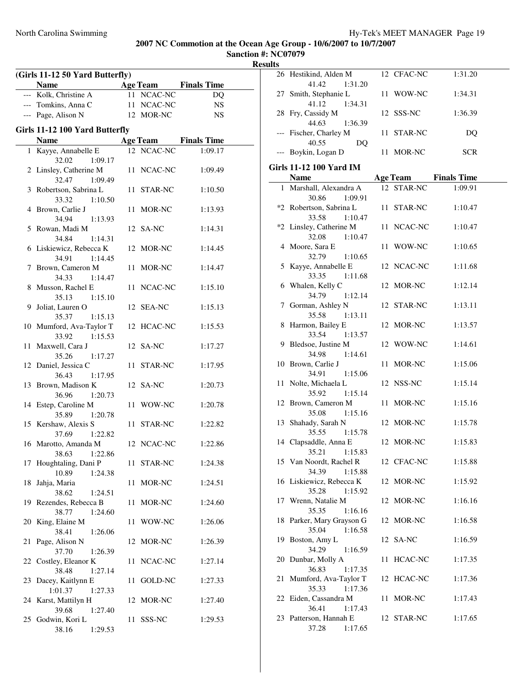**Sanction #: NC07079 Results**

 $\overline{\phantom{0}}$ 

|    | <b>Name</b><br>--- Kolk, Christine A         |    | <b>Age Team</b><br>11 NCAC-NC | <b>Finals Time</b><br>DQ    |
|----|----------------------------------------------|----|-------------------------------|-----------------------------|
|    | --- Tomkins, Anna C                          |    | 11 NCAC-NC                    | <b>NS</b>                   |
|    | --- Page, Alison N                           |    | 12 MOR-NC                     | <b>NS</b>                   |
|    |                                              |    |                               |                             |
|    | Girls 11-12 100 Yard Butterfly               |    |                               |                             |
|    | Name                                         |    |                               | <b>Age Team</b> Finals Time |
|    | 1 Kayye, Annabelle E<br>32.02<br>1:09.17     |    | 12 NCAC-NC                    | 1:09.17                     |
|    | 2 Linsley, Catherine M<br>32.47<br>1:09.49   |    | 11 NCAC-NC                    | 1:09.49                     |
|    | 3 Robertson, Sabrina L<br>33.32 1:10.50      |    | 11 STAR-NC                    | 1:10.50                     |
|    | 4 Brown, Carlie J<br>34.94<br>1:13.93        |    | 11 MOR-NC                     | 1:13.93                     |
|    | 5 Rowan, Madi M<br>34.84 1:14.31             |    | 12 SA-NC                      | 1:14.31                     |
|    | 6 Liskiewicz, Rebecca K<br>34.91 1:14.45     |    | 12 MOR-NC                     | 1:14.45                     |
|    | 7 Brown, Cameron M<br>34.33<br>1:14.47       |    | 11 MOR-NC                     | 1:14.47                     |
|    | 8 Musson, Rachel E<br>35.13                  |    | 11 NCAC-NC                    | 1:15.10                     |
|    | 1:15.10<br>9 Joliat, Lauren O                |    | 12 SEA-NC                     | 1:15.13                     |
|    | 35.37<br>1:15.13<br>10 Mumford, Ava-Taylor T |    | 12 HCAC-NC                    | 1:15.53                     |
|    | 1:15.53<br>33.92<br>11 Maxwell, Cara J       |    | 12 SA-NC                      | 1:17.27                     |
|    | 35.26<br>1:17.27<br>12 Daniel, Jessica C     |    | 11 STAR-NC                    | 1:17.95                     |
|    | 36.43 1:17.95<br>13 Brown, Madison K         |    | 12 SA-NC                      | 1:20.73                     |
|    | 36.96<br>1:20.73<br>14 Estep, Caroline M     |    | 11 WOW-NC                     | 1:20.78                     |
|    | 35.89<br>1:20.78<br>15 Kershaw, Alexis S     |    | 11 STAR-NC                    | 1:22.82                     |
|    | 37.69<br>1:22.82<br>16 Marotto, Amanda M     |    | 12 NCAC-NC                    | 1:22.86                     |
|    | 38.63<br>1:22.86<br>17 Houghtaling, Dani P   |    | 11 STAR-NC                    | 1:24.38                     |
| 18 | 10.89<br>1:24.38<br>Jahja, Maria             |    | 11 MOR-NC                     | 1:24.51                     |
|    | 38.62<br>1:24.51<br>19 Rezendes, Rebecca B   |    | 11 MOR-NC                     | 1:24.60                     |
| 20 | 38.77<br>1:24.60<br>King, Elaine M           |    | 11 WOW-NC                     | 1:26.06                     |
|    | 38.41<br>1:26.06                             |    |                               |                             |
| 21 | Page, Alison N<br>37.70<br>1:26.39           |    | 12 MOR-NC                     | 1:26.39                     |
|    | 22 Costley, Eleanor K<br>38.48<br>1:27.14    |    | 11 NCAC-NC                    | 1:27.14                     |
| 23 | Dacey, Kaitlynn E<br>1:01.37<br>1:27.33      |    | 11 GOLD-NC                    | 1:27.33                     |
|    | 24 Karst, Mattilyn H<br>39.68<br>1:27.40     |    | 12 MOR-NC                     | 1:27.40                     |
|    | 25 Godwin, Kori L<br>38.16<br>1:29.53        | 11 | SSS-NC                        | 1:29.53                     |

|     | 26 Hestikind, Alden M            | 12 CFAC-NC | 1:31.20                     |  |
|-----|----------------------------------|------------|-----------------------------|--|
|     | 41.42<br>1:31.20                 |            |                             |  |
|     | 27 Smith, Stephanie L            | 11 WOW-NC  | 1:34.31                     |  |
|     | 41.12 1:34.31                    |            |                             |  |
|     | 28 Fry, Cassidy M                | 12 SSS-NC  | 1:36.39                     |  |
|     | 44.63<br>1:36.39                 |            |                             |  |
| --- | Fischer, Charley M               | 11 STAR-NC | DQ                          |  |
|     | 40.55<br>DQ                      |            |                             |  |
|     | --- Boykin, Logan D              | 11 MOR-NC  | <b>SCR</b>                  |  |
|     | Girls 11-12 100 Yard IM          |            |                             |  |
|     | <b>Name</b>                      |            | <b>Age Team</b> Finals Time |  |
|     | 1 Marshall, Alexandra A          | 12 STAR-NC | 1:09.91                     |  |
|     | 30.86<br>1:09.91                 |            |                             |  |
|     | *2 Robertson, Sabrina L          | 11 STAR-NC | 1:10.47                     |  |
|     | 33.58<br>1:10.47                 |            |                             |  |
|     | *2 Linsley, Catherine M          | 11 NCAC-NC | 1:10.47                     |  |
|     | 32.08 1:10.47                    |            |                             |  |
|     | 4 Moore, Sara E                  | 11 WOW-NC  | 1:10.65                     |  |
|     | 1:10.65<br>32.79                 |            |                             |  |
| 5   | Kayye, Annabelle E               | 12 NCAC-NC | 1:11.68                     |  |
|     | 33.35<br>1:11.68                 |            |                             |  |
|     | 6 Whalen, Kelly C                | 12 MOR-NC  | 1:12.14                     |  |
|     | 34.79<br>1:12.14                 |            |                             |  |
|     | 7 Gorman, Ashley N               | 12 STAR-NC | 1:13.11                     |  |
|     | 35.58 1:13.11                    |            |                             |  |
|     | 8 Harmon, Bailey E               | 12 MOR-NC  | 1:13.57                     |  |
|     | 33.54<br>1:13.57                 |            |                             |  |
|     | 9 Bledsoe, Justine M             | 12 WOW-NC  | 1:14.61                     |  |
|     | 34.98<br>1:14.61                 |            |                             |  |
|     | 10 Brown, Carlie J               | 11 MOR-NC  | 1:15.06                     |  |
|     | 34.91<br>1:15.06                 |            |                             |  |
|     | 11 Nolte, Michaela L             | 12 NSS-NC  | 1:15.14                     |  |
|     | 35.92<br>1:15.14                 |            |                             |  |
|     | 12 Brown, Cameron M              | 11 MOR-NC  | 1:15.16                     |  |
|     | 35.08<br>1:15.16                 |            |                             |  |
|     | 13 Shahady, Sarah N<br>35.55     | 12 MOR-NC  | 1:15.78                     |  |
|     | 1:15.78<br>14 Clapsaddle, Anna E | 12 MOR-NC  | 1:15.83                     |  |
|     | 35.21<br>1:15.83                 |            |                             |  |
|     | 15 Van Noordt, Rachel R          | 12 CFAC-NC | 1:15.88                     |  |
|     | 34.39 1:15.88                    |            |                             |  |
|     | 16 Liskiewicz, Rebecca K         | 12 MOR-NC  | 1:15.92                     |  |
|     | 35.28<br>1:15.92                 |            |                             |  |
|     | 17 Wrenn, Natalie M              | 12 MOR-NC  | 1:16.16                     |  |
|     | 35.35<br>1:16.16                 |            |                             |  |
|     | 18 Parker, Mary Grayson G        | 12 MOR-NC  | 1:16.58                     |  |
|     | 35.04<br>1:16.58                 |            |                             |  |
|     | 19 Boston, Amy L                 | 12 SA-NC   | 1:16.59                     |  |
|     | 34.29<br>1:16.59                 |            |                             |  |
|     | 20 Dunbar, Molly A               | 11 HCAC-NC | 1:17.35                     |  |
|     | 36.83<br>1:17.35                 |            |                             |  |
|     | 21 Mumford, Ava-Taylor T         | 12 HCAC-NC | 1:17.36                     |  |
|     | 35.33<br>1:17.36                 |            |                             |  |
|     | 22 Eiden, Cassandra M            | 11 MOR-NC  | 1:17.43                     |  |
|     | 36.41<br>1:17.43                 |            |                             |  |
|     | 23 Patterson, Hannah E           | 12 STAR-NC | 1:17.65                     |  |

37.28 1:17.65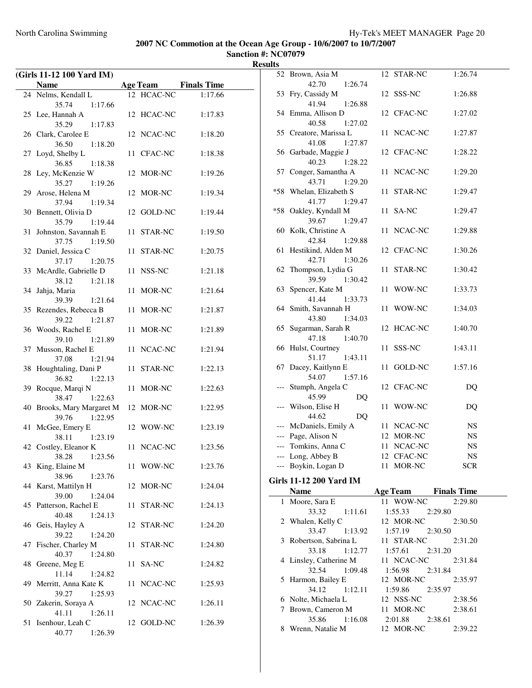**Sanction #: NC07079 Results**

 $\overline{a}$ 

|    | (Girls 11-12 100 Yard IM)           |    |            |                             |
|----|-------------------------------------|----|------------|-----------------------------|
|    | <b>Name</b>                         |    |            | <b>Age Team</b> Finals Time |
|    | 24 Nelms, Kendall L                 |    | 12 HCAC-NC | 1:17.66                     |
|    | 35.74<br>1:17.66                    |    |            |                             |
|    | 25 Lee, Hannah A                    |    | 12 HCAC-NC | 1:17.83                     |
|    | 35.29<br>1:17.83                    |    |            |                             |
|    | 26 Clark, Carolee E                 |    | 12 NCAC-NC | 1:18.20                     |
|    | 36.50<br>1:18.20                    |    |            |                             |
|    | 27 Loyd, Shelby L                   |    | 11 CFAC-NC | 1:18.38                     |
|    | 36.85<br>1:18.38                    |    |            |                             |
|    | 28 Ley, McKenzie W                  |    | 12 MOR-NC  | 1:19.26                     |
|    | 35.27<br>1:19.26                    |    |            |                             |
| 29 | Arose, Helena M                     |    | 12 MOR-NC  | 1:19.34                     |
|    | 37.94<br>1:19.34                    |    |            |                             |
| 30 | Bennett, Olivia D                   |    | 12 GOLD-NC | 1:19.44                     |
|    | 35.79<br>1:19.44                    |    |            |                             |
| 31 | Johnston, Savannah E                |    | 11 STAR-NC | 1:19.50                     |
|    | 37.75<br>1:19.50                    |    |            |                             |
|    | 32 Daniel, Jessica C                |    | 11 STAR-NC | 1:20.75                     |
|    | 37.17<br>1:20.75                    |    |            |                             |
|    | 33 McArdle, Gabrielle D             |    | 11 NSS-NC  | 1:21.18                     |
|    | 38.12<br>1:21.18                    |    |            |                             |
| 34 | Jahja, Maria                        |    | 11 MOR-NC  | 1:21.64                     |
|    | 39.39<br>1:21.64                    |    |            |                             |
|    | 35 Rezendes, Rebecca B              |    | 11 MOR-NC  | 1:21.87                     |
|    | 39.22<br>1:21.87                    |    |            |                             |
|    | 36 Woods, Rachel E                  |    | 11 MOR-NC  | 1:21.89                     |
|    | 39.10 1:21.89                       |    |            |                             |
|    | 37 Musson, Rachel E                 |    | 11 NCAC-NC | 1:21.94                     |
|    | 37.08<br>1:21.94                    |    |            |                             |
| 38 | Houghtaling, Dani P                 |    | 11 STAR-NC | 1:22.13                     |
|    | 36.82<br>1:22.13                    |    |            |                             |
| 39 | Rocque, Marqi N<br>38.47<br>1:22.63 |    | 11 MOR-NC  | 1:22.63                     |
| 40 | Brooks, Mary Margaret M             |    | 12 MOR-NC  | 1:22.95                     |
|    | 39.76<br>1:22.95                    |    |            |                             |
| 41 | McGee, Emery E                      |    | 12 WOW-NC  | 1:23.19                     |
|    | 38.11<br>1:23.19                    |    |            |                             |
|    | 42 Costley, Eleanor K               |    | 11 NCAC-NC | 1:23.56                     |
|    | 38.28 1:23.56                       |    |            |                             |
| 43 | King, Elaine M                      |    | 11 WOW-NC  | 1:23.76                     |
|    | 38.96<br>1:23.76                    |    |            |                             |
| 44 | Karst, Mattilyn H                   |    | 12 MOR-NC  | 1:24.04                     |
|    | 39.00<br>1:24.04                    |    |            |                             |
|    | 45 Patterson, Rachel E              |    | 11 STAR-NC | 1:24.13                     |
|    | 40.48<br>1:24.13                    |    |            |                             |
|    | 46 Geis, Hayley A                   |    | 12 STAR-NC | 1:24.20                     |
|    | 39.22<br>1:24.20                    |    |            |                             |
|    | 47 Fischer, Charley M               | 11 | STAR-NC    | 1:24.80                     |
|    | 40.37<br>1:24.80                    |    |            |                             |
|    | 48 Greene, Meg E                    |    | 11 SA-NC   | 1:24.82                     |
|    | 11.14<br>1:24.82                    |    |            |                             |
| 49 | Merritt, Anna Kate K                |    | 11 NCAC-NC | 1:25.93                     |
|    | 1:25.93<br>39.27                    |    |            |                             |
|    | 50 Zakerin, Soraya A                |    | 12 NCAC-NC | 1:26.11                     |
|    | 41.11<br>1:26.11                    |    |            |                             |
| 51 | Isenhour, Leah C                    |    | 12 GOLD-NC | 1:26.39                     |
|    | 40.77<br>1:26.39                    |    |            |                             |

|       | 52 Brown, Asia M                          | 12 STAR-NC                  | 1:26.74            |
|-------|-------------------------------------------|-----------------------------|--------------------|
| 53    | 42.70<br>1:26.74<br>Fry, Cassidy M        | SSS-NC<br>12                | 1:26.88            |
|       | 41.94<br>1:26.88                          |                             |                    |
|       | 54 Emma, Allison D                        | 12 CFAC-NC                  | 1:27.02            |
|       | 40.58<br>1:27.02                          |                             |                    |
|       | 55 Creatore, Marissa L                    | NCAC-NC<br>11               | 1:27.87            |
|       | 41.08<br>1:27.87                          |                             |                    |
|       | 56 Garbade, Maggie J                      | 12 CFAC-NC                  | 1:28.22            |
|       | 40.23<br>1:28.22<br>57 Conger, Samantha A | NCAC-NC<br>11               | 1:29.20            |
|       | 43.71<br>1:29.20                          |                             |                    |
|       | *58 Whelan, Elizabeth S                   | 11<br>STAR-NC               | 1:29.47            |
|       | 41.77<br>1:29.47                          |                             |                    |
| $*58$ | Oakley, Kyndall M                         | 11<br>SA-NC                 | 1:29.47            |
|       | 39.67<br>1:29.47                          |                             |                    |
|       | 60 Kolk, Christine A                      | NCAC-NC<br>11               | 1:29.88            |
|       | 42.84<br>1:29.88                          |                             |                    |
| 61    | Hestikind, Alden M                        | 12 CFAC-NC                  | 1:30.26            |
|       | 42.71<br>1:30.26                          |                             |                    |
|       | 62 Thompson, Lydia G<br>39.59<br>1:30.42  | 11<br>STAR-NC               | 1:30.42            |
| 63    | Spencer, Kate M                           | 11<br>WOW-NC                | 1:33.73            |
|       | 41.44<br>1:33.73                          |                             |                    |
|       | 64 Smith, Savannah H                      | WOW-NC<br>11                | 1:34.03            |
|       | 43.80<br>1:34.03                          |                             |                    |
|       | 65 Sugarman, Sarah R                      | HCAC-NC<br>12               | 1:40.70            |
|       | 47.18<br>1:40.70                          |                             |                    |
|       | 66 Hulst, Courtney                        | 11<br>SSS-NC                | 1:43.11            |
|       | 51.17<br>1:43.11<br>67 Dacey, Kaitlynn E  | 11<br>GOLD-NC               | 1:57.16            |
|       | 54.07<br>1:57.16                          |                             |                    |
| ---   | Stumph, Angela C                          | 12 CFAC-NC                  | DQ                 |
|       | 45.99<br>DQ                               |                             |                    |
| ---   | Wilson, Elise H                           | WOW-NC<br>11                | DQ                 |
|       | 44.62<br>DQ                               |                             |                    |
|       | --- McDaniels, Emily A                    | 11<br>NCAC-NC               | NS                 |
|       | --- Page, Alison N                        | 12 MOR-NC                   | NS                 |
| $---$ | Tomkins, Anna C                           | 11 NCAC-NC                  | NS<br><b>NS</b>    |
|       | Long, Abbey B<br>--- Boykin, Logan D      | 12 CFAC-NC<br>11 MOR-NC     | <b>SCR</b>         |
|       |                                           |                             |                    |
|       | Girls 11-12 200 Yard IM                   |                             |                    |
|       | <b>Name</b>                               | <b>Age Team</b> Finals Time |                    |
|       | 1 Moore, Sara E<br>33.32<br>1:11.61       | 11 WOW-NC<br>1:55.33        | 2:29.80<br>2:29.80 |
|       | 2 Whalen, Kelly C                         | 12 MOR-NC                   | 2:30.50            |
|       | 33.47<br>1:13.92                          | 1:57.19                     | 2:30.50            |
| 3     | Robertson, Sabrina L                      | 11 STAR-NC                  | 2:31.20            |
|       | 33.18<br>1:12.77                          | 1:57.61                     | 2:31.20            |
| 4     | Linsley, Catherine M                      | 11 NCAC-NC                  | 2:31.84            |
|       | 32.54<br>1:09.48                          | 1:56.98                     | 2:31.84            |
| 5     | Harmon, Bailey E                          | 12 MOR-NC                   | 2:35.97            |
|       | 34.12<br>1:12.11                          | 1:59.86                     | 2:35.97            |
|       | 6 Nolte, Michaela L                       | 12 NSS-NC                   | 2:38.56            |

7 Brown, Cameron M 11 MOR-NC 2:38.61 35.86 1:16.08 2:01.88 2:38.61 8 Wrenn, Natalie M 12 MOR-NC 2:39.22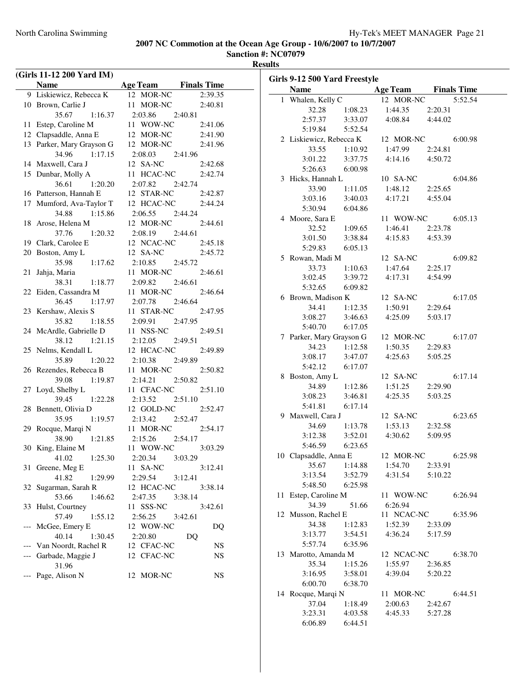**Sanction #: NC07079**

**Results**

|    | (Girls 11-12 200 Yard IM) |                             |           |
|----|---------------------------|-----------------------------|-----------|
|    | Name                      | <b>Age Team</b> Finals Time |           |
|    | 9 Liskiewicz, Rebecca K   | 12 MOR-NC                   | 2:39.35   |
|    | 10 Brown, Carlie J        | 11 MOR-NC                   | 2:40.81   |
|    | 35.67<br>1:16.37          | 2:03.86 2:40.81             |           |
|    | 11 Estep, Caroline M      | 11 WOW-NC                   | 2:41.06   |
|    | 12 Clapsaddle, Anna E     | 12 MOR-NC                   | 2:41.90   |
|    | 13 Parker, Mary Grayson G | 12 MOR-NC                   | 2:41.96   |
|    | 1:17.15<br>34.96          | 2:08.03 2:41.96             |           |
|    | 14 Maxwell, Cara J        | 12 SA-NC                    | 2:42.68   |
|    | 15 Dunbar, Molly A        | 11 HCAC-NC                  | 2:42.74   |
|    | 36.61<br>1:20.20          | 2:07.82 2:42.74             |           |
|    | 16 Patterson, Hannah E    | 12 STAR-NC                  | 2:42.87   |
|    | 17 Mumford, Ava-Taylor T  | 12 HCAC-NC 2:44.24          |           |
|    | 34.88 1:15.86             | 2:06.55 2:44.24             |           |
|    | 18 Arose, Helena M        | 12 MOR-NC                   | 2:44.61   |
|    | 37.76<br>1:20.32          |                             |           |
|    | 19 Clark, Carolee E       | $2:08.19$ $2:44.61$         |           |
|    |                           | 12 NCAC-NC 2:45.18          |           |
|    | 20 Boston, Amy L          | 12 SA-NC                    | 2:45.72   |
|    | 35.98 1:17.62             | 2:10.85 2:45.72             |           |
| 21 | Jahja, Maria              | 11 MOR-NC                   | 2:46.61   |
|    | 1:18.77<br>38.31          | 2:09.82 2:46.61             |           |
|    | 22 Eiden, Cassandra M     | 11 MOR-NC                   | 2:46.64   |
|    | 36.45<br>1:17.97          | 2:07.78 2:46.64             |           |
|    | 23 Kershaw, Alexis S      | 11 STAR-NC                  | 2:47.95   |
|    | 35.82 1:18.55             | 2:09.91 2:47.95             |           |
|    | 24 McArdle, Gabrielle D   | 11 NSS-NC                   | 2:49.51   |
|    | 38.12 1:21.15             | 2:12.05 2:49.51             |           |
|    | 25 Nelms, Kendall L       | 12 HCAC-NC                  | 2:49.89   |
|    | 35.89<br>1:20.22          | 2:10.38 2:49.89             |           |
|    | 26 Rezendes, Rebecca B    | 11 MOR-NC                   | 2:50.82   |
|    | 39.08 1:19.87             | 2:14.21<br>2:50.82          |           |
|    | 27 Loyd, Shelby L         | 11 CFAC-NC                  | 2:51.10   |
|    | 39.45 1:22.28             | $2:13.52$ $2:51.10$         |           |
|    | 28 Bennett, Olivia D      | 12 GOLD-NC                  | 2:52.47   |
|    | 35.95 1:19.57             | 2:13.42 2:52.47             |           |
|    | 29 Rocque, Marqi N        | 11 MOR-NC                   | 2:54.17   |
|    | 38.90 1:21.85             | $2:15.26$ $2:54.17$         |           |
|    | 30 King, Elaine M         | 11 WOW-NC                   | 3:03.29   |
|    | 1:25.30<br>41.02          | 2:20.34<br>3:03.29          |           |
|    | 31 Greene, Meg E          | 11 SA-NC                    | 3:12.41   |
|    | 41.82<br>1:29.99          | 2:29.54<br>3:12.41          |           |
|    | 32 Sugarman, Sarah R      | 12 HCAC-NC                  | 3:38.14   |
|    | 53.66<br>1:46.62          | 2:47.35<br>3:38.14          |           |
| 33 | Hulst, Courtney           | 11 SSS-NC                   | 3:42.61   |
|    | 57.49<br>1:55.12          | 2:56.25<br>3:42.61          |           |
|    | McGee, Emery E            | 12 WOW-NC                   | DQ        |
|    | 40.14<br>1:30.45          | 2:20.80<br>DQ               |           |
|    | Van Noordt, Rachel R      | 12 CFAC-NC                  | NS        |
|    | --- Garbade, Maggie J     | 12 CFAC-NC                  | NS        |
|    | 31.96                     |                             |           |
|    | Page, Alison N            | MOR-NC<br>12                | <b>NS</b> |

| Girls 9-12 500 Yard Freestyle           |                    |                                       |                    |         |
|-----------------------------------------|--------------------|---------------------------------------|--------------------|---------|
| <b>Name</b>                             |                    | <b>Example 2 Age Team</b> Finals Time |                    |         |
| 1 Whalen, Kelly C                       |                    | 12 MOR-NC                             |                    | 5:52.54 |
| 32.28                                   | 1:08.23            | $1:44.35$ $2:20.31$                   |                    |         |
| 2:57.37                                 | 3:33.07            | 4:08.84  4:44.02                      |                    |         |
| 5:19.84                                 | 5:52.54            |                                       |                    |         |
| 2 Liskiewicz, Rebecca K 12 MOR-NC       |                    |                                       |                    | 6:00.98 |
| 33.55                                   | 1:10.92            | 1:47.99 2:24.81                       |                    |         |
| 3:01.22                                 | 3:37.75            | 4:14.16                               | 4:50.72            |         |
| 5:26.63 6:00.98                         |                    |                                       |                    |         |
| 3 Hicks, Hannah L                       |                    | 10 SA-NC                              |                    | 6:04.86 |
| 33.90                                   |                    | $1:11.05$ $1:48.12$ $2:25.65$         |                    |         |
| 3:03.16                                 | 3:40.03            | 4:17.21                               | 4:55.04            |         |
| 5:30.94 6:04.86                         |                    |                                       |                    |         |
| 4 Moore, Sara E                         |                    | 11 WOW-NC                             |                    | 6:05.13 |
| $32.52$ 1:09.65                         |                    | 1:46.41 2:23.78                       |                    |         |
| 3:01.50                                 | 3:38.84            | 4:15.83  4:53.39                      |                    |         |
| 5:29.83 6:05.13                         |                    |                                       |                    |         |
| 5 Rowan, Madi M                         |                    | 12 SA-NC                              |                    | 6:09.82 |
| 33.73                                   |                    | $1:10.63$ $1:47.64$ $2:25.17$         |                    |         |
| 3:02.45                                 | 3:39.72            | 4:17.31                               | 4:54.99            |         |
| 5:32.65 6:09.82                         |                    |                                       |                    |         |
| 6 Brown, Madison K                      |                    | 12 SA-NC                              |                    | 6:17.05 |
| 34.41 1:12.35                           |                    | 1:50.91 2:29.64                       |                    |         |
| $3:08.27$ $3:46.63$                     |                    | 4:25.09 5:03.17                       |                    |         |
| 5:40.70                                 | 6:17.05            |                                       |                    |         |
| 7 Parker, Mary Grayson G 12 MOR-NC      |                    |                                       |                    | 6:17.07 |
| 34.23                                   | 1:12.58            | 1:50.35                               | 2:29.83            |         |
| 3:08.17                                 | 3:47.07            | 4:25.63                               | 5:05.25            |         |
| 5:42.12 6:17.07                         |                    |                                       |                    |         |
| 8 Boston, Amy L                         |                    | 12 SA-NC                              |                    | 6:17.14 |
| 34.89                                   | 1:12.86            | 1:51.25                               | 2:29.90            |         |
| 3:08.23                                 | 3:46.81            | 4:25.35                               | 5:03.25            |         |
| 5:41.81 6:17.14                         |                    |                                       |                    |         |
| 9 Maxwell, Cara J                       |                    | 12 SA-NC                              |                    | 6:23.65 |
| 34.69                                   |                    | 1:53.13                               |                    |         |
| 3:12.38                                 | 1:13.78<br>3:52.01 | 4:30.62                               | 2:32.58<br>5:09.95 |         |
| 5:46.59 6:23.65                         |                    |                                       |                    |         |
| 10 Clapsaddle, Anna E 12 MOR-NC 6:25.98 |                    |                                       |                    |         |
|                                         |                    |                                       |                    |         |
| 35.67                                   | 1:14.88<br>3:52.79 | 1:54.70<br>4:31.54                    | 2:33.91<br>5:10.22 |         |
| 3:13.54<br>5:48.50                      | 6:25.98            |                                       |                    |         |
| 11 Estep, Caroline M                    |                    | 11 WOW-NC                             |                    | 6:26.94 |
| 34.39                                   | 51.66              | 6:26.94                               |                    |         |
| 12 Musson, Rachel E                     |                    | 11 NCAC-NC                            |                    | 6:35.96 |
| 34.38                                   | 1:12.83            | 1:52.39                               | 2:33.09            |         |
| 3:13.77                                 | 3:54.51            | 4:36.24                               | 5:17.59            |         |
| 5:57.74                                 |                    |                                       |                    |         |
| 13 Marotto, Amanda M                    | 6:35.96            | 12 NCAC-NC                            |                    | 6:38.70 |
| 35.34                                   |                    |                                       |                    |         |
|                                         | 1:15.26            | 1:55.97 2:36.85<br>4:39.04 5:20.22    |                    |         |
| 3:16.95                                 | 3:58.01            |                                       |                    |         |
| 6:00.70                                 | 6:38.70            |                                       |                    |         |
| 14 Rocque, Marqi N                      |                    | 11 MOR-NC                             |                    | 6:44.51 |
| 37.04                                   | 1:18.49            | 2:00.63 2:42.67                       |                    |         |
| 3:23.31                                 | 4:03.58            | 4:45.33                               | 5:27.28            |         |
| 6:06.89                                 | 6:44.51            |                                       |                    |         |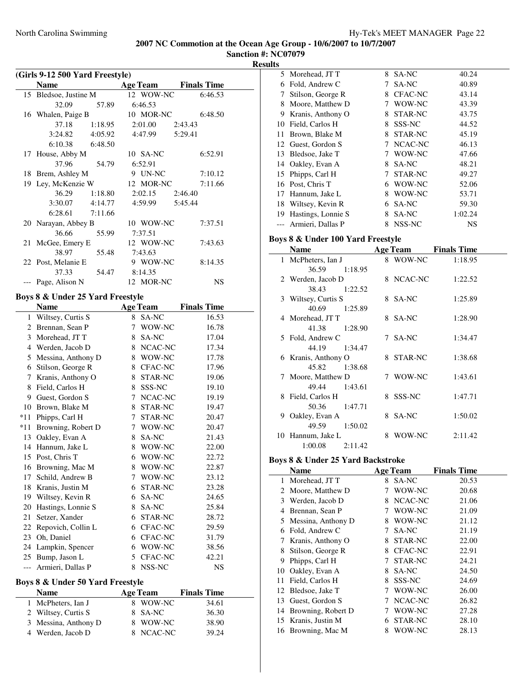**Sanction #: NC07079**

| (Girls 9-12 500 Yard Freestyle) |                                  |                       |                    |  |  |  |
|---------------------------------|----------------------------------|-----------------------|--------------------|--|--|--|
|                                 | <b>Name</b>                      | <b>Age Team</b>       | <b>Finals Time</b> |  |  |  |
| 15                              | Bledsoe, Justine M               | 12 WOW-NC             | 6:46.53            |  |  |  |
|                                 | 32.09<br>57.89                   | 6:46.53               |                    |  |  |  |
|                                 | 16 Whalen, Paige B               | 10 MOR-NC             | 6:48.50            |  |  |  |
|                                 | 37.18<br>1:18.95                 | 2:01.00               | 2:43.43            |  |  |  |
|                                 | 4:05.92<br>3:24.82               | 4:47.99               | 5:29.41            |  |  |  |
|                                 | 6:10.38<br>6:48.50               |                       |                    |  |  |  |
| 17                              | House, Abby M                    | 10 SA-NC              | 6:52.91            |  |  |  |
|                                 | 37.96<br>54.79                   | 6:52.91               |                    |  |  |  |
| 18                              | Brem, Ashley M                   | 9 UN-NC               | 7:10.12            |  |  |  |
|                                 | 19 Ley, McKenzie W               | 12 MOR-NC             | 7:11.66            |  |  |  |
|                                 | 36.29<br>1:18.80                 | 2:02.15               | 2:46.40            |  |  |  |
|                                 | 4:14.77<br>3:30.07               | 4:59.99               | 5:45.44            |  |  |  |
|                                 | 6:28.61<br>7:11.66               |                       |                    |  |  |  |
|                                 | 20 Narayan, Abbey B              | 10 WOW-NC             | 7:37.51            |  |  |  |
|                                 | 36.66<br>55.99                   | 7:37.51               |                    |  |  |  |
| 21                              | McGee, Emery E                   | 12 WOW-NC             | 7:43.63            |  |  |  |
|                                 | 38.97<br>55.48                   | 7:43.63               |                    |  |  |  |
|                                 | 22 Post, Melanie E               | 9 WOW-NC              | 8:14.35            |  |  |  |
|                                 | 37.33<br>54.47                   | 8:14.35               |                    |  |  |  |
|                                 | Page, Alison N                   | 12 MOR-NC             | NS                 |  |  |  |
|                                 | Boys 8 & Under 25 Yard Freestyle |                       |                    |  |  |  |
|                                 | <b>Name</b>                      | <b>Age Team</b>       | <b>Finals Time</b> |  |  |  |
|                                 | 1 Wiltsey, Curtis S              | SA-NC<br>8            | 16.53              |  |  |  |
|                                 | 2 Brennan, Sean P                | $7^{\circ}$<br>WOW-NC | 16.78              |  |  |  |
|                                 | 3 Morehead, JT T                 | 8 SA-NC               | 17.04              |  |  |  |
|                                 | 4 Werden, Jacob D                | 8 NCAC-NC             | 17.34              |  |  |  |
|                                 | 5 Messina, Anthony D             | 8 WOW-NC              | 17.78              |  |  |  |
|                                 | 6 Stilson, George R              | 8 CFAC-NC             | 17.96              |  |  |  |
|                                 | 7 Kranis, Anthony O              | 8 STAR-NC             | 19.06              |  |  |  |
|                                 | 8 Field, Carlos H                | 8 SSS-NC              | 19.10              |  |  |  |
|                                 | 9 Guest, Gordon S                | 7 NCAC-NC             | 19.19              |  |  |  |
|                                 | 10 Brown, Blake M                | 8 STAR-NC             | 19.47              |  |  |  |
| $*11$                           | Phipps, Carl H                   | 7 STAR-NC             | 20.47              |  |  |  |
| $*11$                           | Browning, Robert D               | 7 WOW-NC              | 20.47              |  |  |  |
| 13                              | Oakley, Evan A                   | 8 SA-NC               | 21.43              |  |  |  |
| 14                              | Hannum, Jake L                   | 8 WOW-NC              | 22.00              |  |  |  |
|                                 | 15 Post, Chris T                 | 6 WOW-NC              | 22.72              |  |  |  |
| 16                              | Browning, Mac M                  | 8<br>WOW-NC           | 22.87              |  |  |  |
| 17                              | Schild, Andrew B                 | 7<br>WOW-NC           | 23.12              |  |  |  |
| 18                              | Kranis, Justin M                 | 6<br>STAR-NC          | 23.28              |  |  |  |
| 19                              | Wiltsey, Kevin R                 | 6<br>SA-NC            | 24.65              |  |  |  |
| 20                              | Hastings, Lonnie S               | SA-NC<br>8            | 25.84              |  |  |  |
| 21                              | Setzer, Xander                   | 6<br>STAR-NC          | 28.72              |  |  |  |
| 22                              | Repovich, Collin L               | 6<br>CFAC-NC          | 29.59              |  |  |  |
| 23                              | Oh, Daniel                       | 6<br>CFAC-NC          | 31.79              |  |  |  |
| 24                              | Lampkin, Spencer                 | 6<br>WOW-NC           | 38.56              |  |  |  |
| 25                              | Bump, Jason L                    | 5<br>CFAC-NC          | 42.21              |  |  |  |

#### **Boys 8 & Under 50 Yard Freestyle**

÷

| <b>Name</b>          | <b>Age Team</b> | <b>Finals Time</b> |
|----------------------|-----------------|--------------------|
| 1 McPheters, Ian J   | 8 WOW-NC        | 34.61              |
| 2 Wiltsey, Curtis S  | 8 SA-NC         | 36.30              |
| 3 Messina, Anthony D | 8 WOW-NC        | 38.90              |
| 4 Werden, Jacob D    | 8 NCAC-NC       | 39.24              |

--- Armieri, Dallas P 8 NSS-NC NS

| .  |                     |    |                |           |
|----|---------------------|----|----------------|-----------|
|    | 5 Morehead, JT T    | 8  | <b>SA-NC</b>   | 40.24     |
| 6  | Fold, Andrew C      | 7  | SA-NC          | 40.89     |
| 7  | Stilson, George R   | 8  | <b>CFAC-NC</b> | 43.14     |
| 8  | Moore, Matthew D    | 7  | WOW-NC         | 43.39     |
| 9  | Kranis, Anthony O   | 8  | STAR-NC        | 43.75     |
| 10 | Field, Carlos H     | 8  | SSS-NC         | 44.52     |
| 11 | Brown, Blake M      | 8  | STAR-NC        | 45.19     |
|    | 12 Guest, Gordon S  | 7  | NCAC-NC        | 46.13     |
| 13 | Bledsoe, Jake T     | 7  | WOW-NC         | 47.66     |
|    | 14 Oakley, Evan A   | 8  | SA-NC          | 48.21     |
| 15 | Phipps, Carl H      | 7  | STAR-NC        | 49.27     |
|    | 16 Post, Chris T    | 6  | WOW-NC         | 52.06     |
| 17 | Hannum, Jake L      | 8  | WOW-NC         | 53.71     |
|    | 18 Wiltsey, Kevin R | 6. | SA-NC          | 59.30     |
| 19 | Hastings, Lonnie S  | 8  | SA-NC          | 1:02.24   |
|    | Armieri, Dallas P   | 8  | NSS-NC         | <b>NS</b> |
|    |                     |    |                |           |

### **Boys 8 & Under 100 Yard Freestyle**

| Name                |         | <b>Age Team</b> | <b>Finals Time</b> |  |
|---------------------|---------|-----------------|--------------------|--|
| 1 McPheters, Ian J  |         | 8 WOW-NC        | 1:18.95            |  |
| 36.59               | 1:18.95 |                 |                    |  |
| 2 Werden, Jacob D   |         | 8 NCAC-NC       | 1:22.52            |  |
| 38.43 1:22.52       |         |                 |                    |  |
| 3 Wiltsey, Curtis S |         | 8 SA-NC         | 1:25.89            |  |
| 40.69               | 1:25.89 |                 |                    |  |
| 4 Morehead, JT T    |         | 8 SA-NC         | 1:28.90            |  |
| 41.38               | 1:28.90 |                 |                    |  |
| 5 Fold, Andrew C    |         | 7 SA-NC         | 1:34.47            |  |
| 44.19               | 1:34.47 |                 |                    |  |
| 6 Kranis, Anthony O |         | 8 STAR-NC       | 1:38.68            |  |
| 45.82               | 1:38.68 |                 |                    |  |
| 7 Moore, Matthew D  |         | 7 WOW-NC        | 1:43.61            |  |
| 49.44               | 1:43.61 |                 |                    |  |
| 8 Field, Carlos H   |         | 8 SSS-NC        | 1:47.71            |  |
| 50.36               | 1:47.71 |                 |                    |  |
| 9 Oakley, Evan A    |         | 8 SA-NC         | 1:50.02            |  |
| 49.59               | 1:50.02 |                 |                    |  |
| 10 Hannum, Jake L   |         | 8 WOW-NC        | 2:11.42            |  |
| 1:00.08             | 2:11.42 |                 |                    |  |

#### **Boys 8 & Under 25 Yard Backstroke**

|    | <b>Name</b>          |   | <b>Age Team</b> | <b>Finals Time</b> |
|----|----------------------|---|-----------------|--------------------|
| 1  | Morehead, JT T       | 8 | SA-NC           | 20.53              |
|    | 2 Moore, Matthew D   | 7 | WOW-NC          | 20.68              |
| 3  | Werden, Jacob D      | 8 | NCAC-NC         | 21.06              |
| 4  | Brennan, Sean P      | 7 | WOW-NC          | 21.09              |
|    | 5 Messina, Anthony D | 8 | WOW-NC          | 21.12              |
| 6  | Fold, Andrew C       | 7 | SA-NC           | 21.19              |
| 7  | Kranis, Anthony O    | 8 | STAR-NC         | 22.00              |
| 8  | Stilson, George R    | 8 | CFAC-NC         | 22.91              |
| 9  | Phipps, Carl H       | 7 | STAR-NC         | 24.21              |
| 10 | Oakley, Evan A       | 8 | SA-NC           | 24.50              |
| 11 | Field, Carlos H      | 8 | SSS-NC          | 24.69              |
|    | 12 Bledsoe, Jake T   | 7 | WOW-NC          | 26.00              |
| 13 | Guest, Gordon S      |   | NCAC-NC         | 26.82              |
| 14 | Browning, Robert D   |   | WOW-NC          | 27.28              |
|    | 15 Kranis, Justin M  | 6 | STAR-NC         | 28.10              |
|    | 16 Browning, Mac M   | 8 | WOW-NC          | 28.13              |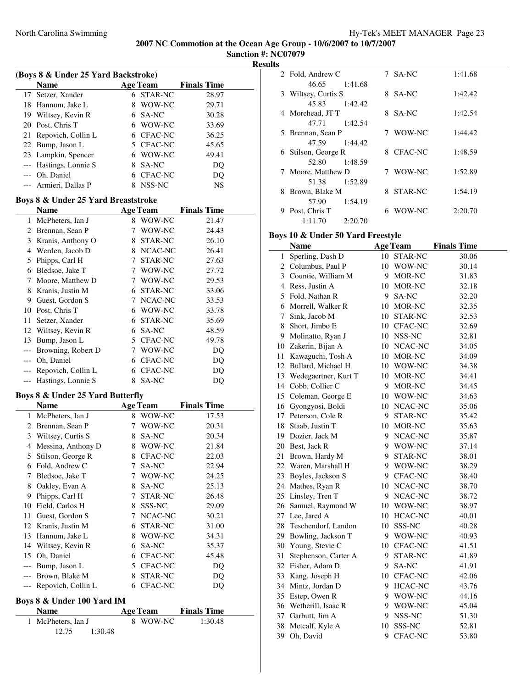**Sanction #: NC07079 Results**

| (Boys 8 & Under 25 Yard Backstroke) |                                             |    |                 |                    |  |  |  |
|-------------------------------------|---------------------------------------------|----|-----------------|--------------------|--|--|--|
|                                     | Name                                        |    | <b>Age Team</b> | <b>Finals Time</b> |  |  |  |
| 17                                  | Setzer, Xander                              | 6. | STAR-NC         | 28.97              |  |  |  |
| 18                                  | Hannum, Jake L                              | 8  | WOW-NC          | 29.71              |  |  |  |
| 19                                  | Wiltsey, Kevin R                            |    | 6 SA-NC         | 30.28              |  |  |  |
| 20                                  | Post, Chris T                               |    | 6 WOW-NC        | 33.69              |  |  |  |
| 21                                  | Repovich, Collin L                          |    | 6 CFAC-NC       | 36.25              |  |  |  |
| 22                                  | Bump, Jason L                               |    | 5 CFAC-NC       | 45.65              |  |  |  |
| 23                                  | Lampkin, Spencer                            |    | 6 WOW-NC        | 49.41              |  |  |  |
| $\overline{a}$                      | Hastings, Lonnie S                          | 8  | SA-NC           | DQ                 |  |  |  |
| $---$                               | Oh, Daniel                                  |    | 6 CFAC-NC       | DQ                 |  |  |  |
|                                     | Armieri, Dallas P                           | 8  | NSS-NC          | NS                 |  |  |  |
|                                     | Boys 8 & Under 25 Yard Breaststroke         |    |                 |                    |  |  |  |
|                                     | <b>Name</b>                                 |    | <b>Age Team</b> | <b>Finals Time</b> |  |  |  |
| 1                                   | McPheters, Ian J                            | 8  | WOW-NC          | 21.47              |  |  |  |
|                                     | 2 Brennan, Sean P                           | 7  | WOW-NC          | 24.43              |  |  |  |
| 3                                   | Kranis, Anthony O                           | 8  | STAR-NC         | 26.10              |  |  |  |
| 4                                   | Werden, Jacob D                             |    | 8 NCAC-NC       | 26.41              |  |  |  |
| 5                                   | Phipps, Carl H                              | 7  | STAR-NC         | 27.63              |  |  |  |
| 6                                   | Bledsoe, Jake T                             |    | 7 WOW-NC        | 27.72              |  |  |  |
| 7                                   | Moore, Matthew D                            |    | 7 WOW-NC        | 29.53              |  |  |  |
| 8                                   | Kranis, Justin M                            |    | 6 STAR-NC       | 33.06              |  |  |  |
| 9                                   | Guest, Gordon S                             |    | 7 NCAC-NC       | 33.53              |  |  |  |
| 10                                  | Post, Chris T                               |    | 6 WOW-NC        | 33.78              |  |  |  |
| 11                                  | Setzer, Xander                              |    | 6 STAR-NC       | 35.69              |  |  |  |
| 12                                  | Wiltsey, Kevin R                            |    | 6 SA-NC         | 48.59              |  |  |  |
| 13                                  | Bump, Jason L                               |    | 5 CFAC-NC       | 49.78              |  |  |  |
| $---$                               | Browning, Robert D                          |    | 7 WOW-NC        | DQ                 |  |  |  |
| ---                                 | Oh, Daniel                                  |    | 6 CFAC-NC       |                    |  |  |  |
|                                     | Repovich, Collin L                          |    | 6 CFAC-NC       | DQ<br>DQ           |  |  |  |
| ---<br>---                          | Hastings, Lonnie S                          | 8  | SA-NC           | DQ                 |  |  |  |
|                                     |                                             |    |                 |                    |  |  |  |
|                                     | <b>Boys 8 &amp; Under 25 Yard Butterfly</b> |    |                 |                    |  |  |  |
|                                     | <b>Name</b>                                 |    | <b>Age Team</b> | <b>Finals Time</b> |  |  |  |
| 1                                   | McPheters, Ian J                            | 8  | WOW-NC          | 17.53              |  |  |  |
|                                     | 2 Brennan, Sean P                           | 7  | WOW-NC          | 20.31              |  |  |  |
| 3                                   | Wiltsey, Curtis S                           |    | 8 SA-NC         | 20.34              |  |  |  |
| 4                                   | Messina, Anthony D                          |    | 8 WOW-NC        | 21.84              |  |  |  |
|                                     | 5 Stilson, George R                         |    | 8 CFAC-NC       | 22.03              |  |  |  |
|                                     | 6 Fold, Andrew C                            | 7  | SA-NC           | 22.94              |  |  |  |
| 7                                   | Bledsoe, Jake T                             | 7  | WOW-NC          | 24.25              |  |  |  |
| 8                                   | Oakley, Evan A                              | 8  | SA-NC           | 25.13              |  |  |  |
| 9                                   | Phipps, Carl H                              | 7  | STAR-NC         | 26.48              |  |  |  |
| 10                                  | Field, Carlos H                             | 8  | SSS-NC          | 29.09              |  |  |  |
| 11                                  | Guest, Gordon S                             | 7  | NCAC-NC         | 30.21              |  |  |  |
| 12                                  | Kranis, Justin M                            | 6  | STAR-NC         | 31.00              |  |  |  |
| 13                                  | Hannum, Jake L                              | 8  | WOW-NC          | 34.31              |  |  |  |
| 14                                  | Wiltsey, Kevin R                            | 6  | SA-NC           | 35.37              |  |  |  |
| 15                                  | Oh, Daniel                                  | 6  | CFAC-NC         | 45.48              |  |  |  |
| $---$                               | Bump, Jason L                               |    | 5 CFAC-NC       | DQ                 |  |  |  |
|                                     | Brown, Blake M                              | 8  | STAR-NC         | DQ                 |  |  |  |
| ---                                 | Repovich, Collin L                          | 6  | CFAC-NC         | DQ                 |  |  |  |
|                                     | Boys 8 & Under 100 Yard IM                  |    |                 |                    |  |  |  |
|                                     | <b>Name</b>                                 |    | <b>Age Team</b> | <b>Finals Time</b> |  |  |  |
| 1                                   | McPheters, Ian J                            |    | 8 WOW-NC        | 1:30.48            |  |  |  |
|                                     | 12.75<br>1:30.48                            |    |                 |                    |  |  |  |

|    | 2 Fold, Andrew C    |         |   | 7 SA-NC   | 1:41.68 |
|----|---------------------|---------|---|-----------|---------|
|    | 46.65               | 1:41.68 |   |           |         |
|    | 3 Wiltsey, Curtis S |         |   | 8 SA-NC   | 1:42.42 |
|    | 45.83               | 1:42.42 |   |           |         |
|    | 4 Morehead, JT T    |         |   | 8 SA-NC   | 1:42.54 |
|    | 47.71               | 1:42.54 |   |           |         |
|    | 5 Brennan, Sean P   |         |   | 7 WOW-NC  | 1:44.42 |
|    | 47.59               | 1:44.42 |   |           |         |
|    | 6 Stilson, George R |         |   | 8 CFAC-NC | 1:48.59 |
|    | 52.80               | 1:48.59 |   |           |         |
|    | 7 Moore, Matthew D  |         |   | 7 WOW-NC  | 1:52.89 |
|    | 51.38               | 1:52.89 |   |           |         |
| 8. | Brown, Blake M      |         |   | 8 STAR-NC | 1:54.19 |
|    | 57.90               | 1:54.19 |   |           |         |
| 9  | Post, Chris T       |         | 6 | WOW-NC    | 2:20.70 |
|    | 1:11.70             | 2:20.70 |   |           |         |

## **Boys 10 & Under 50 Yard Freestyle**

|    | <b>Name</b>           |    | <b>Age Team</b> | <b>Finals Time</b> |
|----|-----------------------|----|-----------------|--------------------|
| 1  | Sperling, Dash D      |    | 10 STAR-NC      | 30.06              |
|    | 2 Columbus, Paul P    |    | 10 WOW-NC       | 30.14              |
|    | 3 Countie, William M  |    | 9 MOR-NC        | 31.83              |
|    | 4 Ress, Justin A      |    | 10 MOR-NC       | 32.18              |
|    | 5 Fold, Nathan R      |    | 9 SA-NC         | 32.20              |
|    | 6 Morrell, Walker R   |    | 10 MOR-NC       | 32.35              |
| 7  | Sink, Jacob M         |    | 10 STAR-NC      | 32.53              |
| 8  | Short, Jimbo E        |    | 10 CFAC-NC      | 32.69              |
|    | 9 Molinatto, Ryan J   |    | 10 NSS-NC       | 32.81              |
| 10 | Zakerin, Bijan A      |    | 10 NCAC-NC      | 34.05              |
| 11 | Kawaguchi, Tosh A     |    | 10 MOR-NC       | 34.09              |
| 12 | Bullard, Michael H    |    | 10 WOW-NC       | 34.38              |
| 13 | Wedegaertner, Kurt T  |    | 10 MOR-NC       | 34.41              |
| 14 | Cobb, Collier C       |    | 9 MOR-NC        | 34.45              |
| 15 | Coleman, George E     |    | 10 WOW-NC       | 34.63              |
| 16 | Gyongyosi, Boldi      |    | 10 NCAC-NC      | 35.06              |
| 17 | Peterson, Cole R      |    | 9 STAR-NC       | 35.42              |
| 18 | Staab, Justin T       |    | 10 MOR-NC       | 35.63              |
|    | 19 Dozier, Jack M     |    | 9 NCAC-NC       | 35.87              |
|    | 20 Best, Jack R       |    | 9 WOW-NC        | 37.14              |
| 21 | Brown, Hardy M        |    | 9 STAR-NC       | 38.01              |
| 22 | Waren, Marshall H     |    | 9 WOW-NC        | 38.29              |
| 23 | Boyles, Jackson S     |    | 9 CFAC-NC       | 38.40              |
| 24 | Mathes, Ryan R        |    | 10 NCAC-NC      | 38.70              |
| 25 | Linsley, Tren T       |    | 9 NCAC-NC       | 38.72              |
|    | 26 Samuel, Raymond W  |    | 10 WOW-NC       | 38.97              |
| 27 | Lee, Jared A          |    | 10 HCAC-NC      | 40.01              |
| 28 | Teschendorf, Landon   |    | 10 SSS-NC       | 40.28              |
|    | 29 Bowling, Jackson T |    | 9 WOW-NC        | 40.93              |
| 30 | Young, Stevie C       |    | 10 CFAC-NC      | 41.51              |
| 31 | Stephenson, Carter A  | 9  | STAR-NC         | 41.89              |
| 32 | Fisher, Adam D        | 9. | SA-NC           | 41.91              |
| 33 | Kang, Joseph H        |    | 10 CFAC-NC      | 42.06              |
|    | 34 Mintz, Jordan D    |    | 9 HCAC-NC       | 43.76              |
|    | 35 Estep, Owen R      |    | 9 WOW-NC        | 44.16              |
| 36 | Wetherill, Isaac R    |    | 9 WOW-NC        | 45.04              |
| 37 | Garbutt, Jim A        |    | 9 NSS-NC        | 51.30              |
| 38 | Metcalf, Kyle A       | 10 | SSS-NC          | 52.81              |
| 39 | Oh, David             | 9  | <b>CFAC-NC</b>  | 53.80              |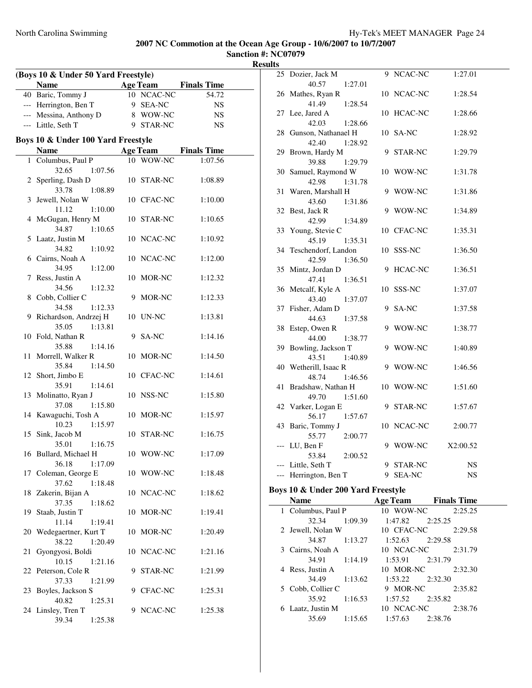**Sanction #: NC07079 Results**

| (Boys 10 & Under 50 Yard Freestyle) |                                    |   |                 |                    |  |
|-------------------------------------|------------------------------------|---|-----------------|--------------------|--|
|                                     | <b>Name</b>                        |   | <b>Age Team</b> | <b>Finals Time</b> |  |
|                                     | 40 Baric, Tommy J                  |   | 10 NCAC-NC      | 54.72              |  |
|                                     | --- Herrington, Ben T              |   | 9 SEA-NC        | <b>NS</b>          |  |
|                                     | --- Messina, Anthony D             |   | 8 WOW-NC        | NS                 |  |
|                                     | --- Little, Seth T                 |   | 9 STAR-NC       | NS                 |  |
|                                     |                                    |   |                 |                    |  |
|                                     | Boys 10 & Under 100 Yard Freestyle |   |                 |                    |  |
|                                     | <b>Name</b>                        |   | <b>Age Team</b> | <b>Finals Time</b> |  |
|                                     | 1 Columbus, Paul P                 |   | 10 WOW-NC       | 1:07.56            |  |
|                                     | 32.65<br>1:07.56                   |   |                 |                    |  |
|                                     | 2 Sperling, Dash D                 |   | 10 STAR-NC      | 1:08.89            |  |
|                                     | 33.78<br>1:08.89                   |   |                 |                    |  |
| 3                                   | Jewell, Nolan W                    |   | 10 CFAC-NC      | 1:10.00            |  |
|                                     | 11.12<br>1:10.00                   |   |                 |                    |  |
| 4                                   | McGugan, Henry M                   |   | 10 STAR-NC      | 1:10.65            |  |
|                                     | 34.87<br>1:10.65                   |   |                 |                    |  |
| 5                                   | Laatz, Justin M                    |   | 10 NCAC-NC      | 1:10.92            |  |
|                                     | 34.82<br>1:10.92                   |   |                 |                    |  |
|                                     | 6 Cairns, Noah A                   |   | 10 NCAC-NC      | 1:12.00            |  |
|                                     | 34.95<br>1:12.00                   |   |                 |                    |  |
| 7                                   | Ress, Justin A                     |   | 10 MOR-NC       | 1:12.32            |  |
|                                     | 34.56<br>1:12.32                   |   |                 |                    |  |
|                                     | 8 Cobb, Collier C                  |   | 9 MOR-NC        | 1:12.33            |  |
|                                     | 34.58<br>1:12.33                   |   |                 |                    |  |
| 9.                                  | Richardson, Andrzej H              |   | 10 UN-NC        | 1:13.81            |  |
|                                     | 35.05<br>1:13.81                   |   |                 |                    |  |
|                                     | 10 Fold, Nathan R                  |   | 9 SA-NC         | 1:14.16            |  |
|                                     | 35.88<br>1:14.16                   |   |                 |                    |  |
| 11                                  | Morrell, Walker R                  |   | 10 MOR-NC       | 1:14.50            |  |
|                                     | 35.84<br>1:14.50                   |   |                 |                    |  |
|                                     | 12 Short, Jimbo E                  |   | 10 CFAC-NC      | 1:14.61            |  |
|                                     | 35.91<br>1:14.61                   |   |                 |                    |  |
| 13                                  | Molinatto, Ryan J                  |   | 10 NSS-NC       | 1:15.80            |  |
|                                     | 37.08<br>1:15.80                   |   |                 |                    |  |
|                                     | 14 Kawaguchi, Tosh A               |   | 10 MOR-NC       | 1:15.97            |  |
|                                     | 10.23<br>1:15.97                   |   |                 |                    |  |
| 15                                  | Sink, Jacob M                      |   | 10 STAR-NC      | 1:16.75            |  |
|                                     | 35.01<br>1:16.75                   |   |                 |                    |  |
|                                     | 16 Bullard, Michael H              |   | 10 WOW-NC       | 1:17.09            |  |
|                                     | 36.18<br>1:17.09                   |   |                 |                    |  |
|                                     | 17 Coleman, George E               |   | 10 WOW-NC       | 1:18.48            |  |
|                                     | 37.62<br>1:18.48                   |   |                 |                    |  |
| 18                                  | Zakerin, Bijan A                   |   | 10 NCAC-NC      | 1:18.62            |  |
|                                     | 37.35<br>1:18.62                   |   |                 |                    |  |
| 19                                  | Staab, Justin T                    |   | 10 MOR-NC       | 1:19.41            |  |
|                                     | 11.14<br>1:19.41                   |   |                 |                    |  |
| 20                                  | Wedegaertner, Kurt T               |   | 10 MOR-NC       | 1:20.49            |  |
|                                     | 38.22<br>1:20.49                   |   |                 |                    |  |
| 21                                  | Gyongyosi, Boldi                   |   | 10 NCAC-NC      | 1:21.16            |  |
|                                     | 10.15<br>1:21.16                   |   |                 |                    |  |
|                                     | 22 Peterson, Cole R                |   | 9 STAR-NC       | 1:21.99            |  |
|                                     | 37.33<br>1:21.99                   |   |                 |                    |  |
| 23                                  | Boyles, Jackson S                  |   | 9 CFAC-NC       | 1:25.31            |  |
|                                     | 40.82<br>1:25.31                   |   |                 |                    |  |
|                                     | 24 Linsley, Tren T                 | 9 | NCAC-NC         | 1:25.38            |  |
|                                     | 39.34<br>1:25.38                   |   |                 |                    |  |
|                                     |                                    |   |                 |                    |  |

| 25    | Dozier, Jack M      | 9  | NCAC-NC        | 1:27.01  |
|-------|---------------------|----|----------------|----------|
|       | 40.57<br>1:27.01    |    |                |          |
| 26    | Mathes, Ryan R      | 10 | NCAC-NC        | 1:28.54  |
|       | 41.49<br>1:28.54    |    |                |          |
| 27    | Lee, Jared A        | 10 | HCAC-NC        | 1:28.66  |
|       | 42.03<br>1:28.66    |    |                |          |
| 28    | Gunson, Nathanael H | 10 | SA-NC          | 1:28.92  |
|       | 42.40<br>1:28.92    |    |                |          |
| 29    | Brown, Hardy M      | 9  | STAR-NC        | 1:29.79  |
|       | 39.88<br>1:29.79    |    |                |          |
| 30    | Samuel, Raymond W   | 10 | WOW-NC         | 1:31.78  |
|       | 42.98<br>1:31.78    |    |                |          |
| 31    | Waren, Marshall H   | 9  | WOW-NC         | 1:31.86  |
|       | 43.60<br>1:31.86    |    |                |          |
| 32    | Best, Jack R        | 9  | WOW-NC         | 1:34.89  |
|       | 42.99<br>1:34.89    |    |                |          |
| 33    | Young, Stevie C     |    | 10 CFAC-NC     | 1:35.31  |
|       | 45.19<br>1:35.31    |    |                |          |
| 34    | Teschendorf, Landon | 10 | SSS-NC         | 1:36.50  |
|       | 42.59<br>1:36.50    |    |                |          |
| 35    | Mintz, Jordan D     | 9  | HCAC-NC        | 1:36.51  |
|       | 47.41<br>1:36.51    |    |                |          |
| 36    | Metcalf, Kyle A     | 10 | SSS-NC         | 1:37.07  |
|       | 43.40<br>1:37.07    |    |                |          |
| 37    | Fisher, Adam D      | 9  | SA-NC          | 1:37.58  |
|       | 44.63<br>1:37.58    |    |                |          |
| 38    | Estep, Owen R       | 9  | WOW-NC         | 1:38.77  |
|       | 44.00<br>1:38.77    |    |                |          |
| 39    | Bowling, Jackson T  | 9  | WOW-NC         | 1:40.89  |
|       | 43.51<br>1:40.89    |    |                |          |
| 40    | Wetherill, Isaac R  | 9  | WOW-NC         | 1:46.56  |
|       | 48.74<br>1:46.56    |    |                |          |
| 41    | Bradshaw, Nathan H  | 10 | WOW-NC         | 1:51.60  |
|       | 1:51.60<br>49.70    |    |                |          |
| 42    | Varker, Logan E     | 9  | STAR-NC        | 1:57.67  |
|       | 56.17<br>1:57.67    |    |                |          |
| 43    | Baric, Tommy J      | 10 | NCAC-NC        | 2:00.77  |
|       | 55.77<br>2:00.77    |    |                |          |
| $---$ | LU, Ben F           | 9  | WOW-NC         | X2:00.52 |
|       | 53.84<br>2:00.52    |    |                |          |
| $---$ | Little, Seth T      | 9  | <b>STAR-NC</b> | NS       |
|       | Herrington, Ben T   | 9  | <b>SEA-NC</b>  | NS       |
|       |                     |    |                |          |

# **Boys 10 & Under 200 Yard Freestyle**

| <b>Name</b>        |         | <b>Age Team</b>     |         | <b>Finals Time</b> |
|--------------------|---------|---------------------|---------|--------------------|
| 1 Columbus, Paul P |         | 10 WOW-NC           |         | 2:25.25            |
| 32.34              | 1:09.39 | 1:47.82             | 2:25.25 |                    |
| 2 Jewell, Nolan W  |         | 10 CFAC-NC          |         | 2:29.58            |
| 34.87              | 1:13.27 | 1:52.63             | 2:29.58 |                    |
| 3 Cairns, Noah A   |         | 10 NCAC-NC          |         | 2:31.79            |
| 34.91 1:14.19      |         | $1:53.91$ $2:31.79$ |         |                    |
| 4 Ress, Justin A   |         | 10 MOR-NC           |         | 2:32.30            |
| 34.49              | 1:13.62 | 1:53.22             | 2:32.30 |                    |
| 5 Cobb, Collier C  |         | 9 MOR-NC            |         | 2:35.82            |
| 35.92              | 1:16.53 | 1:57.52             | 2:35.82 |                    |
| 6 Laatz, Justin M  |         | 10 NCAC-NC          |         | 2:38.76            |
| 35.69              | 1:15.65 | 1:57.63             | 2:38.76 |                    |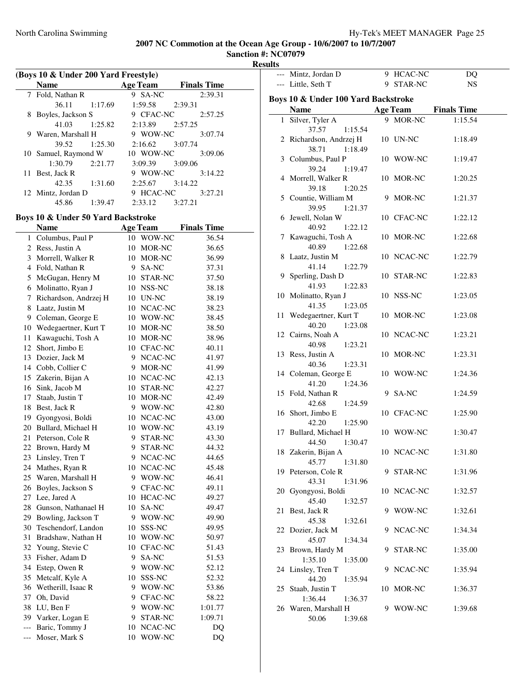**Sanction #: NC07079 Results**

J.

| (Boys 10 & Under 200 Yard Freestyle) |                                    |                     |                    |  |  |
|--------------------------------------|------------------------------------|---------------------|--------------------|--|--|
|                                      | <b>Name</b>                        | <b>Age Team</b>     | <b>Finals Time</b> |  |  |
|                                      | 7 Fold, Nathan R                   | 9 SA-NC             | 2:39.31            |  |  |
|                                      | 36.11<br>1:17.69                   | 1:59.58             | 2:39.31            |  |  |
| 8                                    | Boyles, Jackson S                  | 9 CFAC-NC           | 2:57.25            |  |  |
|                                      | 41.03                              | $1:25.82$ $2:13.89$ | 2:57.25            |  |  |
|                                      | 9 Waren, Marshall H                | 9 WOW-NC            | 3:07.74            |  |  |
|                                      | 39.52<br>1:25.30                   | 2:16.62             | 3:07.74            |  |  |
|                                      | 10 Samuel, Raymond W               | 10 WOW-NC           | 3:09.06            |  |  |
|                                      | 1:30.79<br>2:21.77                 | 3:09.39             | 3:09.06            |  |  |
|                                      | 11 Best, Jack R                    | 9 WOW-NC            | 3:14.22            |  |  |
|                                      | 1:31.60<br>42.35                   | $2:25.67$ $3:14.22$ |                    |  |  |
|                                      | 12 Mintz, Jordan D                 | 9 HCAC-NC           | 3:27.21            |  |  |
|                                      | 45.86<br>1:39.47                   | $2:33.12$ $3:27.21$ |                    |  |  |
|                                      | Boys 10 & Under 50 Yard Backstroke |                     |                    |  |  |
|                                      | <b>Name</b>                        | <b>Age Team</b>     | <b>Finals Time</b> |  |  |
| $\mathbf{1}$                         | Columbus, Paul P                   | 10 WOW-NC           | 36.54              |  |  |
|                                      | 2 Ress, Justin A                   | 10 MOR-NC           | 36.65              |  |  |
|                                      | 3 Morrell, Walker R                | 10 MOR-NC           | 36.99              |  |  |
| 4                                    | Fold, Nathan R                     | SA-NC<br>9.         | 37.31              |  |  |
| 5                                    | McGugan, Henry M                   | 10 STAR-NC          | 37.50              |  |  |
|                                      | 6 Molinatto, Ryan J                | 10 NSS-NC           | 38.18              |  |  |

7 Richardson, Andrzej H 10 UN-NC 38.19 8 Laatz, Justin M 10 NCAC-NC 38.23 9 Coleman, George E 10 WOW-NC 38.45 10 Wedegaertner, Kurt T 10 MOR-NC 38.50 11 Kawaguchi, Tosh A 10 MOR-NC 38.96 12 Short, Jimbo E 10 CFAC-NC 40.11 13 Dozier, Jack M 9 NCAC-NC 41.97 14 Cobb, Collier C 9 MOR-NC 41.99 15 Zakerin, Bijan A 10 NCAC-NC 42.13 16 Sink, Jacob M 10 STAR-NC 42.27 17 Staab, Justin T 10 MOR-NC 42.49 18 Best, Jack R 9 WOW-NC 42.80 19 Gyongyosi, Boldi 10 NCAC-NC 43.00 20 Bullard, Michael H 10 WOW-NC 43.19 21 Peterson, Cole R 9 STAR-NC 43.30 22 Brown, Hardy M 9 STAR-NC 44.32 23 Linsley, Tren T 9 NCAC-NC 44.65 24 Mathes, Ryan R 10 NCAC-NC 45.48 25 Waren, Marshall H 9 WOW-NC 46.41 26 Boyles, Jackson S 9 CFAC-NC 49.11 27 Lee, Jared A 10 HCAC-NC 49.27 28 Gunson, Nathanael H 10 SA-NC 49.47 29 Bowling, Jackson T 9 WOW-NC 49.90 30 Teschendorf, Landon 10 SSS-NC 49.95 31 Bradshaw, Nathan H 10 WOW-NC 50.97 32 Young, Stevie C 10 CFAC-NC 51.43 33 Fisher, Adam D 9 SA-NC 51.53 34 Estep, Owen R 9 WOW-NC 52.12 35 Metcalf, Kyle A 10 SSS-NC 52.32 36 Wetherill, Isaac R 9 WOW-NC 53.86 37 Oh, David 9 CFAC-NC 58.22 38 LU, Ben F 9 WOW-NC 1:01.77 39 Varker, Logan E 9 STAR-NC 1:09.71 --- Baric, Tommy J 10 NCAC-NC DQ --- Moser, Mark S 10 WOW-NC DQ

|    | --- Mintz, Jordan D                                             | 9 HCAC-NC              | DQ                 |  |
|----|-----------------------------------------------------------------|------------------------|--------------------|--|
|    | --- Little, Seth T                                              | 9 STAR-NC              | <b>NS</b>          |  |
|    | Boys 10 & Under 100 Yard Backstroke                             |                        |                    |  |
|    | <b>Name</b>                                                     | <b>Age Team</b>        | <b>Finals Time</b> |  |
|    | 1 Silver, Tyler A                                               | 9 MOR-NC               | 1:15.54            |  |
|    | 37.57<br>1:15.54<br>2 Richardson, Andrzej H<br>1:18.49<br>38.71 | 10 UN-NC               | 1:18.49            |  |
|    | 3 Columbus, Paul P<br>39.24<br>1:19.47                          | 10 WOW-NC              | 1:19.47            |  |
|    | 4 Morrell, Walker R<br>39.18<br>1:20.25                         | 10 MOR-NC              | 1:20.25            |  |
|    | 5 Countie, William M<br>39.95<br>1:21.37                        | 9 MOR-NC               | 1:21.37            |  |
|    | 6 Jewell, Nolan W<br>40.92<br>1:22.12                           | 10 CFAC-NC             | 1:22.12            |  |
|    | 7 Kawaguchi, Tosh A<br>40.89<br>1:22.68                         | 10 MOR-NC              | 1:22.68            |  |
|    | 8 Laatz, Justin M<br>41.14 1:22.79                              | 10 NCAC-NC             | 1:22.79            |  |
|    | 9 Sperling, Dash D<br>41.93<br>1:22.83                          | 10 STAR-NC             | 1:22.83            |  |
|    | 10 Molinatto, Ryan J<br>41.35<br>1:23.05                        | 10 NSS-NC              | 1:23.05            |  |
|    | 11 Wedegaertner, Kurt T<br>40.20<br>1:23.08                     | 10 MOR-NC              | 1:23.08            |  |
|    | 12 Cairns, Noah A<br>40.98<br>1:23.21                           | 10 NCAC-NC             | 1:23.21            |  |
|    | 13 Ress, Justin A<br>40.36<br>1:23.31                           | 10 MOR-NC              | 1:23.31            |  |
|    | 14 Coleman, George E<br>41.20<br>1:24.36                        | 10 WOW-NC              | 1:24.36            |  |
|    | 15 Fold, Nathan R<br>42.68<br>1:24.59                           | 9 SA-NC                | 1:24.59            |  |
|    | 16 Short, Jimbo E<br>42.20 1:25.90                              | 10 CFAC-NC             | 1:25.90            |  |
|    | 17 Bullard, Michael H<br>44.50<br>1:30.47                       | 10 WOW-NC              | 1:30.47            |  |
|    | 18 Zakerin, Bijan A<br>45.77<br>1:31.80                         | 10 NCAC-NC             | 1:31.80            |  |
|    | 19 Peterson, Cole R<br>43.31<br>1:31.96                         | 9 STAR-NC              | 1:31.96            |  |
|    | 20 Gyongyosi, Boldi<br>45.40<br>1:32.57                         | 10 NCAC-NC             | 1:32.57            |  |
| 21 | Best, Jack R<br>45.38<br>1:32.61                                | 9 WOW-NC               | 1:32.61            |  |
|    | 22 Dozier, Jack M<br>45.07<br>1:34.34                           | 9 NCAC-NC              | 1:34.34            |  |
|    | 23 Brown, Hardy M<br>1:35.10<br>1:35.00<br>24 Linsley, Tren T   | 9 STAR-NC<br>9 NCAC-NC | 1:35.00<br>1:35.94 |  |
|    | 44.20<br>1:35.94<br>25 Staab, Justin T                          | 10 MOR-NC              | 1:36.37            |  |
|    | 1:36.44<br>1:36.37<br>26 Waren, Marshall H<br>50.06<br>1:39.68  | 9 WOW-NC               | 1:39.68            |  |
|    |                                                                 |                        |                    |  |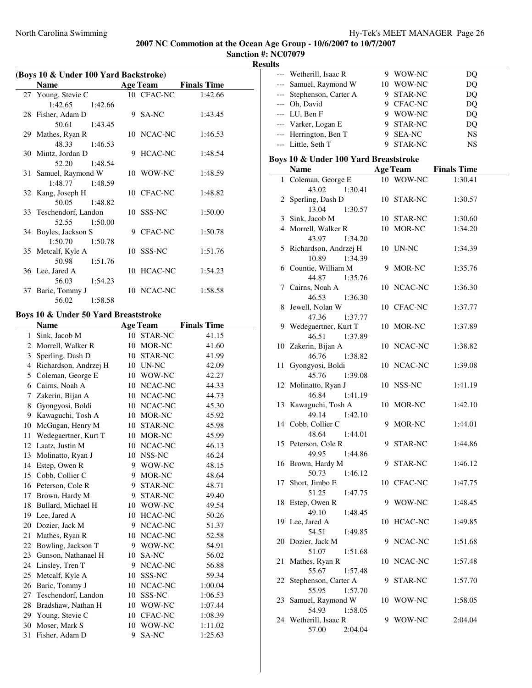**Sanction #: NC07079 Results**

 $\overline{\phantom{a}}$ 

| (Boys 10 & Under 100 Yard Backstroke) |                                      |    |                 |                    |  |
|---------------------------------------|--------------------------------------|----|-----------------|--------------------|--|
|                                       | <b>Name</b>                          |    | <b>Age Team</b> | <b>Finals Time</b> |  |
|                                       | 27 Young, Stevie C                   |    | 10 CFAC-NC      | 1:42.66            |  |
|                                       | 1:42.65<br>1:42.66                   |    |                 |                    |  |
|                                       | 28 Fisher, Adam D                    |    | 9 SA-NC         | 1:43.45            |  |
|                                       | 50.61<br>1:43.45                     |    |                 |                    |  |
|                                       | 29 Mathes, Ryan R                    | 10 | NCAC-NC         | 1:46.53            |  |
|                                       | 48.33<br>1:46.53                     |    |                 |                    |  |
|                                       | 30 Mintz, Jordan D                   | 9  | <b>HCAC-NC</b>  | 1:48.54            |  |
|                                       | 52.20<br>1:48.54                     |    |                 |                    |  |
| 31                                    | Samuel, Raymond W                    |    | 10 WOW-NC       | 1:48.59            |  |
|                                       | 1:48.77<br>1:48.59                   |    |                 |                    |  |
|                                       | 32 Kang, Joseph H                    |    | 10 CFAC-NC      | 1:48.82            |  |
|                                       | 50.05<br>1:48.82                     |    |                 |                    |  |
|                                       | 33 Teschendorf, Landon               |    | 10 SSS-NC       | 1:50.00            |  |
|                                       | 52.55<br>1:50.00                     |    |                 |                    |  |
|                                       | 34 Boyles, Jackson S                 |    | 9 CFAC-NC       | 1:50.78            |  |
|                                       | 1:50.70<br>1:50.78                   |    |                 |                    |  |
|                                       | 35 Metcalf, Kyle A                   |    | 10 SSS-NC       | 1:51.76            |  |
|                                       | 50.98<br>1:51.76                     |    |                 |                    |  |
|                                       | 36 Lee, Jared A                      | 10 | <b>HCAC-NC</b>  | 1:54.23            |  |
|                                       | 56.03<br>1:54.23                     |    |                 |                    |  |
|                                       | 37 Baric, Tommy J                    |    | 10 NCAC-NC      | 1:58.58            |  |
|                                       | 56.02<br>1:58.58                     |    |                 |                    |  |
|                                       | Boys 10 & Under 50 Yard Breaststroke |    |                 |                    |  |
|                                       | <b>Name</b>                          |    | <b>Age Team</b> | <b>Finals Time</b> |  |
| 1                                     | Sink, Jacob M                        |    | 10 STAR-NC      | 41.15              |  |
|                                       | 2 Morrell, Walker R                  |    | 10 MOR-NC       | 41.60              |  |
| 3                                     | Sperling, Dash D                     |    | 10 STAR-NC      | 41.99              |  |
|                                       | 4 Richardson, Andrzej H              |    | 10 UN-NC        | 42.09              |  |
| 5                                     | Coleman, George E                    |    | 10 WOW-NC       | 42.27              |  |
|                                       | 6 Cairns, Noah A                     |    | 10 NCAC-NC      | 44.33              |  |
| 7                                     | Zakerin, Bijan A                     |    | 10 NCAC-NC      | 44.73              |  |
| 8                                     | Gyongyosi, Boldi                     |    | 10 NCAC-NC      | 45.30              |  |
|                                       | 9 Kawaguchi, Tosh A                  |    | 10 MOR-NC       | 45.92              |  |
|                                       | 10 McGugan, Henry M                  |    | 10 STAR-NC      | 45.98              |  |
| 11                                    | Wedegaertner, Kurt T                 |    | 10 MOR-NC       | 45.99              |  |
|                                       | 12 Laatz, Justin M                   |    | 10 NCAC-NC      | 46.13              |  |
|                                       | 13 Molinatto, Ryan J                 |    | 10 NSS-NC       | 46.24              |  |
| 14                                    | Estep, Owen R                        | 9  | WOW-NC          | 48.15              |  |
| 15                                    | Cobb, Collier C                      | 9  | MOR-NC          | 48.64              |  |
| 16                                    | Peterson, Cole R                     | 9. | STAR-NC         | 48.71              |  |
| 17                                    | Brown, Hardy M                       | 9. | STAR-NC         | 49.40              |  |
| 18                                    | Bullard, Michael H                   | 10 | WOW-NC          | 49.54              |  |
| 19                                    | Lee, Jared A                         | 10 | HCAC-NC         | 50.26              |  |
| 20                                    | Dozier, Jack M                       | 9  | NCAC-NC         | 51.37              |  |
| 21                                    | Mathes, Ryan R                       |    | 10 NCAC-NC      | 52.58              |  |
| 22                                    | Bowling, Jackson T                   |    | 9 WOW-NC        | 54.91              |  |
| 23                                    | Gunson, Nathanael H                  | 10 | SA-NC           | 56.02              |  |
| 24                                    | Linsley, Tren T                      |    | 9 NCAC-NC       | 56.88              |  |
| 25                                    | Metcalf, Kyle A                      | 10 | SSS-NC          | 59.34              |  |
| 26                                    | Baric, Tommy J                       | 10 | NCAC-NC         | 1:00.04            |  |
| 27                                    | Teschendorf, Landon                  | 10 | SSS-NC          | 1:06.53            |  |
| 28                                    | Bradshaw, Nathan H                   |    | 10 WOW-NC       | 1:07.44            |  |
| 29                                    | Young, Stevie C                      | 10 | CFAC-NC         | 1:08.39            |  |
| 30                                    | Moser, Mark S                        | 10 | WOW-NC          | 1:11.02            |  |
| 31                                    | Fisher, Adam D                       | 9. | SA-NC           | 1:25.63            |  |

|              | --- Wetherill, Isaac R                  |    | 9 WOW-NC        | DQ                 |
|--------------|-----------------------------------------|----|-----------------|--------------------|
|              | --- Samuel, Raymond W                   |    | 10 WOW-NC       | DQ                 |
| $---$        | Stephenson, Carter A                    |    | 9 STAR-NC       | DQ                 |
|              | --- Oh, David                           |    | 9 CFAC-NC       | DQ                 |
|              | --- LU, Ben F                           |    | 9 WOW-NC        | DQ                 |
|              | --- Varker, Logan E                     |    | 9 STAR-NC       | DQ                 |
|              | --- Herrington, Ben T                   |    | 9 SEA-NC        | <b>NS</b>          |
|              | --- Little, Seth T                      |    | 9 STAR-NC       | <b>NS</b>          |
|              | Boys 10 & Under 100 Yard Breaststroke   |    |                 |                    |
|              | <b>Name</b>                             |    | <b>Age Team</b> | <b>Finals Time</b> |
| $\mathbf{1}$ | Coleman, George E                       |    | 10 WOW-NC       | 1:30.41            |
|              | 43.02<br>1:30.41                        |    |                 |                    |
| 2            | Sperling, Dash D                        |    | 10 STAR-NC      | 1:30.57            |
|              | 13.04<br>1:30.57                        |    |                 |                    |
| 3            | Sink, Jacob M                           |    | 10 STAR-NC      | 1:30.60            |
|              | 4 Morrell, Walker R                     |    | 10 MOR-NC       | 1:34.20            |
|              | 43.97<br>1:34.20                        |    |                 |                    |
|              | 5 Richardson, Andrzej H                 |    | 10 UN-NC        | 1:34.39            |
|              | 10.89<br>1:34.39                        |    |                 |                    |
|              | 6 Countie, William M                    |    | 9 MOR-NC        | 1:35.76            |
|              | 44.87<br>1:35.76                        |    |                 |                    |
| 7            | Cairns, Noah A                          |    | 10 NCAC-NC      | 1:36.30            |
|              | 46.53<br>1:36.30                        |    |                 |                    |
| 8            | Jewell, Nolan W                         |    | 10 CFAC-NC      | 1:37.77            |
|              | 47.36<br>1:37.77                        |    |                 |                    |
| 9            | Wedegaertner, Kurt T                    |    | 10 MOR-NC       | 1:37.89            |
|              | 46.51<br>1:37.89                        |    |                 |                    |
|              | 10 Zakerin, Bijan A                     |    | 10 NCAC-NC      | 1:38.82            |
|              | 46.76<br>1:38.82                        |    |                 |                    |
| 11           | Gyongyosi, Boldi                        |    | 10 NCAC-NC      | 1:39.08            |
|              | 45.76<br>1:39.08                        |    |                 |                    |
| 12           | Molinatto, Ryan J                       |    | 10 NSS-NC       | 1:41.19            |
|              | 46.84<br>1:41.19                        |    |                 |                    |
| 13           | Kawaguchi, Tosh A                       |    | 10 MOR-NC       | 1:42.10            |
|              | 49.14<br>1:42.10                        |    |                 |                    |
|              | 14 Cobb, Collier C<br>1:44.01           | 9  | MOR-NC          | 1:44.01            |
|              | 48.64                                   | 9  | STAR-NC         |                    |
|              | 15 Peterson, Cole R<br>49.95<br>1:44.86 |    |                 | 1:44.86            |
|              | 16 Brown, Hardy M                       |    | 9 STAR-NC       | 1:46.12            |
|              | 50.73<br>1:46.12                        |    |                 |                    |
| 17           | Short, Jimbo E                          |    | 10 CFAC-NC      | 1:47.75            |
|              | 51.25<br>1:47.75                        |    |                 |                    |
| 18           | Estep, Owen R                           |    | 9 WOW-NC        | 1:48.45            |
|              | 49.10<br>1:48.45                        |    |                 |                    |
|              | 19 Lee, Jared A                         | 10 | HCAC-NC         | 1:49.85            |
|              | 54.51<br>1:49.85                        |    |                 |                    |
| 20           | Dozier, Jack M                          | 9  | NCAC-NC         | 1:51.68            |
|              | 51.07<br>1:51.68                        |    |                 |                    |
| 21           | Mathes, Ryan R                          |    | 10 NCAC-NC      | 1:57.48            |
|              | 55.67<br>1:57.48                        |    |                 |                    |
| 22           | Stephenson, Carter A                    | 9. | STAR-NC         | 1:57.70            |
|              | 55.95<br>1:57.70                        |    |                 |                    |
| 23           | Samuel, Raymond W                       |    | 10 WOW-NC       | 1:58.05            |
|              | 54.93<br>1:58.05                        |    |                 |                    |
|              | 24 Wetherill, Isaac R                   | 9. | WOW-NC          | 2:04.04            |
|              | 57.00<br>2:04.04                        |    |                 |                    |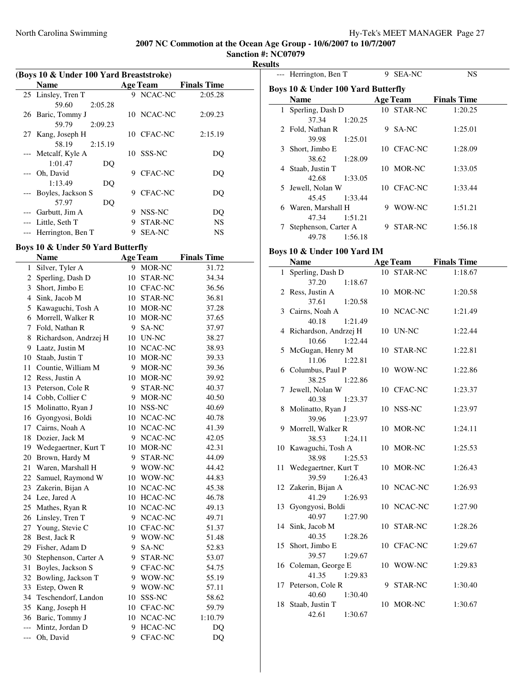**Sanction #: NC07079 Results**

| Re: |  |
|-----|--|
|     |  |

|    | (Boys 10 & Under 100 Yard Breaststroke) |                     |                    |  |  |  |
|----|-----------------------------------------|---------------------|--------------------|--|--|--|
|    | Name                                    | <b>Age Team</b>     | <b>Finals Time</b> |  |  |  |
|    | 25 Linsley, Tren T                      | 9 NCAC-NC           | 2:05.28            |  |  |  |
|    | 59.60<br>2:05.28                        |                     |                    |  |  |  |
|    | 26 Baric, Tommy J                       | 10 NCAC-NC          | 2:09.23            |  |  |  |
|    | 2:09.23<br>59.79                        |                     |                    |  |  |  |
| 27 | Kang, Joseph H                          | 10 CFAC-NC          | 2:15.19            |  |  |  |
|    | 58.19<br>2:15.19                        |                     |                    |  |  |  |
|    | --- Metcalf, Kyle A                     | 10 SSS-NC           | DO                 |  |  |  |
|    | 1:01.47<br>DQ                           |                     |                    |  |  |  |
|    | --- Oh, David                           | <b>CFAC-NC</b><br>9 | DQ                 |  |  |  |
|    | 1:13.49<br>DQ                           |                     |                    |  |  |  |
|    | --- Boyles, Jackson S                   | CFAC-NC<br>9        | DO                 |  |  |  |
|    | 57.97<br>DQ                             |                     |                    |  |  |  |
|    | --- Garbutt, Jim A                      | NSS-NC<br>9         | DQ                 |  |  |  |
|    | --- Little, Seth T                      | STAR-NC<br>9        | NS                 |  |  |  |
|    | --- Herrington, Ben T                   | <b>SEA-NC</b><br>9  | NS                 |  |  |  |

# **Boys 10 & Under 50 Yard Butterfly**

|       | <b>Name</b>           |    | <b>Age Team</b> | <b>Finals Time</b> |
|-------|-----------------------|----|-----------------|--------------------|
| 1     | Silver, Tyler A       | 9  | MOR-NC          | 31.72              |
| 2     | Sperling, Dash D      | 10 | STAR-NC         | 34.34              |
| 3     | Short, Jimbo E        | 10 | <b>CFAC-NC</b>  | 36.56              |
| 4     | Sink, Jacob M         | 10 | STAR-NC         | 36.81              |
| 5     | Kawaguchi, Tosh A     | 10 | MOR-NC          | 37.28              |
| 6     | Morrell, Walker R     | 10 | MOR-NC          | 37.65              |
| 7     | Fold, Nathan R        | 9  | SA-NC           | 37.97              |
| 8     | Richardson, Andrzej H | 10 | UN-NC           | 38.27              |
| 9     | Laatz, Justin M       | 10 | NCAC-NC         | 38.93              |
| 10    | Staab, Justin T       | 10 | MOR-NC          | 39.33              |
| 11    | Countie, William M    | 9  | MOR-NC          | 39.36              |
| 12    | Ress, Justin A        | 10 | MOR-NC          | 39.92              |
| 13    | Peterson, Cole R      | 9  | STAR-NC         | 40.37              |
| 14    | Cobb, Collier C       | 9  | MOR-NC          | 40.50              |
| 15    | Molinatto, Ryan J     | 10 | NSS-NC          | 40.69              |
| 16    | Gyongyosi, Boldi      | 10 | NCAC-NC         | 40.78              |
| 17    | Cairns, Noah A        | 10 | NCAC-NC         | 41.39              |
| 18    | Dozier, Jack M        | 9  | NCAC-NC         | 42.05              |
| 19    | Wedegaertner, Kurt T  | 10 | MOR-NC          | 42.31              |
| 20    | Brown, Hardy M        | 9  | STAR-NC         | 44.09              |
| 21    | Waren, Marshall H     | 9  | WOW-NC          | 44.42              |
| 22    | Samuel, Raymond W     | 10 | WOW-NC          | 44.83              |
| 23    | Zakerin, Bijan A      | 10 | NCAC-NC         | 45.38              |
| 24    | Lee, Jared A          | 10 | <b>HCAC-NC</b>  | 46.78              |
| 25    | Mathes, Ryan R        | 10 | NCAC-NC         | 49.13              |
| 26    | Linsley, Tren T       | 9  | NCAC-NC         | 49.71              |
| 27    | Young, Stevie C       | 10 | CFAC-NC         | 51.37              |
| 28    | Best, Jack R          | 9  | WOW-NC          | 51.48              |
| 29    | Fisher, Adam D        | 9  | SA-NC           | 52.83              |
| 30    | Stephenson, Carter A  | 9  | STAR-NC         | 53.07              |
| 31    | Boyles, Jackson S     | 9  | <b>CFAC-NC</b>  | 54.75              |
| 32    | Bowling, Jackson T    | 9  | WOW-NC          | 55.19              |
| 33    | Estep, Owen R         | 9  | WOW-NC          | 57.11              |
| 34    | Teschendorf, Landon   | 10 | SSS-NC          | 58.62              |
| 35    | Kang, Joseph H        | 10 | CFAC-NC         | 59.79              |
| 36    | Baric, Tommy J        | 10 | NCAC-NC         | 1:10.79            |
| $---$ | Mintz, Jordan D       | 9  | <b>HCAC-NC</b>  | DQ                 |
| $---$ | Oh, David             | 9  | <b>CFAC-NC</b>  | DQ                 |

|    | --- Herrington, Ben T                      |  | 9 SEA-NC        | NS                              |  |  |
|----|--------------------------------------------|--|-----------------|---------------------------------|--|--|
|    | Boys 10 & Under 100 Yard Butterfly         |  |                 |                                 |  |  |
|    | <b>Name</b>                                |  | <b>Age Team</b> | <b>Finals Time</b>              |  |  |
| 1  | Sperling, Dash D                           |  | 10 STAR-NC      | 1:20.25                         |  |  |
|    | 37.34<br>1:20.25                           |  |                 |                                 |  |  |
|    | 2 Fold, Nathan R                           |  | 9 SA-NC         | 1:25.01                         |  |  |
|    | 39.98<br>1:25.01                           |  |                 |                                 |  |  |
| 3  | Short, Jimbo E                             |  | 10 CFAC-NC      | 1:28.09                         |  |  |
|    | 38.62<br>1:28.09                           |  |                 |                                 |  |  |
|    | 4 Staab, Justin T                          |  | 10 MOR-NC       | 1:33.05                         |  |  |
|    | 42.68<br>1:33.05                           |  |                 |                                 |  |  |
| 5  | Jewell, Nolan W                            |  | 10 CFAC-NC      | 1:33.44                         |  |  |
|    | 45.45<br>1:33.44<br>6 Waren, Marshall H    |  | 9 WOW-NC        | 1:51.21                         |  |  |
|    | 47.34<br>1:51.21                           |  |                 |                                 |  |  |
|    | 7 Stephenson, Carter A                     |  | 9 STAR-NC       | 1:56.18                         |  |  |
|    | 49.78<br>1:56.18                           |  |                 |                                 |  |  |
|    |                                            |  |                 |                                 |  |  |
|    | Boys 10 & Under 100 Yard IM<br><b>Name</b> |  |                 |                                 |  |  |
| 1  | Sperling, Dash D                           |  | 10 STAR-NC      | Age Team Finals Time<br>1:18.67 |  |  |
|    | 37.20<br>1:18.67                           |  |                 |                                 |  |  |
|    | 2 Ress, Justin A                           |  | 10 MOR-NC       | 1:20.58                         |  |  |
|    | 37.61<br>1:20.58                           |  |                 |                                 |  |  |
|    | 3 Cairns, Noah A                           |  | 10 NCAC-NC      | 1:21.49                         |  |  |
|    | 40.18<br>1:21.49                           |  |                 |                                 |  |  |
|    | 4 Richardson, Andrzej H                    |  | 10 UN-NC        | 1:22.44                         |  |  |
|    | 1:22.44<br>10.66                           |  |                 |                                 |  |  |
|    | 5 McGugan, Henry M                         |  | 10 STAR-NC      | 1:22.81                         |  |  |
|    | 11.06<br>1:22.81                           |  |                 |                                 |  |  |
|    | 6 Columbus, Paul P                         |  | 10 WOW-NC       | 1:22.86                         |  |  |
|    | 38.25<br>1:22.86                           |  |                 |                                 |  |  |
| 7  | Jewell, Nolan W<br>40.38<br>1:23.37        |  | 10 CFAC-NC      | 1:23.37                         |  |  |
| 8  | Molinatto, Ryan J                          |  | 10 NSS-NC       | 1:23.97                         |  |  |
|    | 39.96<br>1:23.97                           |  |                 |                                 |  |  |
|    | 9 Morrell, Walker R                        |  | 10 MOR-NC       | 1:24.11                         |  |  |
|    | 38.53<br>1:24.11                           |  |                 |                                 |  |  |
|    | 10 Kawaguchi, Tosh A                       |  | 10 MOR-NC       | 1:25.53                         |  |  |
|    | 38.98 1:25.53                              |  |                 |                                 |  |  |
| 11 | Wedegaertner, Kurt T                       |  | 10 MOR-NC       | 1:26.43                         |  |  |
|    | 39.59<br>1:26.43                           |  |                 |                                 |  |  |
|    | 12 Zakerin, Bijan A                        |  | 10 NCAC-NC      | 1:26.93                         |  |  |
|    | 41.29<br>1:26.93                           |  | 10 NCAC-NC      |                                 |  |  |
| 13 | Gyongyosi, Boldi<br>40.97<br>1:27.90       |  |                 | 1:27.90                         |  |  |
| 14 | Sink, Jacob M                              |  | 10 STAR-NC      | 1:28.26                         |  |  |
|    | 40.35<br>1:28.26                           |  |                 |                                 |  |  |
| 15 | Short, Jimbo E                             |  | 10 CFAC-NC      | 1:29.67                         |  |  |
|    | 39.57<br>1:29.67                           |  |                 |                                 |  |  |
|    | 16 Coleman, George E                       |  | 10 WOW-NC       | 1:29.83                         |  |  |
|    | 41.35<br>1:29.83                           |  |                 |                                 |  |  |
|    | 17 Peterson, Cole R                        |  | 9 STAR-NC       | 1:30.40                         |  |  |
|    | 40.60<br>1:30.40                           |  |                 |                                 |  |  |
| 18 | Staab, Justin T                            |  | 10 MOR-NC       | 1:30.67                         |  |  |
|    | 42.61<br>1:30.67                           |  |                 |                                 |  |  |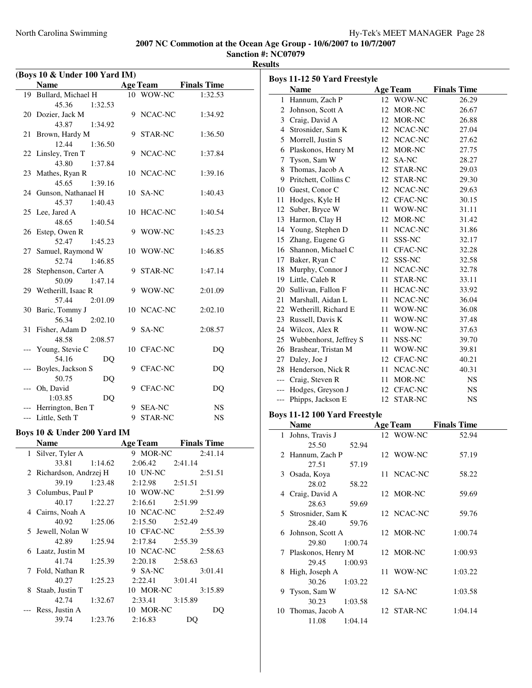**Sanction #: NC07079 Results**

| (Boys 10 & Under 100 Yard IM) |                             |   |                 |                             |
|-------------------------------|-----------------------------|---|-----------------|-----------------------------|
|                               | <b>Name</b>                 |   |                 | <b>Age Team</b> Finals Time |
|                               | 19 Bullard, Michael H       |   | 10 WOW-NC       | 1:32.53                     |
|                               | 45.36<br>1:32.53            |   |                 |                             |
| 20                            | Dozier, Jack M              |   | 9 NCAC-NC       | 1:34.92                     |
|                               | 43.87<br>1:34.92            |   |                 |                             |
| 21                            | Brown, Hardy M              |   | 9 STAR-NC       | 1:36.50                     |
|                               | 12.44<br>1:36.50            |   |                 |                             |
|                               | 22 Linsley, Tren T          |   | 9 NCAC-NC       | 1:37.84                     |
|                               | 43.80<br>1:37.84            |   |                 |                             |
|                               | 23 Mathes, Ryan R           |   | 10 NCAC-NC      | 1:39.16                     |
|                               | 45.65<br>1:39.16            |   |                 |                             |
|                               | 24 Gunson, Nathanael H      |   | 10 SA-NC        | 1:40.43                     |
|                               | 45.37<br>1:40.43            |   |                 |                             |
|                               | 25 Lee, Jared A             |   | 10 HCAC-NC      | 1:40.54                     |
|                               | 48.65<br>1:40.54            |   |                 |                             |
| 26                            | Estep, Owen R               | 9 | WOW-NC          | 1:45.23                     |
|                               | 52.47<br>1:45.23            |   |                 |                             |
| 27                            | Samuel, Raymond W           |   | 10 WOW-NC       | 1:46.85                     |
|                               | 52.74<br>1:46.85            |   |                 |                             |
| 28                            | Stephenson, Carter A        |   | 9 STAR-NC       | 1:47.14                     |
|                               | 50.09<br>1:47.14            |   |                 |                             |
|                               | 29 Wetherill, Isaac R       | 9 | WOW-NC          | 2:01.09                     |
|                               | 57.44<br>2:01.09            |   |                 |                             |
| 30                            | Baric, Tommy J              |   | 10 NCAC-NC      | 2:02.10                     |
|                               | 56.34<br>2:02.10            |   |                 |                             |
|                               | 31 Fisher, Adam D           |   | 9 SA-NC         | 2:08.57                     |
|                               | 48.58<br>2:08.57            |   |                 |                             |
|                               | --- Young, Stevie C         |   | 10 CFAC-NC      | DQ                          |
|                               | 54.16<br>DQ                 |   |                 |                             |
|                               | Boyles, Jackson S           |   | 9 CFAC-NC       | DQ                          |
|                               | 50.75<br>DQ                 |   |                 |                             |
| ---                           | Oh, David                   |   | 9 CFAC-NC       | DQ                          |
|                               | 1:03.85<br>DQ               |   |                 |                             |
|                               | --- Herrington, Ben T       |   | 9 SEA-NC        | NS                          |
|                               | --- Little, Seth T          |   | 9 STAR-NC       | <b>NS</b>                   |
|                               | Boys 10 & Under 200 Yard IM |   |                 |                             |
|                               | <b>Name</b>                 |   | <b>Age Team</b> | <b>Finals Time</b>          |
| 1                             | Silver, Tyler A             | 9 | MOR-NC          | 2:41.14                     |
|                               | 33.81<br>1:14.62            |   | 2:06.42         | 2:41.14                     |
| 2                             | Richardson, Andrzej H       |   | 10 UN-NC        | 2:51.51                     |
|                               | 39.19<br>1:23.48            |   | 2:12.98         | 2:51.51                     |
| 3                             | Columbus, Paul P            |   | 10 WOW-NC       | 2:51.99                     |
|                               | 40.17<br>1:22.27            |   | 2:16.61         | 2:51.99                     |
| 4                             | Cairns, Noah A              |   | 10 NCAC-NC      | 2:52.49                     |
|                               | 40.92<br>1:25.06            |   | 2:15.50         | 2:52.49                     |
| 5                             | Jewell, Nolan W             |   | 10 CFAC-NC      | 2:55.39                     |
|                               | 42.89<br>1:25.94            |   | 2:17.84         | 2:55.39                     |
| 6                             | Laatz, Justin M             |   | 10 NCAC-NC      | 2:58.63                     |
|                               | 41.74<br>1:25.39            |   | 2:20.18         | 2:58.63                     |
|                               |                             |   |                 |                             |

7 Fold, Nathan R 9 SA-NC 3:01.41 40.27 1:25.23 2:22.41 3:01.41<br>
, Justin T 10 MOR-NC 8 Staab, Justin T 10 MOR-NC 3:15.89 42.74 1:32.67 2:33.41 3:15.89 --- Ress, Justin A 10 MOR-NC DQ 39.74 1:23.76 2:16.83 DQ

|       | <b>Boys 11-12 50 Yard Freestyle</b> |                 |            |                    |  |
|-------|-------------------------------------|-----------------|------------|--------------------|--|
|       | <b>Name</b>                         | <b>Age Team</b> |            | <b>Finals Time</b> |  |
| 1     | Hannum, Zach P                      |                 | 12 WOW-NC  | 26.29              |  |
|       | 2 Johnson, Scott A                  |                 | 12 MOR-NC  | 26.67              |  |
|       | 3 Craig, David A                    |                 | 12 MOR-NC  | 26.88              |  |
|       | 4 Strosnider, Sam K                 |                 | 12 NCAC-NC | 27.04              |  |
|       | 5 Morrell, Justin S                 |                 | 12 NCAC-NC | 27.62              |  |
|       | 6 Plaskonos, Henry M                |                 | 12 MOR-NC  | 27.75              |  |
| 7     | Tyson, Sam W                        | 12 SA-NC        |            | 28.27              |  |
|       | 8 Thomas, Jacob A                   |                 | 12 STAR-NC | 29.03              |  |
|       | 9 Pritchett, Collins C              |                 | 12 STAR-NC | 29.30              |  |
|       | 10 Guest, Conor C                   |                 | 12 NCAC-NC | 29.63              |  |
| 11    | Hodges, Kyle H                      |                 | 12 CFAC-NC | 30.15              |  |
|       | 12 Suber, Bryce W                   |                 | 11 WOW-NC  | 31.11              |  |
|       | 13 Harmon, Clay H                   |                 | 12 MOR-NC  | 31.42              |  |
|       | 14 Young, Stephen D                 |                 | 11 NCAC-NC | 31.86              |  |
|       | 15 Zhang, Eugene G                  |                 | 11 SSS-NC  | 32.17              |  |
|       | 16 Shannon, Michael C               |                 | 11 CFAC-NC | 32.28              |  |
|       | 17 Baker, Ryan C                    |                 | 12 SSS-NC  | 32.58              |  |
|       | 18 Murphy, Connor J                 |                 | 11 NCAC-NC | 32.78              |  |
|       | 19 Little, Caleb R                  |                 | 11 STAR-NC | 33.11              |  |
|       | 20 Sullivan, Fallon F               |                 | 11 HCAC-NC | 33.92              |  |
|       | 21 Marshall, Aidan L                |                 | 11 NCAC-NC | 36.04              |  |
|       | 22 Wetherill, Richard E             |                 | 11 WOW-NC  | 36.08              |  |
|       | 23 Russell, Davis K                 |                 | 11 WOW-NC  | 37.48              |  |
|       |                                     |                 |            |                    |  |
|       | 24 Wilcox, Alex R                   |                 | 11 WOW-NC  | 37.63              |  |
|       | 25 Wubbenhorst, Jeffrey S           |                 | 11 NSS-NC  | 39.70              |  |
|       | 26 Brashear, Tristan M              |                 | 11 WOW-NC  | 39.81              |  |
|       | 27 Daley, Joe J                     |                 | 12 CFAC-NC | 40.21              |  |
|       | 28 Henderson, Nick R                |                 | 11 NCAC-NC | 40.31              |  |
|       | --- Craig, Steven R                 |                 | 11 MOR-NC  | <b>NS</b>          |  |
| $---$ | Hodges, Greyson J                   |                 | 12 CFAC-NC | NS                 |  |
| ---   | Phipps, Jackson E                   |                 | 12 STAR-NC | NS                 |  |
|       | Boys 11-12 100 Yard Freestyle       |                 |            |                    |  |
|       | <b>Name</b>                         | <b>Age Team</b> |            | <b>Finals Time</b> |  |
| 1     | Johns, Travis J                     |                 | 12 WOW-NC  | 52.94              |  |
|       | 25.50<br>52.94                      |                 |            |                    |  |
| 2     | Hannum, Zach P                      |                 | 12 WOW-NC  | 57.19              |  |
|       | 27.51<br>57.19                      |                 |            |                    |  |
|       | 3 Osada, Koya                       |                 | 11 NCAC-NC | 58.22              |  |
|       | 28.02<br>58.22                      |                 |            |                    |  |
|       | 4 Craig, David A                    |                 | 12 MOR-NC  | 59.69              |  |
|       | 28.63<br>59.69                      |                 |            |                    |  |
|       | 5 Strosnider, Sam K                 |                 | 12 NCAC-NC | 59.76              |  |
|       | 28.40<br>59.76                      |                 |            |                    |  |
| 6     | Johnson, Scott A                    |                 | 12 MOR-NC  | 1:00.74            |  |
|       | 29.80<br>1:00.74                    |                 |            |                    |  |
| 7     | Plaskonos, Henry M                  |                 | 12 MOR-NC  | 1:00.93            |  |
|       | 29.45<br>1:00.93                    |                 |            |                    |  |
| 8     | High, Joseph A                      | 11              | WOW-NC     | 1:03.22            |  |
|       | 30.26<br>1:03.22                    |                 |            |                    |  |
| 9     | Tyson, Sam W                        | 12 SA-NC        |            | 1:03.58            |  |
|       | 30.23<br>1:03.58                    |                 |            |                    |  |
|       | 10 Thomas, Jacob A                  |                 | 12 STAR-NC | 1:04.14            |  |
|       | 11.08<br>1:04.14                    |                 |            |                    |  |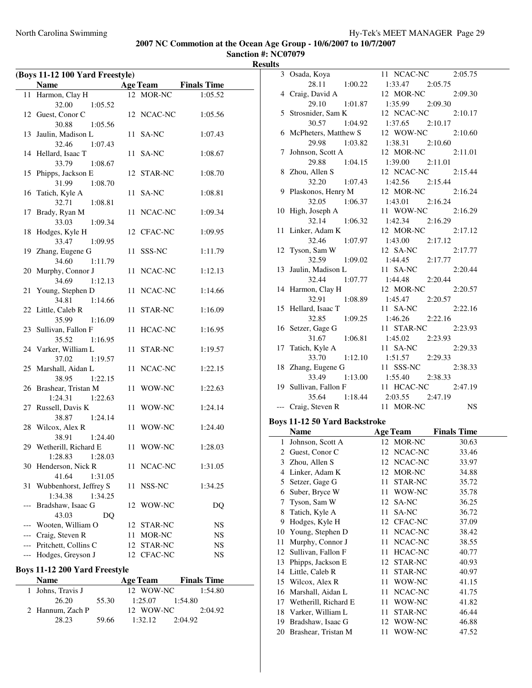**Sanction #: NC07079 Results**

| (Boys 11-12 100 Yard Freestyle) |                                         |      |                      |                    |
|---------------------------------|-----------------------------------------|------|----------------------|--------------------|
|                                 | <b>Name</b>                             |      | <b>Age Team</b>      | <b>Finals Time</b> |
| 11                              | Harmon, Clay H                          |      | 12 MOR-NC            | 1:05.52            |
|                                 | 32.00<br>1:05.52                        |      |                      |                    |
|                                 | 12 Guest, Conor C                       |      | 12 NCAC-NC           | 1:05.56            |
|                                 | 30.88<br>1:05.56                        |      |                      |                    |
| 13                              | Jaulin, Madison L                       | 11   | SA-NC                | 1:07.43            |
|                                 | 32.46<br>1:07.43                        |      |                      |                    |
| 14                              | Hellard, Isaac T                        | 11   | SA-NC                | 1:08.67            |
|                                 | 33.79<br>1:08.67                        |      |                      |                    |
| 15                              | Phipps, Jackson E                       |      | 12 STAR-NC           | 1:08.70            |
|                                 | 31.99<br>1:08.70                        |      |                      |                    |
| 16                              | Tatich, Kyle A                          | 11   | SA-NC                | 1:08.81            |
|                                 | 32.71<br>1:08.81                        |      |                      |                    |
| 17                              | Brady, Ryan M                           | 11   | NCAC-NC              | 1:09.34            |
|                                 | 33.03<br>1:09.34                        |      |                      |                    |
| 18                              | Hodges, Kyle H                          |      | 12 CFAC-NC           | 1:09.95            |
|                                 | 33.47<br>1:09.95                        |      |                      |                    |
|                                 | 19 Zhang, Eugene G                      | 11   | SSS-NC               | 1:11.79            |
|                                 | 34.60<br>1:11.79                        |      |                      |                    |
| 20                              | Murphy, Connor J                        |      | 11 NCAC-NC           | 1:12.13            |
|                                 | 34.69<br>1:12.13                        |      |                      |                    |
| 21                              | Young, Stephen D                        | 11   | NCAC-NC              | 1:14.66            |
|                                 | 34.81<br>1:14.66<br>22 Little, Caleb R  |      | STAR-NC              | 1:16.09            |
|                                 | 35.99<br>1:16.09                        | 11   |                      |                    |
| 23                              | Sullivan, Fallon F                      | 11   | HCAC-NC              | 1:16.95            |
|                                 | 35.52<br>1:16.95                        |      |                      |                    |
|                                 | 24 Varker, William L                    | 11 - | STAR-NC              | 1:19.57            |
|                                 | 37.02<br>1:19.57                        |      |                      |                    |
| 25                              | Marshall, Aidan L                       | 11   | NCAC-NC              | 1:22.15            |
|                                 | 38.95<br>1:22.15                        |      |                      |                    |
| 26                              | Brashear, Tristan M                     |      | 11 WOW-NC            | 1:22.63            |
|                                 | 1:24.31<br>1:22.63                      |      |                      |                    |
| 27                              | Russell, Davis K                        | 11   | WOW-NC               | 1:24.14            |
|                                 | 38.87<br>1:24.14                        |      |                      |                    |
| 28                              | Wilcox, Alex R                          | 11   | WOW-NC               | 1:24.40            |
|                                 | 38.91<br>1:24.40                        |      |                      |                    |
| 29.                             | Wetherill, Richard E                    | 11   | WOW-NC               | 1:28.03            |
|                                 | 1:28.83<br>1:28.03                      |      |                      |                    |
| 30                              | Henderson, Nick R                       | 11   | NCAC-NC              | 1:31.05            |
|                                 | 41.64<br>1:31.05                        |      |                      |                    |
| 31                              | Wubbenhorst, Jeffrey S                  | 11   | NSS-NC               | 1:34.25            |
| ---                             | 1:34.38<br>1:34.25<br>Bradshaw, Isaac G |      | 12 WOW-NC            | DQ                 |
|                                 | 43.03<br>DQ                             |      |                      |                    |
| ---                             | Wooten, William O                       |      | 12 STAR-NC           | NS                 |
|                                 | --- Craig, Steven R                     |      | 11 MOR-NC            | NS                 |
|                                 | --- Pritchett, Collins C                |      | 12 STAR-NC           | NS                 |
| $---$                           | Hodges, Greyson J                       |      | 12 CFAC-NC           | NS                 |
|                                 |                                         |      |                      |                    |
|                                 | Boys 11-12 200 Yard Freestyle           |      |                      |                    |
|                                 | <b>Name</b>                             |      | <b>Age Team</b>      | <b>Finals Time</b> |
| 1                               | Johns, Travis J<br>26.20<br>55.30       |      | 12 WOW-NC<br>1:25.07 | 1:54.80<br>1:54.80 |
|                                 |                                         |      |                      |                    |

2 Hannum, Zach P 12 WOW-NC 2:04.92 28.23 59.66 1:32.12 2:04.92

| 3        | Osada, Koya                              | 11 NCAC-NC<br>2:05.75                      |
|----------|------------------------------------------|--------------------------------------------|
|          | 28.11<br>1:00.22                         | 1:33.47 2:05.75                            |
| 4        | Craig, David A                           | 12 MOR-NC<br>2:09.30                       |
|          | 29.10<br>1:01.87                         | 1:35.99 2:09.30                            |
|          | 5 Strosnider, Sam K                      | 12 NCAC-NC<br>2:10.17                      |
|          | 30.57 1:04.92                            | $1:37.65$ $2:10.17$                        |
|          | 6 McPheters, Matthew S                   | 12 WOW-NC<br>2:10.60                       |
|          | 29.98 1:03.82<br>7 Johnson, Scott A      | 1:38.31 2:10.60<br>12 MOR-NC<br>2:11.01    |
|          | 29.88 1:04.15                            | $1:39.00$ $2:11.01$                        |
|          | 8 Zhou, Allen S                          | 12 NCAC-NC<br>2:15.44                      |
|          | 32.20<br>1:07.43                         | 1:42.56 2:15.44                            |
|          | 9 Plaskonos, Henry M                     | 12 MOR-NC<br>2:16.24                       |
|          | 32.05 1:06.37                            | $1:43.01$ $2:16.24$                        |
|          | 10 High, Joseph A                        | 11 WOW-NC<br>2:16.29                       |
|          | 1:06.32<br>32.14                         | 1:42.34 2:16.29                            |
| 11       | Linker, Adam K                           | 12 MOR-NC<br>2:17.12                       |
|          | 32.46<br>1:07.97                         | 1:43.00 2:17.12                            |
|          | 12 Tyson, Sam W                          | 12 SA-NC<br>2:17.77                        |
|          | 32.59<br>1:09.02                         | $1:44.45$ $2:17.77$                        |
|          | 13 Jaulin, Madison L                     | 11 SA-NC<br>2:20.44                        |
|          | 32.44 1:07.77                            | 1:44.48 2:20.44                            |
|          | 14 Harmon, Clay H                        | 12 MOR-NC<br>2:20.57                       |
|          | 32.91<br>1:08.89<br>15 Hellard, Isaac T  | 1:45.47 2:20.57<br>11 SA-NC<br>2:22.16     |
|          | 32.85<br>1:09.25                         | 1:46.26 2:22.16                            |
|          | 16 Setzer, Gage G                        | 11 STAR-NC<br>2:23.93                      |
|          | 31.67 1:06.81                            | 1:45.02 2:23.93                            |
|          | 17 Tatich, Kyle A                        | 2:29.33                                    |
|          | 33.70 1:12.10                            | 11 SA-NC 2<br>1:51.57 2:29.33              |
|          |                                          |                                            |
|          | 18 Zhang, Eugene G                       | 11 SSS-NC<br>2:38.33                       |
|          | 33.49<br>1:13.00                         | 1:55.40 2:38.33                            |
|          | 19 Sullivan, Fallon F                    | 11 HCAC-NC<br>2:47.19                      |
|          |                                          | 35.64 1:18.44 2:03.55 2:47.19              |
|          | --- Craig, Steven R                      | 11 MOR-NC<br><b>NS</b>                     |
|          | <b>Boys 11-12 50 Yard Backstroke</b>     |                                            |
|          | <b>Name</b>                              | <b>Age Team</b> Finals Time                |
|          | 1 Johnson, Scott A                       | 12 MOR-NC<br>30.63                         |
|          | 2 Guest, Conor C                         | 12 NCAC-NC<br>33.46                        |
| 3        | Zhou, Allen S                            | NCAC-NC<br>33.97<br>12                     |
| 4        | Linker, Adam K                           | 12<br>MOR-NC<br>34.88                      |
| 5        | Setzer, Gage G                           | 11<br>35.72<br>STAR-NC                     |
| 6        | Suber, Bryce W                           | 11<br>WOW-NC<br>35.78                      |
| 7        | Tyson, Sam W                             | 12<br>SA-NC<br>36.25                       |
| 8        | Tatich, Kyle A                           | 11<br>SA-NC<br>36.72                       |
| 9        | Hodges, Kyle H                           | 12<br>CFAC-NC<br>37.09                     |
| 10       | Young, Stephen D                         | 11<br>NCAC-NC<br>38.42                     |
| 11<br>12 | Murphy, Connor J                         | 11<br>NCAC-NC<br>38.55<br>11               |
| 13       | Sullivan, Fallon F<br>Phipps, Jackson E  | HCAC-NC<br>40.77<br>12<br>STAR-NC<br>40.93 |
| 14       | Little, Caleb R                          | 11<br>STAR-NC<br>40.97                     |
| 15       | Wilcox, Alex R                           | 11<br>WOW-NC<br>41.15                      |
| 16       | Marshall, Aidan L                        | 11<br>NCAC-NC<br>41.75                     |
| 17       | Wetherill, Richard E                     | 11<br>WOW-NC<br>41.82                      |
| 18       | Varker, William L                        | 11<br>STAR-NC<br>46.44                     |
| 19<br>20 | Bradshaw, Isaac G<br>Brashear, Tristan M | 12<br>WOW-NC<br>46.88<br>WOW-NC<br>47.52   |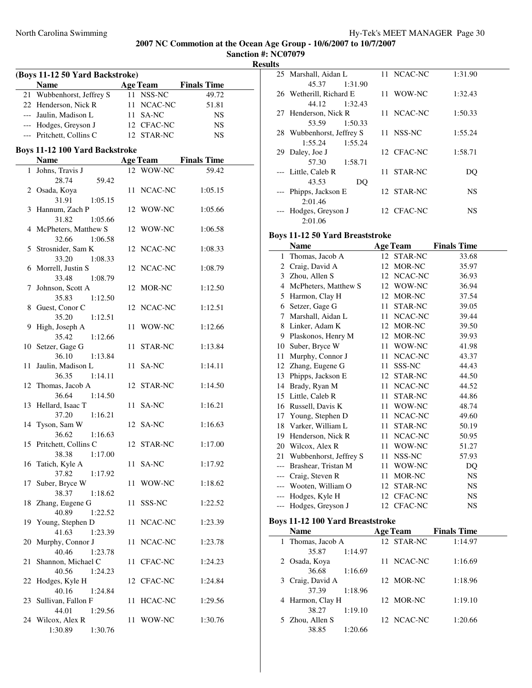**Sanction #: NC07079 Results**

|    | (Boys 11-12 50 Yard Backstroke)<br><b>Name</b>       | <b>Age Team</b> | <b>Finals Time</b>   |
|----|------------------------------------------------------|-----------------|----------------------|
|    | 21 Wubbenhorst, Jeffrey S                            | 11 NSS-NC       | 49.72                |
|    | 22 Henderson, Nick R                                 | 11 NCAC-NC      | 51.81                |
|    | --- Jaulin, Madison L                                | 11 SA-NC        | <b>NS</b>            |
|    | --- Hodges, Greyson J                                | 12 CFAC-NC      | <b>NS</b>            |
|    | --- Pritchett, Collins C                             | 12 STAR-NC      | NS                   |
|    |                                                      |                 |                      |
|    | <b>Boys 11-12 100 Yard Backstroke</b><br><b>Name</b> |                 | Age Team Finals Time |
|    | 1 Johns, Travis J                                    | 12 WOW-NC       | 59.42                |
|    | 28.74<br>59.42                                       |                 |                      |
|    | 2 Osada, Koya<br>31.91<br>1:05.15                    | 11 NCAC-NC      | 1:05.15              |
|    | 3 Hannum, Zach P<br>31.82<br>1:05.66                 | 12 WOW-NC       | 1:05.66              |
|    | 4 McPheters, Matthew S                               | 12 WOW-NC       | 1:06.58              |
|    | 32.66<br>1:06.58                                     |                 |                      |
|    | 5 Strosnider, Sam K                                  | 12 NCAC-NC      | 1:08.33              |
|    | 33.20<br>1:08.33                                     |                 |                      |
|    | 6 Morrell, Justin S<br>33.48<br>1:08.79              | 12 NCAC-NC      | 1:08.79              |
| 7  | Johnson, Scott A                                     | 12 MOR-NC       | 1:12.50              |
|    | 35.83<br>1:12.50                                     |                 |                      |
|    | 8 Guest, Conor C                                     | 12 NCAC-NC      | 1:12.51              |
|    | 35.20<br>1:12.51                                     |                 |                      |
|    | 9 High, Joseph A                                     | 11 WOW-NC       | 1:12.66              |
|    | 35.42<br>1:12.66                                     |                 |                      |
|    | 10 Setzer, Gage G                                    | 11 STAR-NC      | 1:13.84              |
|    | 36.10<br>1:13.84                                     |                 |                      |
| 11 | Jaulin, Madison L                                    | 11 SA-NC        | 1:14.11              |
|    | 36.35<br>1:14.11                                     |                 |                      |
|    | 12 Thomas, Jacob A<br>36.64<br>1:14.50               | 12 STAR-NC      | 1:14.50              |
|    | 13 Hellard, Isaac T                                  | 11 SA-NC        | 1:16.21              |
|    | 37.20<br>1:16.21                                     |                 |                      |
|    | 14 Tyson, Sam W                                      | 12 SA-NC        | 1:16.63              |
|    | 36.62<br>1:16.63                                     |                 |                      |
|    | 15 Pritchett, Collins C                              | 12 STAR-NC      | 1:17.00              |
|    |                                                      |                 |                      |
|    | 38.38<br>1:17.00<br>16 Tatich, Kyle A                | 11 SA-NC        | 1:17.92              |
|    | 37.82<br>1:17.92                                     |                 |                      |
| 17 | Suber, Bryce W                                       | 11 WOW-NC       | 1:18.62              |
|    | 38.37<br>1:18.62                                     |                 |                      |
| 18 | Zhang, Eugene G                                      | 11 SSS-NC       | 1:22.52              |
|    | 40.89<br>1:22.52                                     |                 |                      |
|    | 19 Young, Stephen D                                  | 11 NCAC-NC      | 1:23.39              |
|    | 41.63<br>1:23.39                                     |                 |                      |
| 20 | Murphy, Connor J                                     | 11 NCAC-NC      | 1:23.78              |
|    | 40.46<br>1:23.78                                     |                 |                      |
|    | Shannon, Michael C                                   | 11 CFAC-NC      | 1:24.23              |
| 21 | 40.56<br>1:24.23                                     |                 |                      |
|    |                                                      |                 |                      |
| 22 | Hodges, Kyle H<br>40.16<br>1:24.84                   | 12 CFAC-NC      | 1:24.84              |
|    |                                                      |                 |                      |
| 23 | Sullivan, Fallon F                                   | 11 HCAC-NC      | 1:29.56              |
|    | 44.01<br>1:29.56                                     |                 |                      |
|    | 24 Wilcox, Alex R                                    | 11 WOW-NC       | 1:30.76              |
|    | 1:30.89<br>1:30.76                                   |                 |                      |

|         |                                        |                                                                                                                                                                                                       | 1:31.90                                                                                                    |
|---------|----------------------------------------|-------------------------------------------------------------------------------------------------------------------------------------------------------------------------------------------------------|------------------------------------------------------------------------------------------------------------|
| 45.37   |                                        |                                                                                                                                                                                                       |                                                                                                            |
|         |                                        |                                                                                                                                                                                                       | 1:32.43                                                                                                    |
| 44.12   |                                        |                                                                                                                                                                                                       |                                                                                                            |
|         |                                        |                                                                                                                                                                                                       | 1:50.33                                                                                                    |
| 53.59   |                                        |                                                                                                                                                                                                       |                                                                                                            |
|         |                                        |                                                                                                                                                                                                       | 1:55.24                                                                                                    |
| 1:55.24 |                                        |                                                                                                                                                                                                       |                                                                                                            |
|         |                                        |                                                                                                                                                                                                       | 1:58.71                                                                                                    |
| 57.30   |                                        |                                                                                                                                                                                                       |                                                                                                            |
|         |                                        |                                                                                                                                                                                                       | DO                                                                                                         |
| 43.53   | DQ                                     |                                                                                                                                                                                                       |                                                                                                            |
|         |                                        |                                                                                                                                                                                                       | NS                                                                                                         |
| 2:01.46 |                                        |                                                                                                                                                                                                       |                                                                                                            |
|         |                                        |                                                                                                                                                                                                       | NS                                                                                                         |
| 2:01.06 |                                        |                                                                                                                                                                                                       |                                                                                                            |
|         | 29 Daley, Joe J<br>--- Little, Caleb R | 25 Marshall, Aidan L<br>1:31.90<br>26 Wetherill, Richard E<br>1:32.43<br>27 Henderson, Nick R<br>1:50.33<br>28 Wubbenhorst, Jeffrey S<br>1:55.24<br>1:58.71<br>Phipps, Jackson E<br>Hodges, Greyson J | 11 NCAC-NC<br>11 WOW-NC<br>11 NCAC-NC<br>11 NSS-NC<br>12 CFAC-NC<br>11 STAR-NC<br>12 STAR-NC<br>12 CFAC-NC |

#### **Boys 11-12 50 Yard Breaststroke**

|       | <b>Name</b>            |    | <b>Age Team</b> | <b>Finals Time</b> |
|-------|------------------------|----|-----------------|--------------------|
| 1     | Thomas, Jacob A        |    | 12 STAR-NC      | 33.68              |
| 2     | Craig, David A         | 12 | MOR-NC          | 35.97              |
| 3     | Zhou, Allen S          | 12 | NCAC-NC         | 36.93              |
| 4     | McPheters, Matthew S   | 12 | WOW-NC          | 36.94              |
| 5     | Harmon, Clay H         | 12 | MOR-NC          | 37.54              |
| 6     | Setzer, Gage G         | 11 | STAR-NC         | 39.05              |
| 7     | Marshall, Aidan L      | 11 | NCAC-NC         | 39.44              |
| 8     | Linker, Adam K         | 12 | MOR-NC          | 39.50              |
| 9     | Plaskonos, Henry M     | 12 | MOR-NC          | 39.93              |
| 10    | Suber, Bryce W         | 11 | WOW-NC          | 41.98              |
| 11    | Murphy, Connor J       | 11 | NCAC-NC         | 43.37              |
| 12    | Zhang, Eugene G        | 11 | SSS-NC          | 44.43              |
| 13    | Phipps, Jackson E      | 12 | STAR-NC         | 44.50              |
| 14    | Brady, Ryan M          | 11 | NCAC-NC         | 44.52              |
| 15    | Little, Caleb R        | 11 | STAR-NC         | 44.86              |
| 16    | Russell, Davis K       | 11 | WOW-NC          | 48.74              |
| 17    | Young, Stephen D       | 11 | NCAC-NC         | 49.60              |
| 18    | Varker, William L      | 11 | STAR-NC         | 50.19              |
| 19    | Henderson, Nick R      | 11 | NCAC-NC         | 50.95              |
| 20    | Wilcox, Alex R         | 11 | WOW-NC          | 51.27              |
| 21    | Wubbenhorst, Jeffrey S | 11 | NSS-NC          | 57.93              |
| $---$ | Brashear, Tristan M    | 11 | WOW-NC          | DQ                 |
| ---   | Craig, Steven R        | 11 | MOR-NC          | <b>NS</b>          |
|       | Wooten, William O      | 12 | STAR-NC         | NS                 |
|       | Hodges, Kyle H         | 12 | <b>CFAC-NC</b>  | <b>NS</b>          |
| $---$ | Hodges, Greyson J      | 12 | <b>CFAC-NC</b>  | NS                 |

### **Boys 11-12 100 Yard Breaststroke**

|   | <b>Name</b>       |         | <b>Age Team</b> | <b>Finals Time</b> |  |
|---|-------------------|---------|-----------------|--------------------|--|
|   | 1 Thomas, Jacob A |         | 12 STAR-NC      | 1:14.97            |  |
|   | 35.87             | 1:14.97 |                 |                    |  |
|   | 2 Osada, Koya     |         | 11 NCAC-NC      | 1:16.69            |  |
|   | 36.68             | 1:16.69 |                 |                    |  |
|   | 3 Craig, David A  |         | 12 MOR-NC       | 1:18.96            |  |
|   | 37.39             | 1:18.96 |                 |                    |  |
|   | 4 Harmon, Clay H  |         | 12 MOR-NC       | 1:19.10            |  |
|   | 38.27             | 1:19.10 |                 |                    |  |
| 5 | Zhou, Allen S     |         | 12 NCAC-NC      | 1:20.66            |  |
|   | 38.85             | 1:20.66 |                 |                    |  |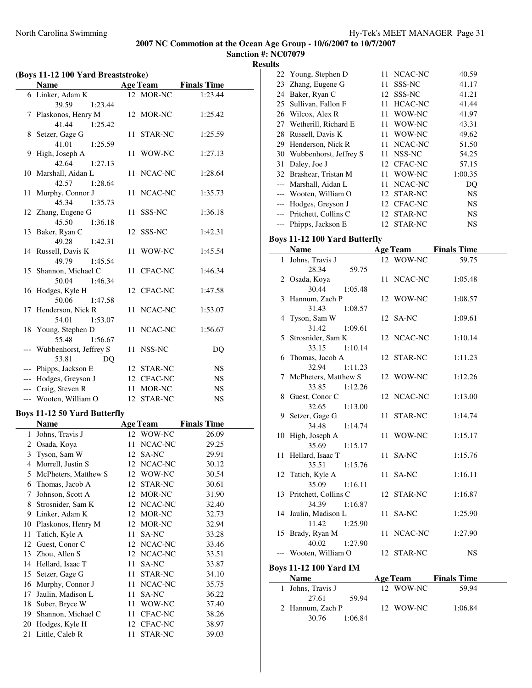**Sanction #: NC07079 Results**

| (Boys 11-12 100 Yard Breaststroke) |                                     |    |                 |                    |  |
|------------------------------------|-------------------------------------|----|-----------------|--------------------|--|
|                                    | <b>Name</b>                         |    | <b>Age Team</b> | <b>Finals Time</b> |  |
|                                    | 6 Linker, Adam K                    |    | 12 MOR-NC       | 1:23.44            |  |
|                                    | 39.59<br>1:23.44                    |    |                 |                    |  |
| 7                                  | Plaskonos, Henry M                  |    | 12 MOR-NC       | 1:25.42            |  |
|                                    | 41.44<br>1:25.42                    |    |                 |                    |  |
| 8                                  | Setzer, Gage G                      |    | 11 STAR-NC      | 1:25.59            |  |
|                                    | 41.01<br>1:25.59                    |    |                 |                    |  |
| 9                                  | High, Joseph A                      |    | 11 WOW-NC       | 1:27.13            |  |
|                                    | 42.64<br>1:27.13                    |    |                 |                    |  |
|                                    | 10 Marshall, Aidan L                |    | 11 NCAC-NC      | 1:28.64            |  |
|                                    | 42.57<br>1:28.64                    |    |                 |                    |  |
| 11                                 | Murphy, Connor J                    | 11 | NCAC-NC         | 1:35.73            |  |
|                                    | 45.34<br>1:35.73                    |    |                 |                    |  |
|                                    | 12 Zhang, Eugene G                  | 11 | SSS-NC          | 1:36.18            |  |
|                                    | 45.50<br>1:36.18                    |    |                 |                    |  |
|                                    | 13 Baker, Ryan C<br>49.28           |    | 12 SSS-NC       | 1:42.31            |  |
|                                    | 1:42.31<br>14 Russell, Davis K      |    |                 |                    |  |
|                                    | 49.79<br>1:45.54                    | 11 | WOW-NC          | 1:45.54            |  |
| 15                                 | Shannon, Michael C                  |    | 11 CFAC-NC      | 1:46.34            |  |
|                                    | 50.04<br>1:46.34                    |    |                 |                    |  |
| 16                                 | Hodges, Kyle H                      |    | 12 CFAC-NC      | 1:47.58            |  |
|                                    | 50.06<br>1:47.58                    |    |                 |                    |  |
|                                    | 17 Henderson, Nick R                |    | 11 NCAC-NC      | 1:53.07            |  |
|                                    | 1:53.07<br>54.01                    |    |                 |                    |  |
|                                    | 18 Young, Stephen D                 |    | 11 NCAC-NC      | 1:56.67            |  |
|                                    | 55.48<br>1:56.67                    |    |                 |                    |  |
|                                    | Wubbenhorst, Jeffrey S              |    | 11 NSS-NC       | DQ                 |  |
|                                    | 53.81<br>DQ                         |    |                 |                    |  |
|                                    | --- Phipps, Jackson E               |    | 12 STAR-NC      | <b>NS</b>          |  |
|                                    | --- Hodges, Greyson J               |    | 12 CFAC-NC      | <b>NS</b>          |  |
|                                    | --- Craig, Steven R                 |    | 11 MOR-NC       | NS.                |  |
|                                    | --- Wooten, William O               |    | 12 STAR-NC      | <b>NS</b>          |  |
|                                    | <b>Boys 11-12 50 Yard Butterfly</b> |    |                 |                    |  |
|                                    | <b>Name</b>                         |    | <b>Age Team</b> | <b>Finals Time</b> |  |
|                                    | 1 Johns, Travis J                   |    | 12 WOW-NC       | 26.09              |  |
|                                    | 2 Osada, Koya                       |    | 11 NCAC-NC      | 29.25              |  |
| 3                                  | Tyson, Sam W                        |    | 12 SA-NC        | 29.91              |  |
| 4                                  | Morrell, Justin S                   | 12 | NCAC-NC         | 30.12              |  |
| 5                                  | McPheters, Matthew S                | 12 | WOW-NC          | 30.54              |  |
| 6                                  | Thomas, Jacob A                     | 12 | STAR-NC         | 30.61              |  |
| 7                                  | Johnson, Scott A                    | 12 | MOR-NC          | 31.90              |  |
| 8                                  | Strosnider, Sam K                   | 12 | NCAC-NC         | 32.40              |  |
| 9                                  | Linker, Adam K                      | 12 | MOR-NC          | 32.73              |  |
| 10                                 | Plaskonos, Henry M                  | 12 | MOR-NC          | 32.94              |  |
| 11                                 | Tatich, Kyle A                      | 11 | SA-NC           | 33.28              |  |
| 12                                 | Guest, Conor C                      | 12 | NCAC-NC         | 33.46              |  |
| 13                                 | Zhou, Allen S                       | 12 | NCAC-NC         | 33.51              |  |
| 14                                 | Hellard, Isaac T                    | 11 | SA-NC           | 33.87              |  |
| 15                                 | Setzer, Gage G                      | 11 | STAR-NC         | 34.10              |  |
| 16                                 | Murphy, Connor J                    | 11 | NCAC-NC         | 35.75              |  |
| 17                                 | Jaulin, Madison L                   | 11 | SA-NC           | 36.22              |  |
| 18                                 | Suber, Bryce W                      | 11 | WOW-NC          | 37.40              |  |
| 19                                 | Shannon, Michael C                  | 11 | CFAC-NC         | 38.26              |  |
| 20                                 | Hodges, Kyle H                      | 12 | CFAC-NC         | 38.97              |  |
| 21                                 | Little, Caleb R                     | 11 | STAR-NC         | 39.03              |  |

|   | 22 Young, Stephen D                  | 11 | NCAC-NC         | 40.59                       |  |
|---|--------------------------------------|----|-----------------|-----------------------------|--|
|   | 23 Zhang, Eugene G                   | 11 | SSS-NC          | 41.17                       |  |
|   | 24 Baker, Ryan C                     |    | 12 SSS-NC       | 41.21                       |  |
|   | 25 Sullivan, Fallon F                |    | 11 HCAC-NC      | 41.44                       |  |
|   | 26 Wilcox, Alex R                    |    | 11 WOW-NC       | 41.97                       |  |
|   | 27 Wetherill, Richard E              |    | 11 WOW-NC       | 43.31                       |  |
|   | 28 Russell, Davis K                  |    | 11 WOW-NC       | 49.62                       |  |
|   | 29 Henderson, Nick R                 |    | 11 NCAC-NC      | 51.50                       |  |
|   | 30 Wubbenhorst, Jeffrey S            |    | 11 NSS-NC       | 54.25                       |  |
|   | 31 Daley, Joe J                      |    | 12 CFAC-NC      | 57.15                       |  |
|   | 32 Brashear, Tristan M               |    | 11 WOW-NC       | 1:00.35                     |  |
|   | --- Marshall, Aidan L                |    | 11 NCAC-NC      | DQ                          |  |
|   | --- Wooten, William O                |    | 12 STAR-NC      | <b>NS</b>                   |  |
|   | --- Hodges, Greyson J                |    | 12 CFAC-NC      | NS                          |  |
|   | --- Pritchett, Collins C             |    | 12 STAR-NC      | NS                          |  |
|   | --- Phipps, Jackson E                |    |                 |                             |  |
|   |                                      |    | 12 STAR-NC      | NS                          |  |
|   | <b>Boys 11-12 100 Yard Butterfly</b> |    |                 |                             |  |
|   | <b>Name</b>                          |    | <b>Age Team</b> | <b>Finals Time</b>          |  |
| 1 | Johns, Travis J                      |    | 12 WOW-NC       | 59.75                       |  |
|   | 28.34<br>59.75                       |    |                 |                             |  |
|   | 2 Osada, Koya                        | 11 | NCAC-NC         | 1:05.48                     |  |
|   | 30.44<br>1:05.48                     |    |                 |                             |  |
|   | 3 Hannum, Zach P                     |    | 12 WOW-NC       | 1:08.57                     |  |
|   | 31.43<br>1:08.57                     |    |                 |                             |  |
|   | 4 Tyson, Sam W                       |    | 12 SA-NC        | 1:09.61                     |  |
|   | 31.42<br>1:09.61                     |    |                 |                             |  |
| 5 | Strosnider, Sam K                    |    | 12 NCAC-NC      | 1:10.14                     |  |
|   | 33.15<br>1:10.14                     |    |                 |                             |  |
| 6 | Thomas, Jacob A                      |    | 12 STAR-NC      | 1:11.23                     |  |
|   | 32.94<br>1:11.23                     |    |                 |                             |  |
| 7 | McPheters, Matthew S                 |    | 12 WOW-NC       | 1:12.26                     |  |
|   | 33.85<br>1:12.26                     |    |                 |                             |  |
| 8 | Guest, Conor C                       |    | 12 NCAC-NC      | 1:13.00                     |  |
|   | 32.65<br>1:13.00                     |    |                 |                             |  |
|   | 9 Setzer, Gage G                     | 11 | STAR-NC         | 1:14.74                     |  |
|   | 34.48<br>1:14.74                     |    |                 |                             |  |
|   | 10 High, Joseph A                    | 11 | WOW-NC          | 1:15.17                     |  |
|   | 35.69<br>1:15.17                     |    |                 |                             |  |
|   | 11 Hellard, Isaac T                  |    | 11 SA-NC        | 1:15.76                     |  |
|   | 35.51<br>1:15.76                     |    |                 |                             |  |
|   | 12 Tatich, Kyle A                    |    | 11 SA-NC        | 1:16.11                     |  |
|   | 35.09<br>1:16.11                     |    |                 |                             |  |
|   | 13 Pritchett, Collins C              |    | 12 STAR-NC      | 1:16.87                     |  |
|   | 34.39<br>1:16.87                     |    |                 |                             |  |
|   | 14 Jaulin, Madison L                 |    | 11 SA-NC        | 1:25.90                     |  |
|   | 11.42<br>1:25.90                     |    |                 |                             |  |
|   | 15 Brady, Ryan M                     |    | 11 NCAC-NC      | 1:27.90                     |  |
|   | 40.02<br>1:27.90                     |    |                 |                             |  |
|   | --- Wooten, William O                |    | 12 STAR-NC      | NS                          |  |
|   |                                      |    |                 |                             |  |
|   | <b>Boys 11-12 100 Yard IM</b>        |    |                 |                             |  |
|   | <b>Name</b>                          |    |                 | <b>Age Team</b> Finals Time |  |
| 1 | Johns, Travis J                      |    | 12 WOW-NC       | 59.94                       |  |
|   | 27.61<br>59.94                       |    |                 |                             |  |
|   | 2 Hannum, Zach P                     |    | 12 WOW-NC       | 1:06.84                     |  |
|   | 30.76<br>1:06.84                     |    |                 |                             |  |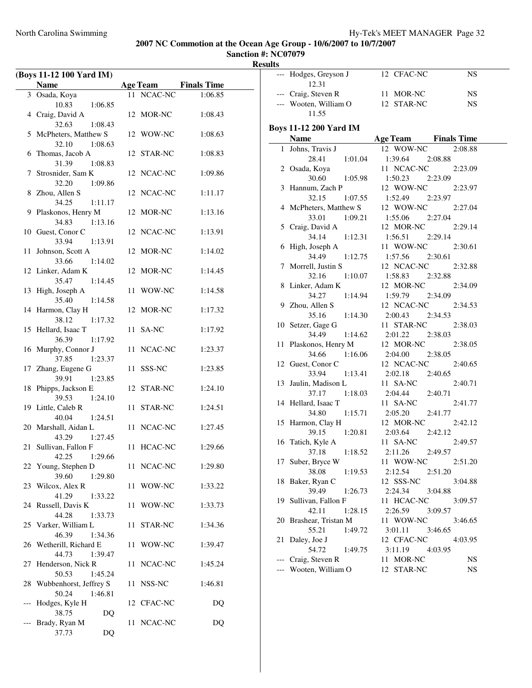**Sanction #: NC07079 Results**

|       | (Boys 11-12 100 Yard IM)                    |    |            |                      |
|-------|---------------------------------------------|----|------------|----------------------|
|       | <b>Name</b>                                 |    |            | Age Team Finals Time |
|       | 3 Osada, Koya                               |    | 11 NCAC-NC | 1:06.85              |
|       | 10.83<br>1:06.85                            |    |            |                      |
|       | 4 Craig, David A                            |    | 12 MOR-NC  | 1:08.43              |
|       | 32.63<br>1:08.43                            |    |            |                      |
|       | 5 McPheters, Matthew S<br>1:08.63<br>32.10  |    | 12 WOW-NC  | 1:08.63              |
|       | 6 Thomas, Jacob A                           |    | 12 STAR-NC | 1:08.83              |
|       | 31.39<br>1:08.83                            |    |            |                      |
|       | 7 Strosnider, Sam K                         |    | 12 NCAC-NC | 1:09.86              |
|       | 32.20<br>1:09.86                            |    |            |                      |
|       | 8 Zhou, Allen S                             |    | 12 NCAC-NC | 1:11.17              |
|       | 1:11.17<br>34.25                            |    |            |                      |
|       | 9 Plaskonos, Henry M<br>34.83<br>1:13.16    |    | 12 MOR-NC  | 1:13.16              |
|       | 10 Guest, Conor C                           |    | 12 NCAC-NC | 1:13.91              |
|       | 33.94<br>1:13.91                            |    |            |                      |
| 11    | Johnson, Scott A                            |    | 12 MOR-NC  | 1:14.02              |
|       | 33.66<br>1:14.02                            |    |            |                      |
|       | 12 Linker, Adam K                           |    | 12 MOR-NC  | 1:14.45              |
|       | 35.47<br>1:14.45<br>13 High, Joseph A       |    |            |                      |
|       | 35.40<br>1:14.58                            |    | 11 WOW-NC  | 1:14.58              |
|       | 14 Harmon, Clay H                           |    | 12 MOR-NC  | 1:17.32              |
|       | 38.12<br>1:17.32                            |    |            |                      |
|       | 15 Hellard, Isaac T                         |    | 11 SA-NC   | 1:17.92              |
|       | 36.39<br>1:17.92                            |    |            |                      |
|       | 16 Murphy, Connor J<br>37.85<br>1:23.37     |    | 11 NCAC-NC | 1:23.37              |
|       | 17 Zhang, Eugene G                          |    | 11 SSS-NC  | 1:23.85              |
|       | 39.91<br>1:23.85                            |    |            |                      |
| 18    | Phipps, Jackson E                           |    | 12 STAR-NC | 1:24.10              |
|       | 39.53<br>1:24.10                            |    |            |                      |
|       | 19 Little, Caleb R                          |    | 11 STAR-NC | 1:24.51              |
|       | 40.04<br>1:24.51<br>20 Marshall, Aidan L    |    | 11 NCAC-NC | 1:27.45              |
|       | 43.29<br>1:27.45                            |    |            |                      |
| 21    | Sullivan, Fallon F                          |    | 11 HCAC-NC | 1:29.66              |
|       | 42.25 1:29.66                               |    |            |                      |
|       | 22 Young, Stephen D                         |    | 11 NCAC-NC | 1:29.80              |
|       | 39.60<br>1:29.80<br>23 Wilcox, Alex R       |    | 11 WOW-NC  | 1:33.22              |
|       | 41.29<br>1:33.22                            |    |            |                      |
| 24    | Russell, Davis K                            | 11 | WOW-NC     | 1:33.73              |
|       | 44.28<br>1:33.73                            |    |            |                      |
|       | 25 Varker, William L                        |    | 11 STAR-NC | 1:34.36              |
|       | 46.39<br>1:34.36                            |    |            |                      |
|       | 26 Wetherill, Richard E<br>44.73<br>1:39.47 |    | 11 WOW-NC  | 1:39.47              |
| 27    | Henderson, Nick R                           |    | 11 NCAC-NC | 1:45.24              |
|       | 50.53<br>1:45.24                            |    |            |                      |
|       | 28 Wubbenhorst, Jeffrey S                   |    | 11 NSS-NC  | 1:46.81              |
|       | 50.24<br>1:46.81                            |    |            |                      |
| $---$ | Hodges, Kyle H<br>38.75                     |    | 12 CFAC-NC | DQ                   |
|       | DQ<br>Brady, Ryan M                         |    | 11 NCAC-NC | DQ                   |
|       | 37.73<br>DQ                                 |    |            |                      |
|       |                                             |    |            |                      |

| աւտ |                                      |                               |           |
|-----|--------------------------------------|-------------------------------|-----------|
|     | --- Hodges, Greyson J<br>12.31       | $\overline{12}$ CFAC-NC       | NS        |
|     | --- Craig, Steven R                  | 11 MOR-NC                     | <b>NS</b> |
|     | --- Wooten, William O 12 STAR-NC     |                               | <b>NS</b> |
|     | 11.55                                |                               |           |
|     |                                      |                               |           |
|     | <b>Boys 11-12 200 Yard IM</b>        |                               |           |
|     | <b>Name</b>                          | <b>Age Team</b> Finals Time   |           |
|     | 1 Johns, Travis J                    | 12 WOW-NC                     | 2:08.88   |
|     | 28.41<br>1:01.04                     | 1:39.64 2:08.88               |           |
|     | 2 Osada, Koya<br>30.60 1:05.98       | 11 NCAC-NC                    | 2:23.09   |
|     |                                      | 1:50.23<br>2:23.09            |           |
|     | 3 Hannum, Zach P                     | 12 WOW-NC                     | 2:23.97   |
|     | 32.15<br>1:07.55                     | 1:52.49<br>2:23.97            |           |
|     | 4 McPheters, Matthew S               | 12 WOW-NC                     | 2:27.04   |
|     | 33.01<br>1:09.21                     | 1:55.06<br>2:27.04            |           |
|     | 5 Craig, David A                     | 12 MOR-NC                     | 2:29.14   |
|     | 34.14<br>1:12.31<br>6 High, Joseph A | $1:56.51$ $2:29.14$           |           |
|     | 34.49 1:12.75                        | 11 WOW-NC                     | 2:30.61   |
|     | 7 Morrell, Justin S                  | 1:57.56 2:30.61<br>12 NCAC-NC | 2:32.88   |
|     | 32.16 1:10.07                        | 1:58.83 2:32.88               |           |
|     | 8 Linker, Adam K                     | 12 MOR-NC                     | 2:34.09   |
|     | 34.27<br>1:14.94                     | 1:59.79 2:34.09               |           |
|     | 9 Zhou, Allen S                      | 12 NCAC-NC                    | 2:34.53   |
|     | 35.16<br>1:14.30                     | 2:00.43 2:34.53               |           |
|     | 10 Setzer, Gage G                    | 11 STAR-NC                    | 2:38.03   |
|     | 34.49<br>1:14.62                     | 2:01.22 2:38.03               |           |
|     | 11 Plaskonos, Henry M                | 12 MOR-NC                     | 2:38.05   |
|     | 34.66<br>1:16.06                     | 2:04.00<br>2:38.05            |           |
|     | 12 Guest, Conor C                    | 12 NCAC-NC                    | 2:40.65   |
|     | 33.94<br>1:13.41                     | 2:02.18 2:40.65               |           |
|     | 13 Jaulin, Madison L                 | 11 SA-NC                      | 2:40.71   |
|     | 37.17<br>1:18.03                     | 2:04.44<br>2:40.71            |           |
|     | 14 Hellard, Isaac T                  | 11 SA-NC                      | 2:41.77   |
|     | 34.80<br>1:15.71                     | 2:05.20 2:41.77               |           |
|     | 15 Harmon, Clay H                    | 12 MOR-NC                     | 2:42.12   |
|     | 39.15<br>1:20.81                     | 2:03.64<br>2:42.12            |           |
|     | 16 Tatich, Kyle A                    | 11 SA-NC                      | 2:49.57   |
|     | 37.18<br>1:18.52                     | 2:49.57<br>2:11.26            |           |
| 17  | Suber, Bryce W                       | 11 WOW-NC                     | 2:51.20   |
|     | 38.08<br>1:19.53                     | 2:12.54<br>2:51.20            |           |
| 18  | Baker, Ryan C                        | 12 SSS-NC                     | 3:04.88   |
|     | 39.49<br>1:26.73                     | 2:24.34<br>3:04.88            |           |
|     | 19 Sullivan, Fallon F                | 11 HCAC-NC                    | 3:09.57   |
|     | 42.11<br>1:28.15                     | 2:26.59<br>3:09.57            |           |
|     | 20 Brashear, Tristan M               | 11 WOW-NC                     | 3:46.65   |
|     | 55.21<br>1:49.72                     | 3:01.11<br>3:46.65            |           |
| 21  | Daley, Joe J                         | 12 CFAC-NC                    | 4:03.95   |
|     | 54.72<br>1:49.75                     | 3:11.19<br>4:03.95            |           |
|     | Craig, Steven R                      | 11 MOR-NC                     | NS        |
|     | Wooten, William O                    | 12 STAR-NC                    | NS        |
|     |                                      |                               |           |